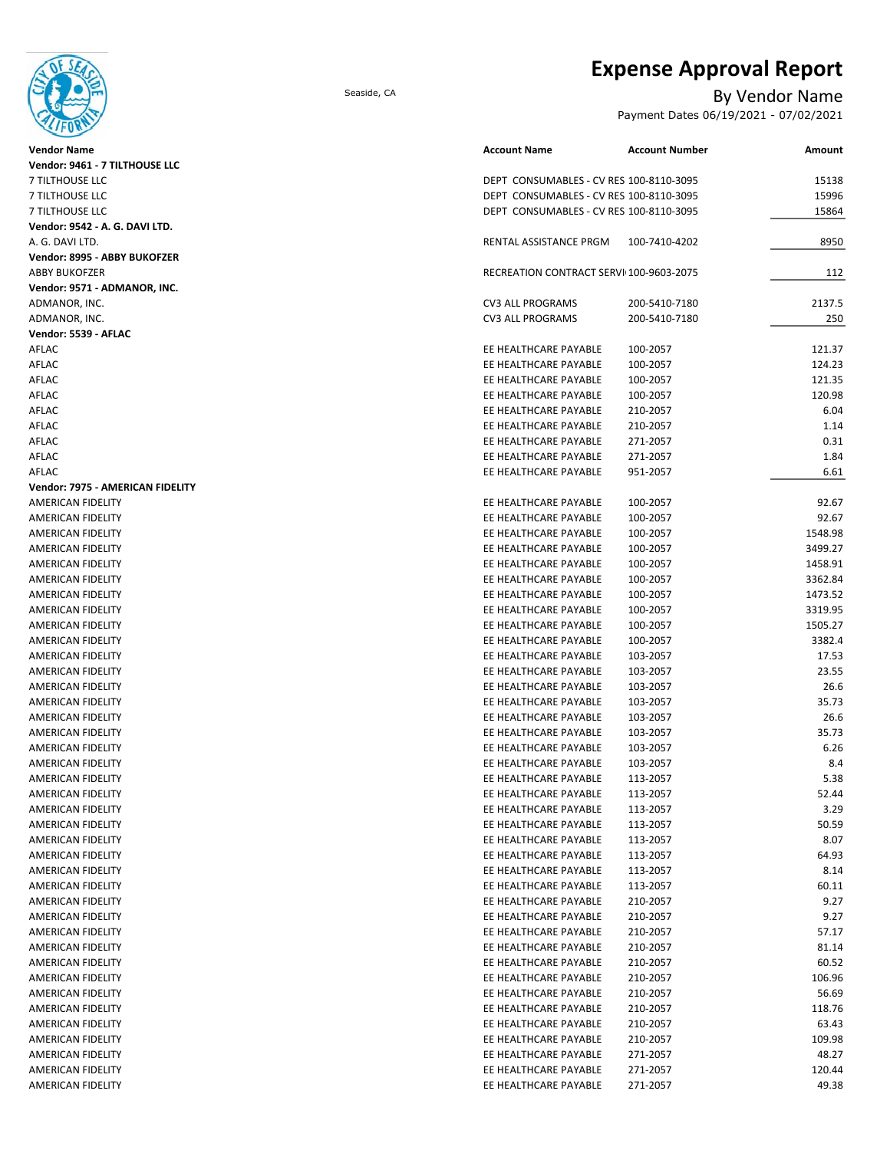# **Expense Approval Report**



| <b>Vendor Name</b>                            |
|-----------------------------------------------|
| Vendor: 9461 - 7 TILTHOUSE LLC                |
| 7 TILTHOUSE LLC                               |
| 7 TILTHOUSE LLC                               |
| 7 TILTHOUSE LLC                               |
| Vendor: 9542 - A. G. DAVI LTD.                |
| A. G. DAVI LTD.                               |
| Vendor: 8995 - ABBY BUKOFZER                  |
| <b>ABBY BUKOFZER</b>                          |
| Vendor: 9571 - ADMANOR, INC.                  |
| ADMANOR, INC.                                 |
| ADMANOR, INC.                                 |
| Vendor: 5539 - AFLAC                          |
| AFLAC                                         |
| AFLAC                                         |
| AFLAC                                         |
| AFLAC                                         |
| AFLAC                                         |
| AFLAC                                         |
| AFLAC                                         |
| AFLAC                                         |
| AFLAC                                         |
| Vendor: 7975 - AMERICAN FIDELITY              |
| <b>AMERICAN FIDELITY</b>                      |
| <b>AMERICAN FIDELITY</b>                      |
| AMERICAN FIDELITY                             |
|                                               |
| AMERICAN FIDELITY<br>AMERICAN FIDELITY        |
| AMERICAN FIDELITY                             |
|                                               |
| <b>AMERICAN FIDELITY</b>                      |
| AMERICAN FIDELITY                             |
| AMERICAN FIDELITY                             |
| AMERICAN FIDELITY<br><b>AMERICAN FIDELITY</b> |
|                                               |
| AMERICAN FIDELITY                             |
| <b>AMERICAN FIDELITY</b>                      |
| AMERICAN FIDELITY                             |
| <b>AMERICAN FIDELITY</b>                      |
| AMERICAN FIDELITY                             |
| AMERICAN FIDELITY                             |
| AMERICAN FIDELITY                             |
| AMERICAN FIDELITY                             |
| AMERICAN FIDELITY                             |
| <b>AMERICAN FIDELITY</b>                      |
| <b>AMERICAN FIDELITY</b>                      |
| AMERICAN FIDELITY                             |
| AMERICAN FIDELITY                             |
| <b>AMERICAN FIDELITY</b>                      |
| <b>AMERICAN FIDELITY</b>                      |
| <b>AMERICAN FIDELITY</b>                      |
| AMERICAN FIDELITY                             |
| AMERICAN FIDELITY                             |
| AMERICAN FIDELITY                             |
| AMERICAN FIDELITY                             |
| <b>AMERICAN FIDELITY</b>                      |
| <b>AMERICAN FIDELITY</b>                      |
| AMERICAN FIDELITY                             |
| AMERICAN FIDELITY                             |
| AMERICAN FIDELITY                             |
| AMERICAN FIDELITY                             |
| AMERICAN FIDELITY                             |
| AMERICAN FIDELITY                             |

## Seaside, CA By Vendor Name

Payment Dates 06/19/2021 - 07/02/2021

| Vendor Name                      | <b>Account Name</b>                     | <b>Account Number</b> | Amount  |
|----------------------------------|-----------------------------------------|-----------------------|---------|
| Vendor: 9461 - 7 TILTHOUSE LLC   |                                         |                       |         |
| <b>7 TILTHOUSE LLC</b>           | DEPT CONSUMABLES - CV RES 100-8110-3095 |                       | 15138   |
| 7 TILTHOUSE LLC                  | DEPT CONSUMABLES - CV RES 100-8110-3095 |                       | 15996   |
| 7 TILTHOUSE LLC                  | DEPT CONSUMABLES - CV RES 100-8110-3095 |                       | 15864   |
| Vendor: 9542 - A. G. DAVI LTD.   |                                         |                       |         |
| A. G. DAVI LTD.                  | RENTAL ASSISTANCE PRGM                  | 100-7410-4202         | 8950    |
| Vendor: 8995 - ABBY BUKOFZER     |                                         |                       |         |
| ABBY BUKOFZER                    | RECREATION CONTRACT SERVI 100-9603-2075 |                       | 112     |
| Vendor: 9571 - ADMANOR, INC.     |                                         |                       |         |
| ADMANOR, INC.                    | <b>CV3 ALL PROGRAMS</b>                 | 200-5410-7180         | 2137.5  |
| ADMANOR, INC.                    | <b>CV3 ALL PROGRAMS</b>                 | 200-5410-7180         | 250     |
| Vendor: 5539 - AFLAC             |                                         |                       |         |
| AFLAC                            | EE HEALTHCARE PAYABLE                   | 100-2057              | 121.37  |
| AFLAC                            | EE HEALTHCARE PAYABLE                   | 100-2057              | 124.23  |
| AFLAC                            | EE HEALTHCARE PAYABLE                   | 100-2057              | 121.35  |
| AFLAC                            | EE HEALTHCARE PAYABLE                   | 100-2057              | 120.98  |
| AFLAC                            | EE HEALTHCARE PAYABLE                   | 210-2057              | 6.04    |
| AFLAC                            | EE HEALTHCARE PAYABLE                   | 210-2057              | 1.14    |
| AFLAC                            | EE HEALTHCARE PAYABLE                   | 271-2057              | 0.31    |
| AFLAC                            | EE HEALTHCARE PAYABLE                   | 271-2057              | 1.84    |
| AFLAC                            | EE HEALTHCARE PAYABLE                   | 951-2057              | 6.61    |
| Vendor: 7975 - AMERICAN FIDELITY |                                         |                       |         |
| AMERICAN FIDELITY                | EE HEALTHCARE PAYABLE                   | 100-2057              | 92.67   |
| AMERICAN FIDELITY                | EE HEALTHCARE PAYABLE                   | 100-2057              | 92.67   |
| AMERICAN FIDELITY                | EE HEALTHCARE PAYABLE                   | 100-2057              | 1548.98 |
| AMERICAN FIDELITY                | EE HEALTHCARE PAYABLE                   | 100-2057              | 3499.27 |
| AMERICAN FIDELITY                | EE HEALTHCARE PAYABLE                   | 100-2057              | 1458.91 |
| AMERICAN FIDELITY                | EE HEALTHCARE PAYABLE                   | 100-2057              | 3362.84 |
| AMERICAN FIDELITY                | EE HEALTHCARE PAYABLE                   | 100-2057              | 1473.52 |
| AMERICAN FIDELITY                | EE HEALTHCARE PAYABLE                   | 100-2057              | 3319.95 |
| AMERICAN FIDELITY                | EE HEALTHCARE PAYABLE                   | 100-2057              | 1505.27 |
| AMERICAN FIDELITY                | EE HEALTHCARE PAYABLE                   | 100-2057              | 3382.4  |
| AMERICAN FIDELITY                | EE HEALTHCARE PAYABLE                   | 103-2057              | 17.53   |
| AMERICAN FIDELITY                | EE HEALTHCARE PAYABLE                   | 103-2057              | 23.55   |
| AMERICAN FIDELITY                | EE HEALTHCARE PAYABLE                   | 103-2057              | 26.6    |
| <b>AMERICAN FIDELITY</b>         | EE HEALTHCARE PAYABLE                   | 103-2057              | 35.73   |
| <b>AMERICAN FIDELITY</b>         | EE HEALTHCARE PAYABLE                   | 103-2057              | 26.6    |
| AMERICAN FIDELITY                | EE HEALTHCARE PAYABLE                   | 103-2057              | 35.73   |
| AMERICAN FIDELITY                | EE HEALTHCARE PAYABLE                   | 103-2057              | 6.26    |
| AMERICAN FIDELITY                | EE HEALTHCARE PAYABLE                   | 103-2057              | 8.4     |
| AMERICAN FIDELITY                | EE HEALTHCARE PAYABLE                   | 113-2057              | 5.38    |
| AMERICAN FIDELITY                | EE HEALTHCARE PAYABLE                   | 113-2057              | 52.44   |
| AMERICAN FIDELITY                | EE HEALTHCARE PAYABLE                   | 113-2057              | 3.29    |
| AMERICAN FIDELITY                | EE HEALTHCARE PAYABLE                   | 113-2057              | 50.59   |
| AMERICAN FIDELITY                | EE HEALTHCARE PAYABLE                   | 113-2057              | 8.07    |
| AMERICAN FIDELITY                | EE HEALTHCARE PAYABLE                   | 113-2057              | 64.93   |
| AMERICAN FIDELITY                | EE HEALTHCARE PAYABLE                   | 113-2057              | 8.14    |
| <b>AMERICAN FIDELITY</b>         | EE HEALTHCARE PAYABLE                   | 113-2057              | 60.11   |
| AMERICAN FIDELITY                | EE HEALTHCARE PAYABLE                   | 210-2057              | 9.27    |
| AMERICAN FIDELITY                | EE HEALTHCARE PAYABLE                   | 210-2057              | 9.27    |
| AMERICAN FIDELITY                | EE HEALTHCARE PAYABLE                   | 210-2057              | 57.17   |
| AMERICAN FIDELITY                | EE HEALTHCARE PAYABLE                   | 210-2057              | 81.14   |
| AMERICAN FIDELITY                | EE HEALTHCARE PAYABLE                   | 210-2057              | 60.52   |
| AMERICAN FIDELITY                | EE HEALTHCARE PAYABLE                   | 210-2057              | 106.96  |
| AMERICAN FIDELITY                | EE HEALTHCARE PAYABLE                   | 210-2057              | 56.69   |
| AMERICAN FIDELITY                | EE HEALTHCARE PAYABLE                   | 210-2057              | 118.76  |
| AMERICAN FIDELITY                | EE HEALTHCARE PAYABLE                   | 210-2057              | 63.43   |
| AMERICAN FIDELITY                | EE HEALTHCARE PAYABLE                   | 210-2057              | 109.98  |
| AMERICAN FIDELITY                | EE HEALTHCARE PAYABLE                   | 271-2057              | 48.27   |
| AMERICAN FIDELITY                | EE HEALTHCARE PAYABLE                   | 271-2057              | 120.44  |
| AMERICAN FIDELITY                | EE HEALTHCARE PAYABLE                   | 271-2057              | 49.38   |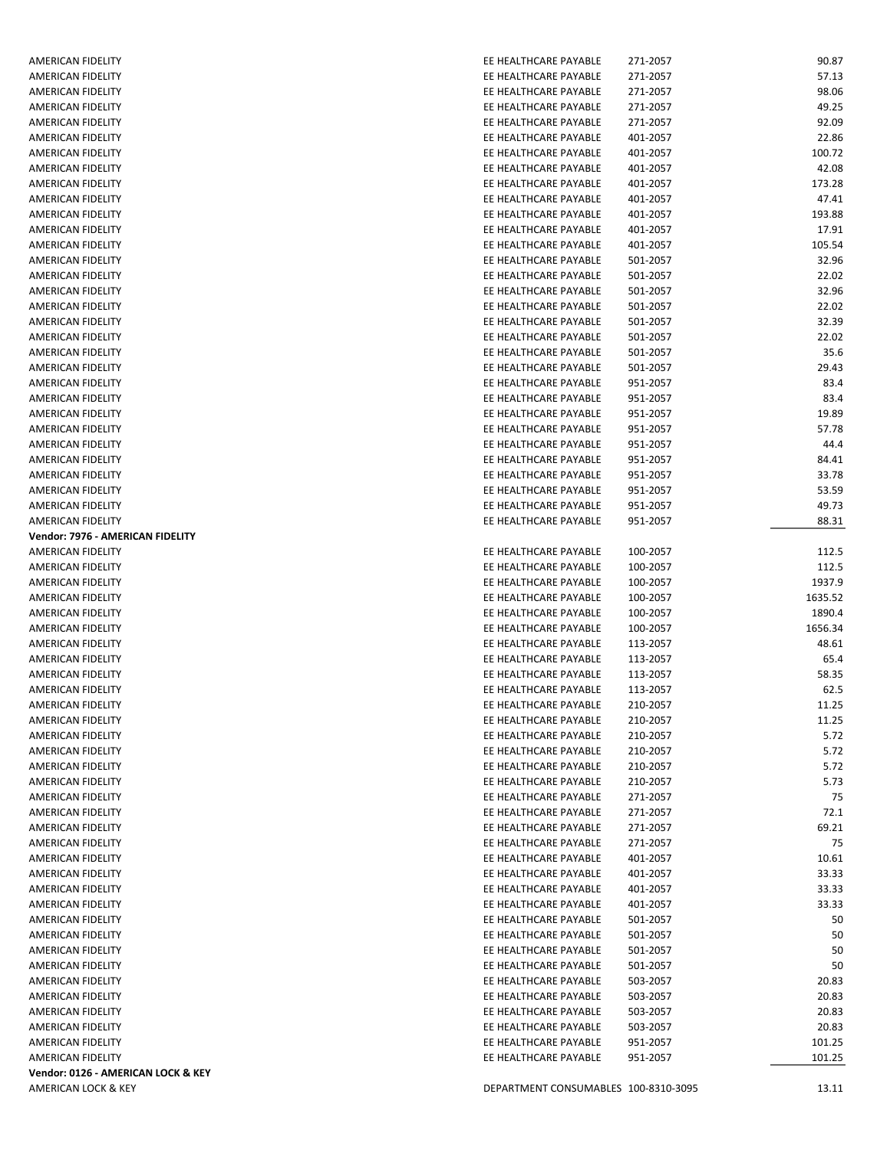| AMERICAN FIDELITY                  | EE HEALTHCARE PAYABLE                | 271-2057 | 90.87   |
|------------------------------------|--------------------------------------|----------|---------|
| <b>AMERICAN FIDELITY</b>           | EE HEALTHCARE PAYABLE                | 271-2057 | 57.13   |
| AMERICAN FIDELITY                  | EE HEALTHCARE PAYABLE                | 271-2057 | 98.06   |
| AMERICAN FIDELITY                  | EE HEALTHCARE PAYABLE                | 271-2057 | 49.25   |
| AMERICAN FIDELITY                  | EE HEALTHCARE PAYABLE                | 271-2057 | 92.09   |
|                                    |                                      | 401-2057 |         |
| AMERICAN FIDELITY                  | EE HEALTHCARE PAYABLE                |          | 22.86   |
| AMERICAN FIDELITY                  | EE HEALTHCARE PAYABLE                | 401-2057 | 100.72  |
| AMERICAN FIDELITY                  | EE HEALTHCARE PAYABLE                | 401-2057 | 42.08   |
| AMERICAN FIDELITY                  | EE HEALTHCARE PAYABLE                | 401-2057 | 173.28  |
| AMERICAN FIDELITY                  | EE HEALTHCARE PAYABLE                | 401-2057 | 47.41   |
| AMERICAN FIDELITY                  | EE HEALTHCARE PAYABLE                | 401-2057 | 193.88  |
| AMERICAN FIDELITY                  | EE HEALTHCARE PAYABLE                | 401-2057 | 17.91   |
| AMERICAN FIDELITY                  | EE HEALTHCARE PAYABLE                | 401-2057 | 105.54  |
| AMERICAN FIDELITY                  | EE HEALTHCARE PAYABLE                | 501-2057 | 32.96   |
|                                    |                                      |          |         |
| AMERICAN FIDELITY                  | EE HEALTHCARE PAYABLE                | 501-2057 | 22.02   |
| AMERICAN FIDELITY                  | EE HEALTHCARE PAYABLE                | 501-2057 | 32.96   |
| AMERICAN FIDELITY                  | EE HEALTHCARE PAYABLE                | 501-2057 | 22.02   |
| AMERICAN FIDELITY                  | EE HEALTHCARE PAYABLE                | 501-2057 | 32.39   |
| AMERICAN FIDELITY                  | EE HEALTHCARE PAYABLE                | 501-2057 | 22.02   |
| AMERICAN FIDELITY                  | EE HEALTHCARE PAYABLE                | 501-2057 | 35.6    |
| <b>AMERICAN FIDELITY</b>           | EE HEALTHCARE PAYABLE                | 501-2057 | 29.43   |
| AMERICAN FIDELITY                  | EE HEALTHCARE PAYABLE                | 951-2057 | 83.4    |
| AMERICAN FIDELITY                  | EE HEALTHCARE PAYABLE                | 951-2057 | 83.4    |
|                                    |                                      |          |         |
| AMERICAN FIDELITY                  | EE HEALTHCARE PAYABLE                | 951-2057 | 19.89   |
| <b>AMERICAN FIDELITY</b>           | EE HEALTHCARE PAYABLE                | 951-2057 | 57.78   |
| AMERICAN FIDELITY                  | EE HEALTHCARE PAYABLE                | 951-2057 | 44.4    |
| <b>AMERICAN FIDELITY</b>           | EE HEALTHCARE PAYABLE                | 951-2057 | 84.41   |
| AMERICAN FIDELITY                  | EE HEALTHCARE PAYABLE                | 951-2057 | 33.78   |
| AMERICAN FIDELITY                  | EE HEALTHCARE PAYABLE                | 951-2057 | 53.59   |
| AMERICAN FIDELITY                  | EE HEALTHCARE PAYABLE                | 951-2057 | 49.73   |
| AMERICAN FIDELITY                  | EE HEALTHCARE PAYABLE                | 951-2057 | 88.31   |
| Vendor: 7976 - AMERICAN FIDELITY   |                                      |          |         |
| AMERICAN FIDELITY                  | EE HEALTHCARE PAYABLE                | 100-2057 | 112.5   |
|                                    |                                      |          |         |
| AMERICAN FIDELITY                  | EE HEALTHCARE PAYABLE                | 100-2057 | 112.5   |
| AMERICAN FIDELITY                  | EE HEALTHCARE PAYABLE                | 100-2057 | 1937.9  |
| AMERICAN FIDELITY                  | EE HEALTHCARE PAYABLE                | 100-2057 | 1635.52 |
| AMERICAN FIDELITY                  | EE HEALTHCARE PAYABLE                | 100-2057 | 1890.4  |
| AMERICAN FIDELITY                  | EE HEALTHCARE PAYABLE                | 100-2057 | 1656.34 |
| AMERICAN FIDELITY                  | EE HEALTHCARE PAYABLE                | 113-2057 | 48.61   |
| AMERICAN FIDELITY                  | EE HEALTHCARE PAYABLE                | 113-2057 | 65.4    |
| AMERICAN FIDELITY                  | EE HEALTHCARE PAYABLE                | 113-2057 | 58.35   |
| AMERICAN FIDELITY                  | EE HEALTHCARE PAYABLE                | 113-2057 | 62.5    |
| AMERICAN FIDELITY                  | EE HEALTHCARE PAYABLE                | 210-2057 | 11.25   |
|                                    |                                      |          |         |
| AMERICAN FIDELITY                  | EE HEALTHCARE PAYABLE                | 210-2057 | 11.25   |
| AMERICAN FIDELITY                  | EE HEALTHCARE PAYABLE                | 210-2057 | 5.72    |
| AMERICAN FIDELITY                  | EE HEALTHCARE PAYABLE                | 210-2057 | 5.72    |
| AMERICAN FIDELITY                  | EE HEALTHCARE PAYABLE                | 210-2057 | 5.72    |
| AMERICAN FIDELITY                  | EE HEALTHCARE PAYABLE                | 210-2057 | 5.73    |
| AMERICAN FIDELITY                  | EE HEALTHCARE PAYABLE                | 271-2057 | 75      |
| AMERICAN FIDELITY                  | EE HEALTHCARE PAYABLE                | 271-2057 | 72.1    |
| AMERICAN FIDELITY                  | EE HEALTHCARE PAYABLE                | 271-2057 | 69.21   |
| AMERICAN FIDELITY                  | EE HEALTHCARE PAYABLE                | 271-2057 | 75      |
|                                    |                                      |          |         |
| AMERICAN FIDELITY                  | EE HEALTHCARE PAYABLE                | 401-2057 | 10.61   |
| AMERICAN FIDELITY                  | EE HEALTHCARE PAYABLE                | 401-2057 | 33.33   |
| AMERICAN FIDELITY                  | EE HEALTHCARE PAYABLE                | 401-2057 | 33.33   |
| AMERICAN FIDELITY                  | EE HEALTHCARE PAYABLE                | 401-2057 | 33.33   |
| AMERICAN FIDELITY                  | EE HEALTHCARE PAYABLE                | 501-2057 | 50      |
| AMERICAN FIDELITY                  | EE HEALTHCARE PAYABLE                | 501-2057 | 50      |
| AMERICAN FIDELITY                  | EE HEALTHCARE PAYABLE                | 501-2057 | 50      |
| AMERICAN FIDELITY                  | EE HEALTHCARE PAYABLE                | 501-2057 | 50      |
| AMERICAN FIDELITY                  | EE HEALTHCARE PAYABLE                | 503-2057 | 20.83   |
| AMERICAN FIDELITY                  | EE HEALTHCARE PAYABLE                | 503-2057 | 20.83   |
|                                    |                                      |          |         |
| AMERICAN FIDELITY                  | EE HEALTHCARE PAYABLE                | 503-2057 | 20.83   |
| AMERICAN FIDELITY                  | EE HEALTHCARE PAYABLE                | 503-2057 | 20.83   |
| AMERICAN FIDELITY                  | EE HEALTHCARE PAYABLE                | 951-2057 | 101.25  |
| AMERICAN FIDELITY                  | EE HEALTHCARE PAYABLE                | 951-2057 | 101.25  |
| Vendor: 0126 - AMERICAN LOCK & KEY |                                      |          |         |
| AMERICAN LOCK & KEY                | DEPARTMENT CONSUMABLES 100-8310-3095 |          | 13.11   |
|                                    |                                      |          |         |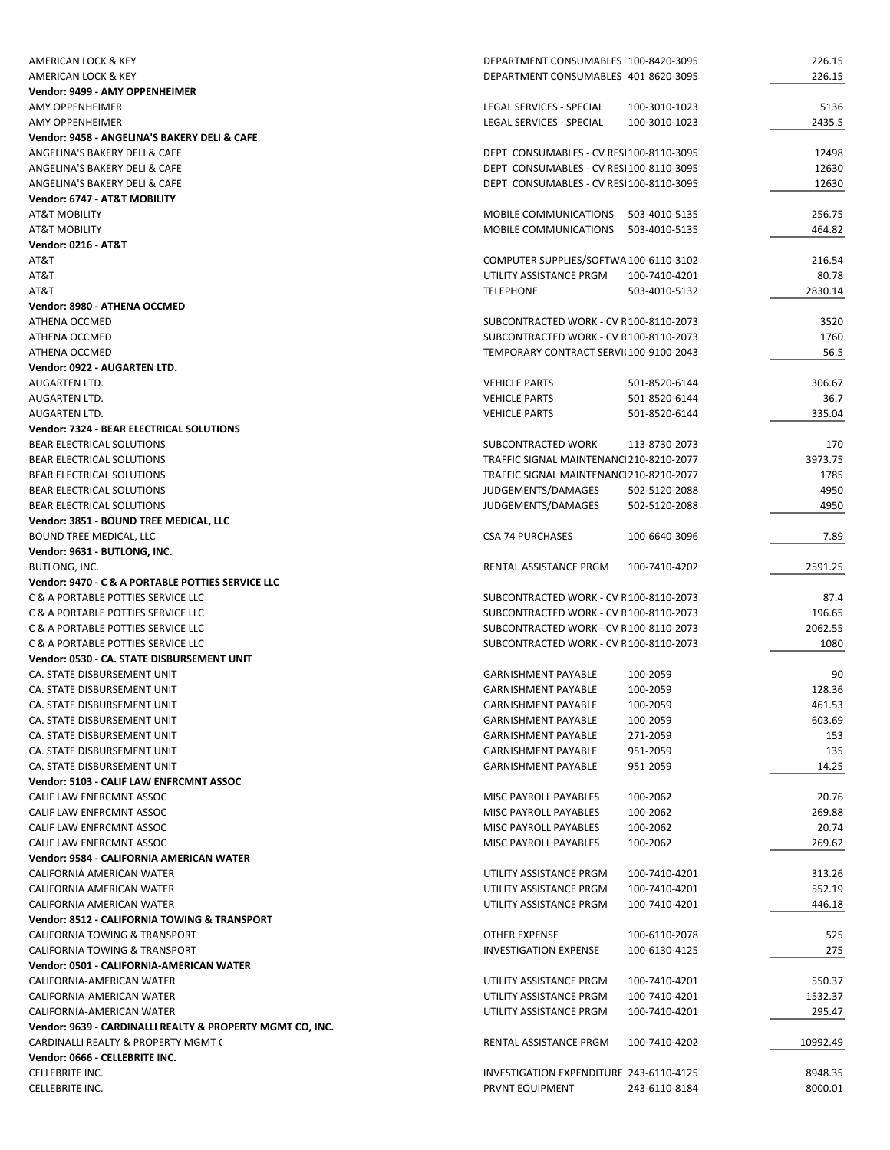| AMERICAN LOCK & KEY                                       | DEPARTMENT CONSUMABLES 100-8420-3095                       |               | 226.15   |
|-----------------------------------------------------------|------------------------------------------------------------|---------------|----------|
| AMERICAN LOCK & KEY                                       | DEPARTMENT CONSUMABLES 401-8620-3095                       |               | 226.15   |
| Vendor: 9499 - AMY OPPENHEIMER                            |                                                            |               |          |
| AMY OPPENHEIMER                                           | LEGAL SERVICES - SPECIAL                                   | 100-3010-1023 | 5136     |
| AMY OPPENHEIMER                                           | LEGAL SERVICES - SPECIAL                                   | 100-3010-1023 | 2435.5   |
| Vendor: 9458 - ANGELINA'S BAKERY DELI & CAFE              |                                                            |               |          |
| ANGELINA'S BAKERY DELI & CAFE                             | DEPT CONSUMABLES - CV RESI100-8110-3095                    |               | 12498    |
| ANGELINA'S BAKERY DELI & CAFE                             | DEPT CONSUMABLES - CV RESI100-8110-3095                    |               | 12630    |
| ANGELINA'S BAKERY DELI & CAFE                             | DEPT CONSUMABLES - CV RESI100-8110-3095                    |               | 12630    |
| Vendor: 6747 - AT&T MOBILITY                              |                                                            |               |          |
| <b>AT&amp;T MOBILITY</b>                                  | MOBILE COMMUNICATIONS 503-4010-5135                        |               | 256.75   |
| <b>AT&amp;T MOBILITY</b>                                  | MOBILE COMMUNICATIONS                                      | 503-4010-5135 | 464.82   |
| <b>Vendor: 0216 - AT&amp;T</b>                            |                                                            |               |          |
| AT&T                                                      | COMPUTER SUPPLIES/SOFTWA 100-6110-3102                     |               | 216.54   |
| AT&T                                                      | UTILITY ASSISTANCE PRGM                                    | 100-7410-4201 | 80.78    |
| AT&T                                                      | <b>TELEPHONE</b>                                           | 503-4010-5132 | 2830.14  |
| Vendor: 8980 - ATHENA OCCMED                              |                                                            |               |          |
| ATHENA OCCMED                                             | SUBCONTRACTED WORK - CV R100-8110-2073                     |               | 3520     |
| ATHENA OCCMED                                             | SUBCONTRACTED WORK - CV R100-8110-2073                     |               | 1760     |
| ATHENA OCCMED                                             | TEMPORARY CONTRACT SERVI(100-9100-2043                     |               | 56.5     |
| Vendor: 0922 - AUGARTEN LTD.                              |                                                            |               |          |
| AUGARTEN LTD.                                             | <b>VEHICLE PARTS</b>                                       | 501-8520-6144 | 306.67   |
| AUGARTEN LTD.                                             | <b>VEHICLE PARTS</b>                                       | 501-8520-6144 | 36.7     |
| AUGARTEN LTD.                                             | <b>VEHICLE PARTS</b>                                       | 501-8520-6144 | 335.04   |
| Vendor: 7324 - BEAR ELECTRICAL SOLUTIONS                  |                                                            |               |          |
| BEAR ELECTRICAL SOLUTIONS                                 | SUBCONTRACTED WORK                                         | 113-8730-2073 | 170      |
| <b>BEAR ELECTRICAL SOLUTIONS</b>                          | TRAFFIC SIGNAL MAINTENANCI210-8210-2077                    |               | 3973.75  |
| BEAR ELECTRICAL SOLUTIONS                                 | TRAFFIC SIGNAL MAINTENANCI210-8210-2077                    |               | 1785     |
|                                                           |                                                            |               |          |
| BEAR ELECTRICAL SOLUTIONS                                 | JUDGEMENTS/DAMAGES                                         | 502-5120-2088 | 4950     |
| BEAR ELECTRICAL SOLUTIONS                                 | JUDGEMENTS/DAMAGES                                         | 502-5120-2088 | 4950     |
| Vendor: 3851 - BOUND TREE MEDICAL, LLC                    |                                                            |               |          |
| <b>BOUND TREE MEDICAL, LLC</b>                            | <b>CSA 74 PURCHASES</b>                                    | 100-6640-3096 | 7.89     |
| Vendor: 9631 - BUTLONG, INC.                              |                                                            |               |          |
| BUTLONG, INC.                                             | RENTAL ASSISTANCE PRGM                                     | 100-7410-4202 | 2591.25  |
| Vendor: 9470 - C & A PORTABLE POTTIES SERVICE LLC         |                                                            |               |          |
|                                                           |                                                            |               |          |
| C & A PORTABLE POTTIES SERVICE LLC                        | SUBCONTRACTED WORK - CV R100-8110-2073                     |               | 87.4     |
| C & A PORTABLE POTTIES SERVICE LLC                        | SUBCONTRACTED WORK - CV R100-8110-2073                     |               | 196.65   |
| C & A PORTABLE POTTIES SERVICE LLC                        | SUBCONTRACTED WORK - CV R100-8110-2073                     |               | 2062.55  |
| C & A PORTABLE POTTIES SERVICE LLC                        | SUBCONTRACTED WORK - CV R100-8110-2073                     |               | 1080     |
| Vendor: 0530 - CA. STATE DISBURSEMENT UNIT                |                                                            |               |          |
| CA. STATE DISBURSEMENT UNIT                               | <b>GARNISHMENT PAYABLE</b>                                 | 100-2059      | 90       |
| CA. STATE DISBURSEMENT UNIT                               | <b>GARNISHMENT PAYABLE</b>                                 | 100-2059      | 128.36   |
| CA. STATE DISBURSEMENT UNIT                               | <b>GARNISHMENT PAYABLE</b>                                 | 100-2059      | 461.53   |
| CA. STATE DISBURSEMENT UNIT                               | <b>GARNISHMENT PAYABLE</b>                                 | 100-2059      | 603.69   |
| CA. STATE DISBURSEMENT UNIT                               | <b>GARNISHMENT PAYABLE</b>                                 | 271-2059      | 153      |
| CA. STATE DISBURSEMENT UNIT                               | <b>GARNISHMENT PAYABLE</b>                                 | 951-2059      | 135      |
| CA. STATE DISBURSEMENT UNIT                               | <b>GARNISHMENT PAYABLE</b>                                 | 951-2059      | 14.25    |
| Vendor: 5103 - CALIF LAW ENFRCMNT ASSOC                   |                                                            |               |          |
| CALIF LAW ENFRCMNT ASSOC                                  | MISC PAYROLL PAYABLES                                      | 100-2062      | 20.76    |
| CALIF LAW ENFRCMNT ASSOC                                  | MISC PAYROLL PAYABLES                                      | 100-2062      | 269.88   |
| CALIF LAW ENFRCMNT ASSOC                                  | MISC PAYROLL PAYABLES                                      | 100-2062      | 20.74    |
| CALIF LAW ENFRCMNT ASSOC                                  | <b>MISC PAYROLL PAYABLES</b>                               | 100-2062      | 269.62   |
| Vendor: 9584 - CALIFORNIA AMERICAN WATER                  |                                                            |               |          |
| CALIFORNIA AMERICAN WATER                                 | UTILITY ASSISTANCE PRGM                                    | 100-7410-4201 | 313.26   |
| CALIFORNIA AMERICAN WATER                                 | UTILITY ASSISTANCE PRGM                                    | 100-7410-4201 | 552.19   |
| CALIFORNIA AMERICAN WATER                                 | UTILITY ASSISTANCE PRGM                                    | 100-7410-4201 | 446.18   |
| Vendor: 8512 - CALIFORNIA TOWING & TRANSPORT              |                                                            |               |          |
| CALIFORNIA TOWING & TRANSPORT                             | OTHER EXPENSE                                              | 100-6110-2078 | 525      |
| CALIFORNIA TOWING & TRANSPORT                             | <b>INVESTIGATION EXPENSE</b>                               | 100-6130-4125 | 275      |
| Vendor: 0501 - CALIFORNIA-AMERICAN WATER                  |                                                            |               |          |
| CALIFORNIA-AMERICAN WATER                                 | UTILITY ASSISTANCE PRGM                                    | 100-7410-4201 | 550.37   |
| CALIFORNIA-AMERICAN WATER                                 | UTILITY ASSISTANCE PRGM                                    | 100-7410-4201 | 1532.37  |
| CALIFORNIA-AMERICAN WATER                                 | UTILITY ASSISTANCE PRGM                                    | 100-7410-4201 | 295.47   |
| Vendor: 9639 - CARDINALLI REALTY & PROPERTY MGMT CO, INC. |                                                            |               |          |
| CARDINALLI REALTY & PROPERTY MGMT (                       | RENTAL ASSISTANCE PRGM                                     | 100-7410-4202 | 10992.49 |
| Vendor: 0666 - CELLEBRITE INC.                            |                                                            |               |          |
| CELLEBRITE INC.<br>CELLEBRITE INC.                        | INVESTIGATION EXPENDITURE 243-6110-4125<br>PRVNT EQUIPMENT |               | 8948.35  |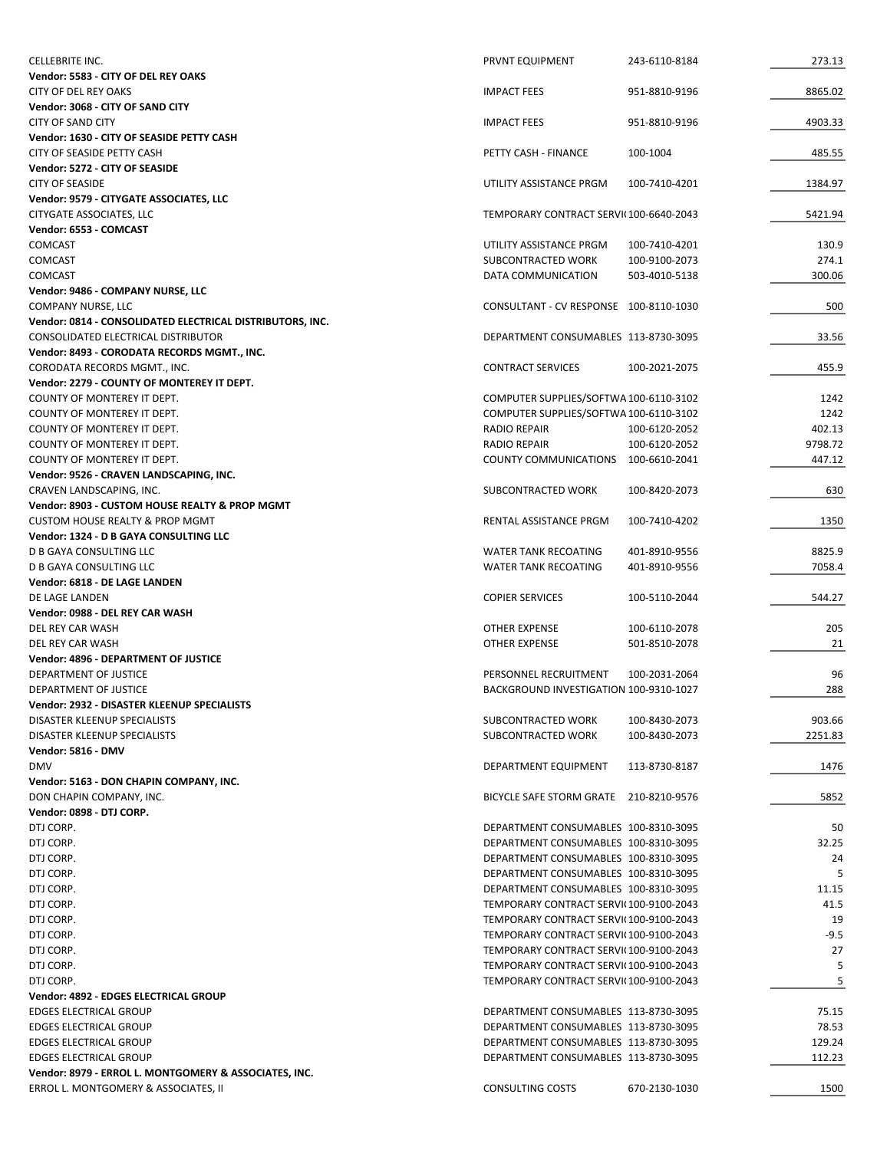| CELLEBRITE INC.                                                                               | PRVNT EQUIPMENT                        | 243-6110-8184 | 273.13  |
|-----------------------------------------------------------------------------------------------|----------------------------------------|---------------|---------|
| Vendor: 5583 - CITY OF DEL REY OAKS                                                           |                                        |               |         |
| <b>CITY OF DEL REY OAKS</b>                                                                   | <b>IMPACT FEES</b>                     | 951-8810-9196 | 8865.02 |
| Vendor: 3068 - CITY OF SAND CITY                                                              |                                        |               |         |
| <b>CITY OF SAND CITY</b>                                                                      | <b>IMPACT FEES</b>                     | 951-8810-9196 | 4903.33 |
| Vendor: 1630 - CITY OF SEASIDE PETTY CASH                                                     |                                        |               |         |
| CITY OF SEASIDE PETTY CASH                                                                    | PETTY CASH - FINANCE                   | 100-1004      | 485.55  |
| Vendor: 5272 - CITY OF SEASIDE                                                                |                                        |               |         |
| <b>CITY OF SEASIDE</b>                                                                        | UTILITY ASSISTANCE PRGM                | 100-7410-4201 | 1384.97 |
| Vendor: 9579 - CITYGATE ASSOCIATES, LLC                                                       | TEMPORARY CONTRACT SERVI(100-6640-2043 |               |         |
| CITYGATE ASSOCIATES, LLC<br>Vendor: 6553 - COMCAST                                            |                                        |               | 5421.94 |
| <b>COMCAST</b>                                                                                | UTILITY ASSISTANCE PRGM                | 100-7410-4201 | 130.9   |
| <b>COMCAST</b>                                                                                | SUBCONTRACTED WORK                     | 100-9100-2073 | 274.1   |
| <b>COMCAST</b>                                                                                | DATA COMMUNICATION                     | 503-4010-5138 | 300.06  |
| Vendor: 9486 - COMPANY NURSE, LLC                                                             |                                        |               |         |
| COMPANY NURSE, LLC                                                                            | CONSULTANT - CV RESPONSE 100-8110-1030 |               | 500     |
| Vendor: 0814 - CONSOLIDATED ELECTRICAL DISTRIBUTORS, INC.                                     |                                        |               |         |
| CONSOLIDATED ELECTRICAL DISTRIBUTOR                                                           | DEPARTMENT CONSUMABLES 113-8730-3095   |               | 33.56   |
| Vendor: 8493 - CORODATA RECORDS MGMT., INC.                                                   |                                        |               |         |
| CORODATA RECORDS MGMT., INC.                                                                  | <b>CONTRACT SERVICES</b>               | 100-2021-2075 | 455.9   |
| Vendor: 2279 - COUNTY OF MONTEREY IT DEPT.                                                    |                                        |               |         |
| COUNTY OF MONTEREY IT DEPT.                                                                   | COMPUTER SUPPLIES/SOFTWA 100-6110-3102 |               | 1242    |
| COUNTY OF MONTEREY IT DEPT.                                                                   | COMPUTER SUPPLIES/SOFTWA 100-6110-3102 |               | 1242    |
| COUNTY OF MONTEREY IT DEPT.                                                                   | <b>RADIO REPAIR</b>                    | 100-6120-2052 | 402.13  |
| COUNTY OF MONTEREY IT DEPT.                                                                   | <b>RADIO REPAIR</b>                    | 100-6120-2052 | 9798.72 |
| COUNTY OF MONTEREY IT DEPT.                                                                   | COUNTY COMMUNICATIONS 100-6610-2041    |               | 447.12  |
| Vendor: 9526 - CRAVEN LANDSCAPING, INC.                                                       |                                        |               |         |
| CRAVEN LANDSCAPING, INC.                                                                      | SUBCONTRACTED WORK                     | 100-8420-2073 | 630     |
| Vendor: 8903 - CUSTOM HOUSE REALTY & PROP MGMT                                                |                                        |               |         |
| <b>CUSTOM HOUSE REALTY &amp; PROP MGMT</b>                                                    | RENTAL ASSISTANCE PRGM                 | 100-7410-4202 | 1350    |
| Vendor: 1324 - D B GAYA CONSULTING LLC                                                        |                                        |               |         |
| D B GAYA CONSULTING LLC                                                                       | <b>WATER TANK RECOATING</b>            | 401-8910-9556 | 8825.9  |
| <b>D B GAYA CONSULTING LLC</b>                                                                | <b>WATER TANK RECOATING</b>            | 401-8910-9556 | 7058.4  |
| Vendor: 6818 - DE LAGE LANDEN                                                                 |                                        |               |         |
| DE LAGE LANDEN                                                                                | <b>COPIER SERVICES</b>                 | 100-5110-2044 | 544.27  |
| Vendor: 0988 - DEL REY CAR WASH                                                               |                                        |               |         |
|                                                                                               |                                        |               |         |
| DEL REY CAR WASH                                                                              | OTHER EXPENSE                          | 100-6110-2078 | 205     |
| DEL REY CAR WASH                                                                              | <b>OTHER EXPENSE</b>                   | 501-8510-2078 | 21      |
| Vendor: 4896 - DEPARTMENT OF JUSTICE                                                          |                                        |               |         |
| DEPARTMENT OF JUSTICE                                                                         | PERSONNEL RECRUITMENT                  | 100-2031-2064 | 96      |
| DEPARTMENT OF JUSTICE                                                                         | BACKGROUND INVESTIGATION 100-9310-1027 |               | 288     |
| Vendor: 2932 - DISASTER KLEENUP SPECIALISTS                                                   |                                        |               |         |
| DISASTER KLEENUP SPECIALISTS                                                                  | SUBCONTRACTED WORK                     | 100-8430-2073 | 903.66  |
| DISASTER KLEENUP SPECIALISTS                                                                  | SUBCONTRACTED WORK                     | 100-8430-2073 | 2251.83 |
| <b>Vendor: 5816 - DMV</b>                                                                     |                                        |               |         |
| <b>DMV</b><br>Vendor: 5163 - DON CHAPIN COMPANY, INC.                                         | DEPARTMENT EQUIPMENT                   | 113-8730-8187 | 1476    |
| DON CHAPIN COMPANY, INC.                                                                      | BICYCLE SAFE STORM GRATE 210-8210-9576 |               | 5852    |
| Vendor: 0898 - DTJ CORP.                                                                      |                                        |               |         |
| DTJ CORP.                                                                                     | DEPARTMENT CONSUMABLES 100-8310-3095   |               | 50      |
| DTJ CORP.                                                                                     | DEPARTMENT CONSUMABLES 100-8310-3095   |               | 32.25   |
| DTJ CORP.                                                                                     | DEPARTMENT CONSUMABLES 100-8310-3095   |               | 24      |
| DTJ CORP.                                                                                     | DEPARTMENT CONSUMABLES 100-8310-3095   |               | 5       |
| DTJ CORP.                                                                                     | DEPARTMENT CONSUMABLES 100-8310-3095   |               | 11.15   |
| DTJ CORP.                                                                                     | TEMPORARY CONTRACT SERVI(100-9100-2043 |               | 41.5    |
| DTJ CORP.                                                                                     | TEMPORARY CONTRACT SERVI(100-9100-2043 |               | 19      |
| DTJ CORP.                                                                                     | TEMPORARY CONTRACT SERVI(100-9100-2043 |               | $-9.5$  |
| DTJ CORP.                                                                                     | TEMPORARY CONTRACT SERVI(100-9100-2043 |               | 27      |
| DTJ CORP.                                                                                     | TEMPORARY CONTRACT SERVI(100-9100-2043 |               | 5       |
| DTJ CORP.                                                                                     | TEMPORARY CONTRACT SERVI(100-9100-2043 |               | 5       |
| Vendor: 4892 - EDGES ELECTRICAL GROUP                                                         |                                        |               |         |
| EDGES ELECTRICAL GROUP                                                                        | DEPARTMENT CONSUMABLES 113-8730-3095   |               | 75.15   |
| <b>EDGES ELECTRICAL GROUP</b>                                                                 | DEPARTMENT CONSUMABLES 113-8730-3095   |               | 78.53   |
| <b>EDGES ELECTRICAL GROUP</b>                                                                 | DEPARTMENT CONSUMABLES 113-8730-3095   |               | 129.24  |
| <b>EDGES ELECTRICAL GROUP</b>                                                                 | DEPARTMENT CONSUMABLES 113-8730-3095   |               | 112.23  |
| Vendor: 8979 - ERROL L. MONTGOMERY & ASSOCIATES, INC.<br>ERROL L. MONTGOMERY & ASSOCIATES, II | CONSULTING COSTS                       | 670-2130-1030 | 1500    |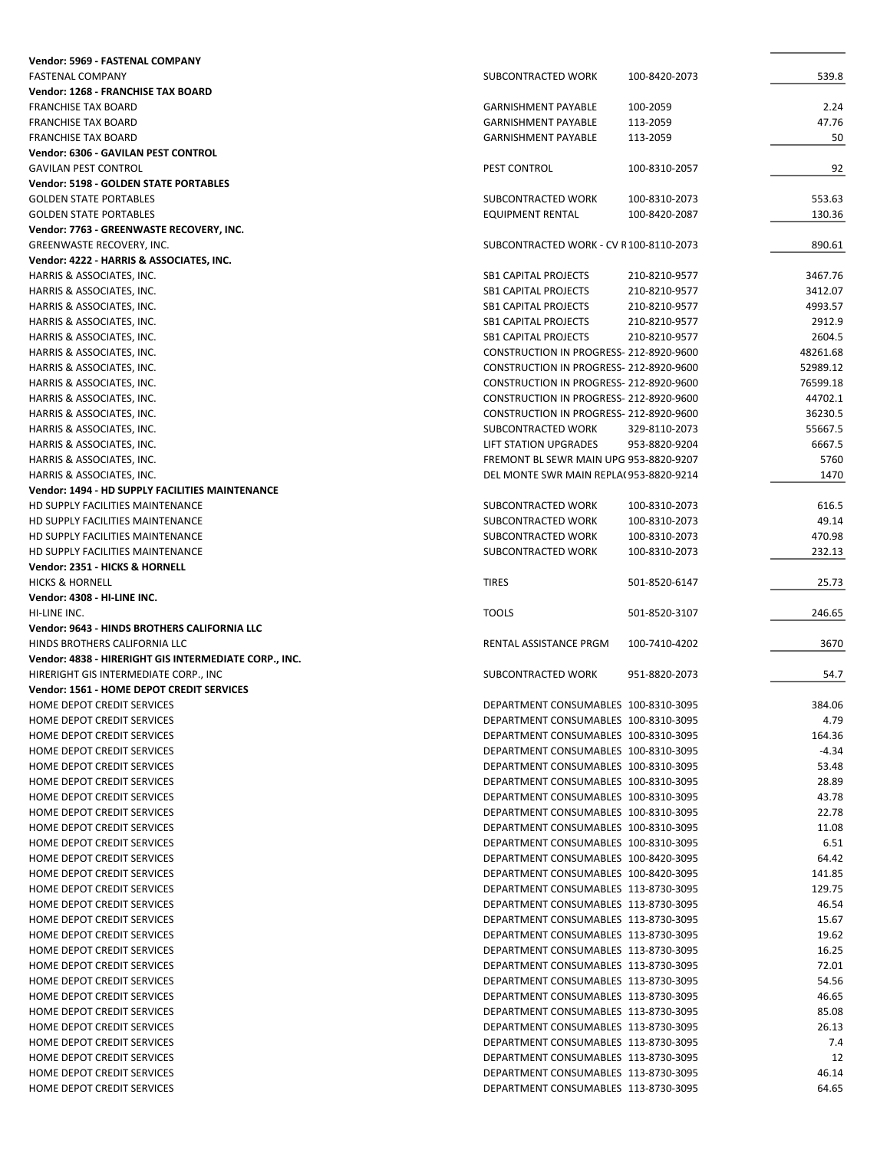| Vendor: 5969 - FASTENAL COMPANY                          |                                                                              |               |                |
|----------------------------------------------------------|------------------------------------------------------------------------------|---------------|----------------|
| <b>FASTENAL COMPANY</b>                                  | SUBCONTRACTED WORK                                                           | 100-8420-2073 | 539.8          |
| Vendor: 1268 - FRANCHISE TAX BOARD                       |                                                                              |               |                |
| <b>FRANCHISE TAX BOARD</b>                               | <b>GARNISHMENT PAYABLE</b>                                                   | 100-2059      | 2.24           |
| <b>FRANCHISE TAX BOARD</b>                               | <b>GARNISHMENT PAYABLE</b>                                                   | 113-2059      | 47.76          |
| <b>FRANCHISE TAX BOARD</b>                               | <b>GARNISHMENT PAYABLE</b>                                                   |               | 50             |
|                                                          |                                                                              | 113-2059      |                |
| Vendor: 6306 - GAVILAN PEST CONTROL                      |                                                                              |               |                |
| <b>GAVILAN PEST CONTROL</b>                              | PEST CONTROL                                                                 | 100-8310-2057 | 92             |
| <b>Vendor: 5198 - GOLDEN STATE PORTABLES</b>             |                                                                              |               |                |
| <b>GOLDEN STATE PORTABLES</b>                            | SUBCONTRACTED WORK                                                           | 100-8310-2073 | 553.63         |
| <b>GOLDEN STATE PORTABLES</b>                            | <b>EQUIPMENT RENTAL</b>                                                      | 100-8420-2087 | 130.36         |
| Vendor: 7763 - GREENWASTE RECOVERY, INC.                 |                                                                              |               |                |
| GREENWASTE RECOVERY, INC.                                | SUBCONTRACTED WORK - CV R100-8110-2073                                       |               | 890.61         |
|                                                          |                                                                              |               |                |
| Vendor: 4222 - HARRIS & ASSOCIATES, INC.                 |                                                                              |               |                |
| HARRIS & ASSOCIATES, INC.                                | <b>SB1 CAPITAL PROJECTS</b>                                                  | 210-8210-9577 | 3467.76        |
| HARRIS & ASSOCIATES, INC.                                | <b>SB1 CAPITAL PROJECTS</b>                                                  | 210-8210-9577 | 3412.07        |
| HARRIS & ASSOCIATES, INC.                                | <b>SB1 CAPITAL PROJECTS</b>                                                  | 210-8210-9577 | 4993.57        |
| HARRIS & ASSOCIATES, INC.                                | <b>SB1 CAPITAL PROJECTS</b>                                                  | 210-8210-9577 | 2912.9         |
| HARRIS & ASSOCIATES, INC.                                | <b>SB1 CAPITAL PROJECTS</b>                                                  | 210-8210-9577 | 2604.5         |
| HARRIS & ASSOCIATES, INC.                                | CONSTRUCTION IN PROGRESS- 212-8920-9600                                      |               | 48261.68       |
|                                                          |                                                                              |               |                |
| HARRIS & ASSOCIATES, INC.                                | CONSTRUCTION IN PROGRESS- 212-8920-9600                                      |               | 52989.12       |
| HARRIS & ASSOCIATES, INC.                                | CONSTRUCTION IN PROGRESS- 212-8920-9600                                      |               | 76599.18       |
| HARRIS & ASSOCIATES, INC.                                | CONSTRUCTION IN PROGRESS- 212-8920-9600                                      |               | 44702.1        |
| HARRIS & ASSOCIATES, INC.                                | CONSTRUCTION IN PROGRESS- 212-8920-9600                                      |               | 36230.5        |
| HARRIS & ASSOCIATES, INC.                                | SUBCONTRACTED WORK                                                           | 329-8110-2073 | 55667.5        |
| HARRIS & ASSOCIATES, INC.                                | LIFT STATION UPGRADES                                                        | 953-8820-9204 | 6667.5         |
|                                                          | FREMONT BL SEWR MAIN UPG 953-8820-9207                                       |               |                |
| HARRIS & ASSOCIATES, INC.                                |                                                                              |               | 5760           |
| HARRIS & ASSOCIATES, INC.                                | DEL MONTE SWR MAIN REPLA(953-8820-9214                                       |               | 1470           |
| Vendor: 1494 - HD SUPPLY FACILITIES MAINTENANCE          |                                                                              |               |                |
| HD SUPPLY FACILITIES MAINTENANCE                         | SUBCONTRACTED WORK                                                           | 100-8310-2073 | 616.5          |
| HD SUPPLY FACILITIES MAINTENANCE                         | SUBCONTRACTED WORK                                                           | 100-8310-2073 | 49.14          |
| HD SUPPLY FACILITIES MAINTENANCE                         | SUBCONTRACTED WORK                                                           | 100-8310-2073 | 470.98         |
| HD SUPPLY FACILITIES MAINTENANCE                         | SUBCONTRACTED WORK                                                           | 100-8310-2073 | 232.13         |
|                                                          |                                                                              |               |                |
| Vendor: 2351 - HICKS & HORNELL                           |                                                                              |               |                |
| <b>HICKS &amp; HORNELL</b>                               | <b>TIRES</b>                                                                 | 501-8520-6147 | 25.73          |
| Vendor: 4308 - HI-LINE INC.                              |                                                                              |               |                |
| HI-LINE INC.                                             | <b>TOOLS</b>                                                                 | 501-8520-3107 | 246.65         |
| Vendor: 9643 - HINDS BROTHERS CALIFORNIA LLC             |                                                                              |               |                |
| HINDS BROTHERS CALIFORNIA LLC                            | RENTAL ASSISTANCE PRGM                                                       | 100-7410-4202 | 3670           |
| Vendor: 4838 - HIRERIGHT GIS INTERMEDIATE CORP., INC.    |                                                                              |               |                |
|                                                          |                                                                              |               |                |
| HIRERIGHT GIS INTERMEDIATE CORP., INC                    | SUBCONTRACTED WORK                                                           | 951-8820-2073 | 54.7           |
| Vendor: 1561 - HOME DEPOT CREDIT SERVICES                |                                                                              |               |                |
|                                                          |                                                                              |               |                |
| HOME DEPOT CREDIT SERVICES                               | DEPARTMENT CONSUMABLES 100-8310-3095                                         |               | 384.06         |
| HOME DEPOT CREDIT SERVICES                               | DEPARTMENT CONSUMABLES 100-8310-3095                                         |               | 4.79           |
| <b>HOME DEPOT CREDIT SERVICES</b>                        | DEPARTMENT CONSUMABLES 100-8310-3095                                         |               |                |
|                                                          |                                                                              |               | 164.36         |
| HOME DEPOT CREDIT SERVICES                               | DEPARTMENT CONSUMABLES 100-8310-3095                                         |               | $-4.34$        |
| HOME DEPOT CREDIT SERVICES                               | DEPARTMENT CONSUMABLES 100-8310-3095                                         |               | 53.48          |
| HOME DEPOT CREDIT SERVICES                               | DEPARTMENT CONSUMABLES 100-8310-3095                                         |               | 28.89          |
| HOME DEPOT CREDIT SERVICES                               | DEPARTMENT CONSUMABLES 100-8310-3095                                         |               | 43.78          |
| HOME DEPOT CREDIT SERVICES                               | DEPARTMENT CONSUMABLES 100-8310-3095                                         |               | 22.78          |
|                                                          | DEPARTMENT CONSUMABLES 100-8310-3095                                         |               |                |
| HOME DEPOT CREDIT SERVICES                               |                                                                              |               | 11.08          |
| HOME DEPOT CREDIT SERVICES                               | DEPARTMENT CONSUMABLES 100-8310-3095                                         |               | 6.51           |
| HOME DEPOT CREDIT SERVICES                               | DEPARTMENT CONSUMABLES 100-8420-3095                                         |               | 64.42          |
| HOME DEPOT CREDIT SERVICES                               | DEPARTMENT CONSUMABLES 100-8420-3095                                         |               | 141.85         |
| HOME DEPOT CREDIT SERVICES                               | DEPARTMENT CONSUMABLES 113-8730-3095                                         |               | 129.75         |
| HOME DEPOT CREDIT SERVICES                               | DEPARTMENT CONSUMABLES 113-8730-3095                                         |               | 46.54          |
| HOME DEPOT CREDIT SERVICES                               | DEPARTMENT CONSUMABLES 113-8730-3095                                         |               | 15.67          |
|                                                          |                                                                              |               |                |
| HOME DEPOT CREDIT SERVICES                               | DEPARTMENT CONSUMABLES 113-8730-3095                                         |               | 19.62          |
| HOME DEPOT CREDIT SERVICES                               | DEPARTMENT CONSUMABLES 113-8730-3095                                         |               | 16.25          |
| HOME DEPOT CREDIT SERVICES                               | DEPARTMENT CONSUMABLES 113-8730-3095                                         |               | 72.01          |
| HOME DEPOT CREDIT SERVICES                               | DEPARTMENT CONSUMABLES 113-8730-3095                                         |               | 54.56          |
| HOME DEPOT CREDIT SERVICES                               | DEPARTMENT CONSUMABLES 113-8730-3095                                         |               | 46.65          |
| HOME DEPOT CREDIT SERVICES                               | DEPARTMENT CONSUMABLES 113-8730-3095                                         |               | 85.08          |
| HOME DEPOT CREDIT SERVICES                               | DEPARTMENT CONSUMABLES 113-8730-3095                                         |               | 26.13          |
|                                                          |                                                                              |               |                |
| HOME DEPOT CREDIT SERVICES                               | DEPARTMENT CONSUMABLES 113-8730-3095                                         |               | 7.4            |
| HOME DEPOT CREDIT SERVICES                               | DEPARTMENT CONSUMABLES 113-8730-3095                                         |               | 12             |
| HOME DEPOT CREDIT SERVICES<br>HOME DEPOT CREDIT SERVICES | DEPARTMENT CONSUMABLES 113-8730-3095<br>DEPARTMENT CONSUMABLES 113-8730-3095 |               | 46.14<br>64.65 |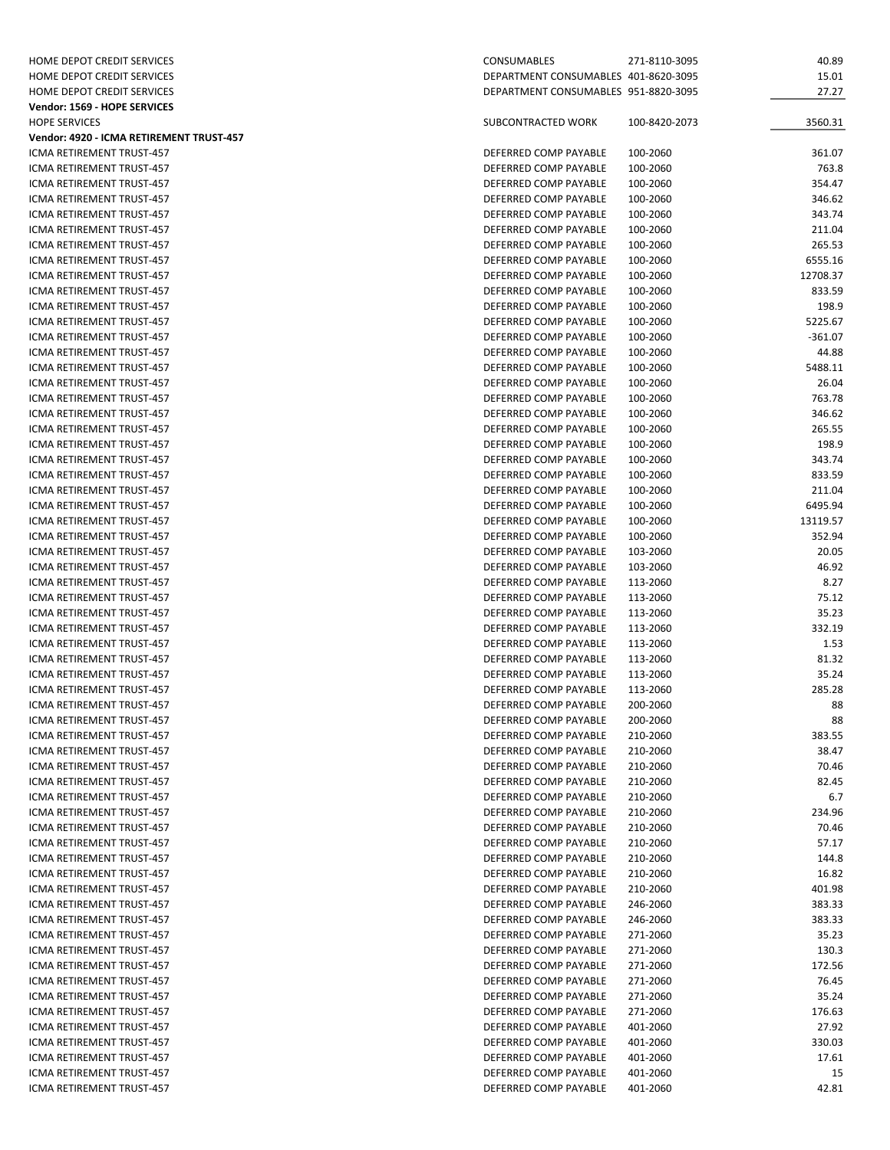| HOME DEPOT CREDIT SERVICES               | CONSUMABLES                          | 271-8110-3095 | 40.89     |
|------------------------------------------|--------------------------------------|---------------|-----------|
| HOME DEPOT CREDIT SERVICES               | DEPARTMENT CONSUMABLES 401-8620-3095 |               | 15.01     |
| HOME DEPOT CREDIT SERVICES               | DEPARTMENT CONSUMABLES 951-8820-3095 |               | 27.27     |
| Vendor: 1569 - HOPE SERVICES             |                                      |               |           |
|                                          |                                      |               |           |
| <b>HOPE SERVICES</b>                     | SUBCONTRACTED WORK                   | 100-8420-2073 | 3560.31   |
| Vendor: 4920 - ICMA RETIREMENT TRUST-457 |                                      |               |           |
| ICMA RETIREMENT TRUST-457                | DEFERRED COMP PAYABLE                | 100-2060      | 361.07    |
| ICMA RETIREMENT TRUST-457                | DEFERRED COMP PAYABLE                | 100-2060      | 763.8     |
| ICMA RETIREMENT TRUST-457                | DEFERRED COMP PAYABLE                | 100-2060      | 354.47    |
| ICMA RETIREMENT TRUST-457                | DEFERRED COMP PAYABLE                | 100-2060      | 346.62    |
| <b>ICMA RETIREMENT TRUST-457</b>         | DEFERRED COMP PAYABLE                | 100-2060      | 343.74    |
| ICMA RETIREMENT TRUST-457                | DEFERRED COMP PAYABLE                | 100-2060      | 211.04    |
| ICMA RETIREMENT TRUST-457                | DEFERRED COMP PAYABLE                | 100-2060      | 265.53    |
|                                          | DEFERRED COMP PAYABLE                |               | 6555.16   |
| ICMA RETIREMENT TRUST-457                |                                      | 100-2060      |           |
| ICMA RETIREMENT TRUST-457                | DEFERRED COMP PAYABLE                | 100-2060      | 12708.37  |
| ICMA RETIREMENT TRUST-457                | DEFERRED COMP PAYABLE                | 100-2060      | 833.59    |
| ICMA RETIREMENT TRUST-457                | DEFERRED COMP PAYABLE                | 100-2060      | 198.9     |
| ICMA RETIREMENT TRUST-457                | DEFERRED COMP PAYABLE                | 100-2060      | 5225.67   |
| ICMA RETIREMENT TRUST-457                | DEFERRED COMP PAYABLE                | 100-2060      | $-361.07$ |
| ICMA RETIREMENT TRUST-457                | DEFERRED COMP PAYABLE                | 100-2060      | 44.88     |
| ICMA RETIREMENT TRUST-457                | DEFERRED COMP PAYABLE                | 100-2060      | 5488.11   |
| ICMA RETIREMENT TRUST-457                | DEFERRED COMP PAYABLE                | 100-2060      | 26.04     |
| ICMA RETIREMENT TRUST-457                | DEFERRED COMP PAYABLE                | 100-2060      | 763.78    |
|                                          |                                      |               |           |
| ICMA RETIREMENT TRUST-457                | DEFERRED COMP PAYABLE                | 100-2060      | 346.62    |
| ICMA RETIREMENT TRUST-457                | DEFERRED COMP PAYABLE                | 100-2060      | 265.55    |
| ICMA RETIREMENT TRUST-457                | DEFERRED COMP PAYABLE                | 100-2060      | 198.9     |
| ICMA RETIREMENT TRUST-457                | DEFERRED COMP PAYABLE                | 100-2060      | 343.74    |
| ICMA RETIREMENT TRUST-457                | DEFERRED COMP PAYABLE                | 100-2060      | 833.59    |
| ICMA RETIREMENT TRUST-457                | DEFERRED COMP PAYABLE                | 100-2060      | 211.04    |
| ICMA RETIREMENT TRUST-457                | DEFERRED COMP PAYABLE                | 100-2060      | 6495.94   |
| ICMA RETIREMENT TRUST-457                | DEFERRED COMP PAYABLE                | 100-2060      | 13119.57  |
| ICMA RETIREMENT TRUST-457                | DEFERRED COMP PAYABLE                | 100-2060      | 352.94    |
|                                          |                                      |               |           |
| ICMA RETIREMENT TRUST-457                | DEFERRED COMP PAYABLE                | 103-2060      | 20.05     |
| ICMA RETIREMENT TRUST-457                | DEFERRED COMP PAYABLE                | 103-2060      | 46.92     |
| ICMA RETIREMENT TRUST-457                | DEFERRED COMP PAYABLE                | 113-2060      | 8.27      |
| ICMA RETIREMENT TRUST-457                | DEFERRED COMP PAYABLE                | 113-2060      | 75.12     |
| ICMA RETIREMENT TRUST-457                | DEFERRED COMP PAYABLE                | 113-2060      | 35.23     |
| ICMA RETIREMENT TRUST-457                | DEFERRED COMP PAYABLE                | 113-2060      | 332.19    |
| ICMA RETIREMENT TRUST-457                | DEFERRED COMP PAYABLE                | 113-2060      | 1.53      |
| ICMA RETIREMENT TRUST-457                | DEFERRED COMP PAYABLE                | 113-2060      | 81.32     |
| ICMA RETIREMENT TRUST-457                | DEFERRED COMP PAYABLE                | 113-2060      | 35.24     |
| ICMA RETIREMENT TRUST-457                | DEFERRED COMP PAYABLE                | 113-2060      | 285.28    |
|                                          |                                      |               |           |
| ICMA RETIREMENT TRUST-457                | DEFERRED COMP PAYABLE                | 200-2060      | 88        |
| ICMA RETIREMENT TRUST-457                | DEFERRED COMP PAYABLE                | 200-2060      | 88        |
| <b>ICMA RETIREMENT TRUST-457</b>         | DEFERRED COMP PAYABLE                | 210-2060      | 383.55    |
| ICMA RETIREMENT TRUST-457                | DEFERRED COMP PAYABLE                | 210-2060      | 38.47     |
| ICMA RETIREMENT TRUST-457                | DEFERRED COMP PAYABLE                | 210-2060      | 70.46     |
| ICMA RETIREMENT TRUST-457                | DEFERRED COMP PAYABLE                | 210-2060      | 82.45     |
| ICMA RETIREMENT TRUST-457                | DEFERRED COMP PAYABLE                | 210-2060      | 6.7       |
| ICMA RETIREMENT TRUST-457                | DEFERRED COMP PAYABLE                | 210-2060      | 234.96    |
| ICMA RETIREMENT TRUST-457                | DEFERRED COMP PAYABLE                | 210-2060      | 70.46     |
|                                          |                                      |               |           |
| ICMA RETIREMENT TRUST-457                | DEFERRED COMP PAYABLE                | 210-2060      | 57.17     |
| ICMA RETIREMENT TRUST-457                | DEFERRED COMP PAYABLE                | 210-2060      | 144.8     |
| ICMA RETIREMENT TRUST-457                | DEFERRED COMP PAYABLE                | 210-2060      | 16.82     |
| ICMA RETIREMENT TRUST-457                | DEFERRED COMP PAYABLE                | 210-2060      | 401.98    |
| ICMA RETIREMENT TRUST-457                | DEFERRED COMP PAYABLE                | 246-2060      | 383.33    |
| ICMA RETIREMENT TRUST-457                | DEFERRED COMP PAYABLE                | 246-2060      | 383.33    |
| ICMA RETIREMENT TRUST-457                | DEFERRED COMP PAYABLE                | 271-2060      | 35.23     |
| ICMA RETIREMENT TRUST-457                | DEFERRED COMP PAYABLE                | 271-2060      | 130.3     |
| ICMA RETIREMENT TRUST-457                |                                      | 271-2060      | 172.56    |
|                                          | DEFERRED COMP PAYABLE                |               |           |
| ICMA RETIREMENT TRUST-457                | DEFERRED COMP PAYABLE                | 271-2060      | 76.45     |
| ICMA RETIREMENT TRUST-457                | DEFERRED COMP PAYABLE                | 271-2060      | 35.24     |
| ICMA RETIREMENT TRUST-457                | DEFERRED COMP PAYABLE                | 271-2060      | 176.63    |
| ICMA RETIREMENT TRUST-457                | DEFERRED COMP PAYABLE                | 401-2060      | 27.92     |
| ICMA RETIREMENT TRUST-457                | DEFERRED COMP PAYABLE                | 401-2060      | 330.03    |
| ICMA RETIREMENT TRUST-457                | DEFERRED COMP PAYABLE                | 401-2060      | 17.61     |
| ICMA RETIREMENT TRUST-457                | DEFERRED COMP PAYABLE                | 401-2060      | 15        |
| ICMA RETIREMENT TRUST-457                | DEFERRED COMP PAYABLE                | 401-2060      | 42.81     |
|                                          |                                      |               |           |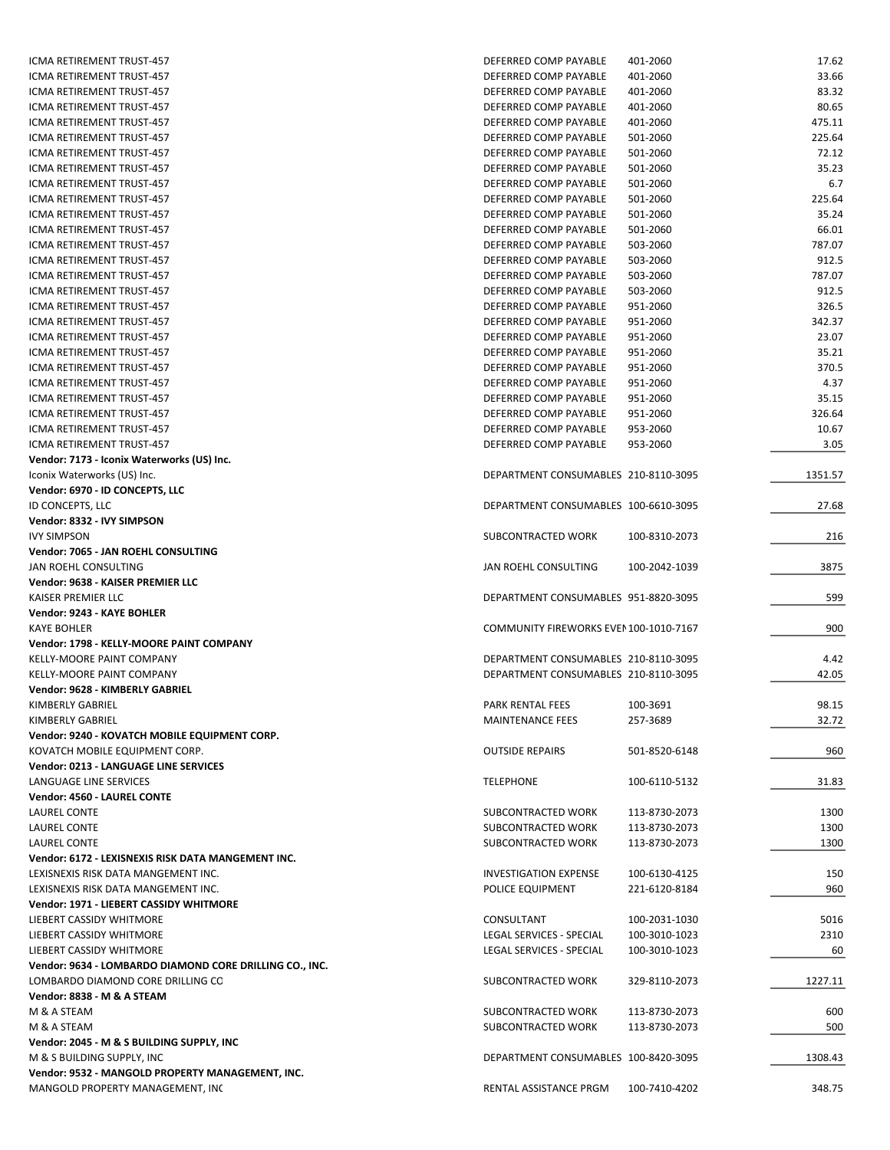| ICMA RETIREMENT TRUST-457                               | DEFERRED COMP PAYABLE                  | 401-2060      | 17.62   |
|---------------------------------------------------------|----------------------------------------|---------------|---------|
| ICMA RETIREMENT TRUST-457                               | DEFERRED COMP PAYABLE                  | 401-2060      | 33.66   |
| ICMA RETIREMENT TRUST-457                               | DEFERRED COMP PAYABLE                  | 401-2060      | 83.32   |
| ICMA RETIREMENT TRUST-457                               | DEFERRED COMP PAYABLE                  | 401-2060      | 80.65   |
| ICMA RETIREMENT TRUST-457                               | DEFERRED COMP PAYABLE                  | 401-2060      | 475.11  |
|                                                         |                                        |               |         |
| ICMA RETIREMENT TRUST-457                               | DEFERRED COMP PAYABLE                  | 501-2060      | 225.64  |
| ICMA RETIREMENT TRUST-457                               | DEFERRED COMP PAYABLE                  | 501-2060      | 72.12   |
| ICMA RETIREMENT TRUST-457                               | DEFERRED COMP PAYABLE                  | 501-2060      | 35.23   |
| ICMA RETIREMENT TRUST-457                               | DEFERRED COMP PAYABLE                  | 501-2060      | 6.7     |
| ICMA RETIREMENT TRUST-457                               | DEFERRED COMP PAYABLE                  | 501-2060      | 225.64  |
| ICMA RETIREMENT TRUST-457                               | DEFERRED COMP PAYABLE                  | 501-2060      | 35.24   |
| ICMA RETIREMENT TRUST-457                               | DEFERRED COMP PAYABLE                  | 501-2060      | 66.01   |
| ICMA RETIREMENT TRUST-457                               | DEFERRED COMP PAYABLE                  | 503-2060      | 787.07  |
|                                                         |                                        |               |         |
| ICMA RETIREMENT TRUST-457                               | DEFERRED COMP PAYABLE                  | 503-2060      | 912.5   |
| ICMA RETIREMENT TRUST-457                               | DEFERRED COMP PAYABLE                  | 503-2060      | 787.07  |
| ICMA RETIREMENT TRUST-457                               | DEFERRED COMP PAYABLE                  | 503-2060      | 912.5   |
| ICMA RETIREMENT TRUST-457                               | DEFERRED COMP PAYABLE                  | 951-2060      | 326.5   |
| ICMA RETIREMENT TRUST-457                               | DEFERRED COMP PAYABLE                  | 951-2060      | 342.37  |
| ICMA RETIREMENT TRUST-457                               | DEFERRED COMP PAYABLE                  | 951-2060      | 23.07   |
| ICMA RETIREMENT TRUST-457                               | DEFERRED COMP PAYABLE                  | 951-2060      | 35.21   |
| ICMA RETIREMENT TRUST-457                               | DEFERRED COMP PAYABLE                  | 951-2060      | 370.5   |
| ICMA RETIREMENT TRUST-457                               | DEFERRED COMP PAYABLE                  |               |         |
|                                                         |                                        | 951-2060      | 4.37    |
| ICMA RETIREMENT TRUST-457                               | DEFERRED COMP PAYABLE                  | 951-2060      | 35.15   |
| <b>ICMA RETIREMENT TRUST-457</b>                        | DEFERRED COMP PAYABLE                  | 951-2060      | 326.64  |
| ICMA RETIREMENT TRUST-457                               | DEFERRED COMP PAYABLE                  | 953-2060      | 10.67   |
| ICMA RETIREMENT TRUST-457                               | DEFERRED COMP PAYABLE                  | 953-2060      | 3.05    |
| Vendor: 7173 - Iconix Waterworks (US) Inc.              |                                        |               |         |
| Iconix Waterworks (US) Inc.                             | DEPARTMENT CONSUMABLES 210-8110-3095   |               | 1351.57 |
| Vendor: 6970 - ID CONCEPTS, LLC                         |                                        |               |         |
| ID CONCEPTS, LLC                                        | DEPARTMENT CONSUMABLES 100-6610-3095   |               | 27.68   |
|                                                         |                                        |               |         |
| Vendor: 8332 - IVY SIMPSON                              |                                        |               |         |
| <b>IVY SIMPSON</b>                                      | SUBCONTRACTED WORK                     | 100-8310-2073 | 216     |
| Vendor: 7065 - JAN ROEHL CONSULTING                     |                                        |               |         |
| JAN ROEHL CONSULTING                                    | JAN ROEHL CONSULTING                   | 100-2042-1039 | 3875    |
| Vendor: 9638 - KAISER PREMIER LLC                       |                                        |               |         |
| KAISER PREMIER LLC                                      | DEPARTMENT CONSUMABLES 951-8820-3095   |               | 599     |
| Vendor: 9243 - KAYE BOHLER                              |                                        |               |         |
| <b>KAYE BOHLER</b>                                      | COMMUNITY FIREWORKS EVEN 100-1010-7167 |               | 900     |
| Vendor: 1798 - KELLY-MOORE PAINT COMPANY                |                                        |               |         |
|                                                         |                                        |               |         |
| KELLY-MOORE PAINT COMPANY                               | DEPARTMENT CONSUMABLES 210-8110-3095   |               | 4.42    |
| KELLY-MOORE PAINT COMPANY                               | DEPARTMENT CONSUMABLES 210-8110-3095   |               | 42.05   |
| Vendor: 9628 - KIMBERLY GABRIEL                         |                                        |               |         |
| KIMBERLY GABRIEL                                        | PARK RENTAL FEES                       | 100-3691      | 98.15   |
| KIMBERLY GABRIEL                                        | <b>MAINTENANCE FEES</b>                | 257-3689      | 32.72   |
| Vendor: 9240 - KOVATCH MOBILE EQUIPMENT CORP.           |                                        |               |         |
| KOVATCH MOBILE EQUIPMENT CORP.                          | <b>OUTSIDE REPAIRS</b>                 | 501-8520-6148 | 960     |
| Vendor: 0213 - LANGUAGE LINE SERVICES                   |                                        |               |         |
|                                                         |                                        |               |         |
| LANGUAGE LINE SERVICES                                  | <b>TELEPHONE</b>                       | 100-6110-5132 | 31.83   |
| Vendor: 4560 - LAUREL CONTE                             |                                        |               |         |
| LAUREL CONTE                                            | SUBCONTRACTED WORK                     | 113-8730-2073 | 1300    |
| LAUREL CONTE                                            | SUBCONTRACTED WORK                     | 113-8730-2073 | 1300    |
| LAUREL CONTE                                            | SUBCONTRACTED WORK                     | 113-8730-2073 | 1300    |
| Vendor: 6172 - LEXISNEXIS RISK DATA MANGEMENT INC.      |                                        |               |         |
| LEXISNEXIS RISK DATA MANGEMENT INC.                     | <b>INVESTIGATION EXPENSE</b>           | 100-6130-4125 | 150     |
| LEXISNEXIS RISK DATA MANGEMENT INC.                     | POLICE EQUIPMENT                       | 221-6120-8184 | 960     |
| Vendor: 1971 - LIEBERT CASSIDY WHITMORE                 |                                        |               |         |
|                                                         |                                        |               |         |
| LIEBERT CASSIDY WHITMORE                                | CONSULTANT                             | 100-2031-1030 | 5016    |
| LIEBERT CASSIDY WHITMORE                                | LEGAL SERVICES - SPECIAL               | 100-3010-1023 | 2310    |
| LIEBERT CASSIDY WHITMORE                                | LEGAL SERVICES - SPECIAL               | 100-3010-1023 | 60      |
| Vendor: 9634 - LOMBARDO DIAMOND CORE DRILLING CO., INC. |                                        |               |         |
| LOMBARDO DIAMOND CORE DRILLING CO                       | SUBCONTRACTED WORK                     | 329-8110-2073 | 1227.11 |
| Vendor: 8838 - M & A STEAM                              |                                        |               |         |
| M & A STEAM                                             | SUBCONTRACTED WORK                     | 113-8730-2073 | 600     |
| M & A STEAM                                             | SUBCONTRACTED WORK                     | 113-8730-2073 | 500     |
|                                                         |                                        |               |         |
| Vendor: 2045 - M & S BUILDING SUPPLY, INC               |                                        |               |         |
| M & S BUILDING SUPPLY, INC                              | DEPARTMENT CONSUMABLES 100-8420-3095   |               | 1308.43 |
| Vendor: 9532 - MANGOLD PROPERTY MANAGEMENT, INC.        |                                        |               |         |
| MANGOLD PROPERTY MANAGEMENT, INC                        |                                        |               | 348.75  |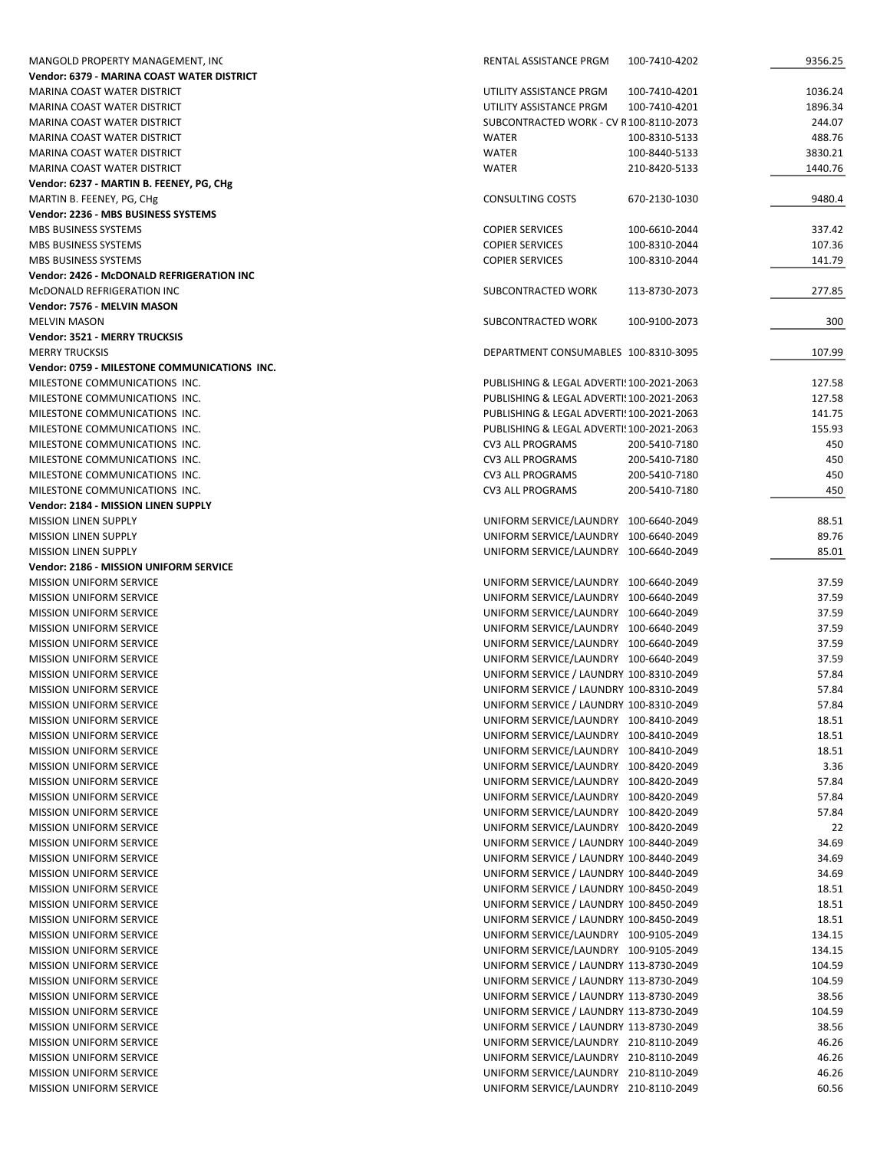| MANGOLD PROPERTY MANAGEMENT, INC             | RENTAL ASSISTANCE PRGM<br>100-7410-4202   | 9356.25 |
|----------------------------------------------|-------------------------------------------|---------|
| Vendor: 6379 - MARINA COAST WATER DISTRICT   |                                           |         |
| MARINA COAST WATER DISTRICT                  | UTILITY ASSISTANCE PRGM<br>100-7410-4201  | 1036.24 |
| MARINA COAST WATER DISTRICT                  | UTILITY ASSISTANCE PRGM<br>100-7410-4201  | 1896.34 |
| MARINA COAST WATER DISTRICT                  | SUBCONTRACTED WORK - CV R100-8110-2073    | 244.07  |
| MARINA COAST WATER DISTRICT                  | <b>WATER</b><br>100-8310-5133             | 488.76  |
| MARINA COAST WATER DISTRICT                  | <b>WATER</b><br>100-8440-5133             | 3830.21 |
| MARINA COAST WATER DISTRICT                  | <b>WATER</b><br>210-8420-5133             | 1440.76 |
| Vendor: 6237 - MARTIN B. FEENEY, PG, CHg     |                                           |         |
| MARTIN B. FEENEY, PG, CHg                    | <b>CONSULTING COSTS</b><br>670-2130-1030  | 9480.4  |
| Vendor: 2236 - MBS BUSINESS SYSTEMS          |                                           |         |
| MBS BUSINESS SYSTEMS                         | <b>COPIER SERVICES</b><br>100-6610-2044   | 337.42  |
| MBS BUSINESS SYSTEMS                         | <b>COPIER SERVICES</b><br>100-8310-2044   | 107.36  |
| MBS BUSINESS SYSTEMS                         | <b>COPIER SERVICES</b><br>100-8310-2044   | 141.79  |
| Vendor: 2426 - McDONALD REFRIGERATION INC    |                                           |         |
| MCDONALD REFRIGERATION INC                   | SUBCONTRACTED WORK<br>113-8730-2073       | 277.85  |
| Vendor: 7576 - MELVIN MASON                  |                                           |         |
| <b>MELVIN MASON</b>                          | SUBCONTRACTED WORK<br>100-9100-2073       | 300     |
| Vendor: 3521 - MERRY TRUCKSIS                |                                           |         |
| <b>MERRY TRUCKSIS</b>                        | DEPARTMENT CONSUMABLES 100-8310-3095      | 107.99  |
| Vendor: 0759 - MILESTONE COMMUNICATIONS INC. |                                           |         |
| MILESTONE COMMUNICATIONS INC.                | PUBLISHING & LEGAL ADVERTI: 100-2021-2063 | 127.58  |
| MILESTONE COMMUNICATIONS INC.                | PUBLISHING & LEGAL ADVERTI! 100-2021-2063 | 127.58  |
| MILESTONE COMMUNICATIONS INC.                | PUBLISHING & LEGAL ADVERTI! 100-2021-2063 | 141.75  |
| MILESTONE COMMUNICATIONS INC.                | PUBLISHING & LEGAL ADVERTI! 100-2021-2063 | 155.93  |
| MILESTONE COMMUNICATIONS INC.                | <b>CV3 ALL PROGRAMS</b><br>200-5410-7180  | 450     |
| MILESTONE COMMUNICATIONS INC.                | <b>CV3 ALL PROGRAMS</b><br>200-5410-7180  | 450     |
| MILESTONE COMMUNICATIONS INC.                | CV3 ALL PROGRAMS<br>200-5410-7180         | 450     |
| MILESTONE COMMUNICATIONS INC.                | <b>CV3 ALL PROGRAMS</b><br>200-5410-7180  | 450     |
| Vendor: 2184 - MISSION LINEN SUPPLY          |                                           |         |
| <b>MISSION LINEN SUPPLY</b>                  | UNIFORM SERVICE/LAUNDRY 100-6640-2049     | 88.51   |
| <b>MISSION LINEN SUPPLY</b>                  | UNIFORM SERVICE/LAUNDRY 100-6640-2049     | 89.76   |
| <b>MISSION LINEN SUPPLY</b>                  | UNIFORM SERVICE/LAUNDRY 100-6640-2049     | 85.01   |
| Vendor: 2186 - MISSION UNIFORM SERVICE       |                                           |         |
| <b>MISSION UNIFORM SERVICE</b>               | UNIFORM SERVICE/LAUNDRY 100-6640-2049     | 37.59   |
| <b>MISSION UNIFORM SERVICE</b>               | UNIFORM SERVICE/LAUNDRY 100-6640-2049     | 37.59   |
| <b>MISSION UNIFORM SERVICE</b>               | UNIFORM SERVICE/LAUNDRY 100-6640-2049     | 37.59   |
| <b>MISSION UNIFORM SERVICE</b>               | UNIFORM SERVICE/LAUNDRY 100-6640-2049     | 37.59   |
| <b>MISSION UNIFORM SERVICE</b>               | UNIFORM SERVICE/LAUNDRY 100-6640-2049     | 37.59   |
| <b>MISSION UNIFORM SERVICE</b>               | UNIFORM SERVICE/LAUNDRY 100-6640-2049     | 37.59   |
| <b>MISSION UNIFORM SERVICE</b>               | UNIFORM SERVICE / LAUNDRY 100-8310-2049   | 57.84   |
| <b>MISSION UNIFORM SERVICE</b>               | UNIFORM SERVICE / LAUNDRY 100-8310-2049   | 57.84   |
| <b>MISSION UNIFORM SERVICE</b>               | UNIFORM SERVICE / LAUNDRY 100-8310-2049   | 57.84   |
| <b>MISSION UNIFORM SERVICE</b>               | UNIFORM SERVICE/LAUNDRY 100-8410-2049     | 18.51   |
| <b>MISSION UNIFORM SERVICE</b>               | UNIFORM SERVICE/LAUNDRY 100-8410-2049     | 18.51   |
| <b>MISSION UNIFORM SERVICE</b>               | UNIFORM SERVICE/LAUNDRY 100-8410-2049     | 18.51   |
| MISSION UNIFORM SERVICE                      | UNIFORM SERVICE/LAUNDRY 100-8420-2049     | 3.36    |
| MISSION UNIFORM SERVICE                      | UNIFORM SERVICE/LAUNDRY 100-8420-2049     | 57.84   |
| <b>MISSION UNIFORM SERVICE</b>               | UNIFORM SERVICE/LAUNDRY 100-8420-2049     | 57.84   |
| <b>MISSION UNIFORM SERVICE</b>               | UNIFORM SERVICE/LAUNDRY 100-8420-2049     | 57.84   |
| MISSION UNIFORM SERVICE                      | UNIFORM SERVICE/LAUNDRY 100-8420-2049     | 22      |
| <b>MISSION UNIFORM SERVICE</b>               | UNIFORM SERVICE / LAUNDRY 100-8440-2049   | 34.69   |
| <b>MISSION UNIFORM SERVICE</b>               | UNIFORM SERVICE / LAUNDRY 100-8440-2049   | 34.69   |
| MISSION UNIFORM SERVICE                      | UNIFORM SERVICE / LAUNDRY 100-8440-2049   | 34.69   |
| <b>MISSION UNIFORM SERVICE</b>               | UNIFORM SERVICE / LAUNDRY 100-8450-2049   | 18.51   |
| <b>MISSION UNIFORM SERVICE</b>               | UNIFORM SERVICE / LAUNDRY 100-8450-2049   | 18.51   |
| MISSION UNIFORM SERVICE                      | UNIFORM SERVICE / LAUNDRY 100-8450-2049   | 18.51   |
| <b>MISSION UNIFORM SERVICE</b>               | UNIFORM SERVICE/LAUNDRY 100-9105-2049     | 134.15  |
| <b>MISSION UNIFORM SERVICE</b>               | UNIFORM SERVICE/LAUNDRY 100-9105-2049     | 134.15  |
| MISSION UNIFORM SERVICE                      | UNIFORM SERVICE / LAUNDRY 113-8730-2049   | 104.59  |
| MISSION UNIFORM SERVICE                      | UNIFORM SERVICE / LAUNDRY 113-8730-2049   | 104.59  |
| <b>MISSION UNIFORM SERVICE</b>               | UNIFORM SERVICE / LAUNDRY 113-8730-2049   | 38.56   |
| <b>MISSION UNIFORM SERVICE</b>               | UNIFORM SERVICE / LAUNDRY 113-8730-2049   | 104.59  |
| <b>MISSION UNIFORM SERVICE</b>               | UNIFORM SERVICE / LAUNDRY 113-8730-2049   | 38.56   |
| <b>MISSION UNIFORM SERVICE</b>               | UNIFORM SERVICE/LAUNDRY 210-8110-2049     | 46.26   |
| MISSION UNIFORM SERVICE                      | UNIFORM SERVICE/LAUNDRY 210-8110-2049     | 46.26   |
| MISSION UNIFORM SERVICE                      | UNIFORM SERVICE/LAUNDRY 210-8110-2049     | 46.26   |
| <b>MISSION UNIFORM SERVICE</b>               | UNIFORM SERVICE/LAUNDRY 210-8110-2049     | 60.56   |
|                                              |                                           |         |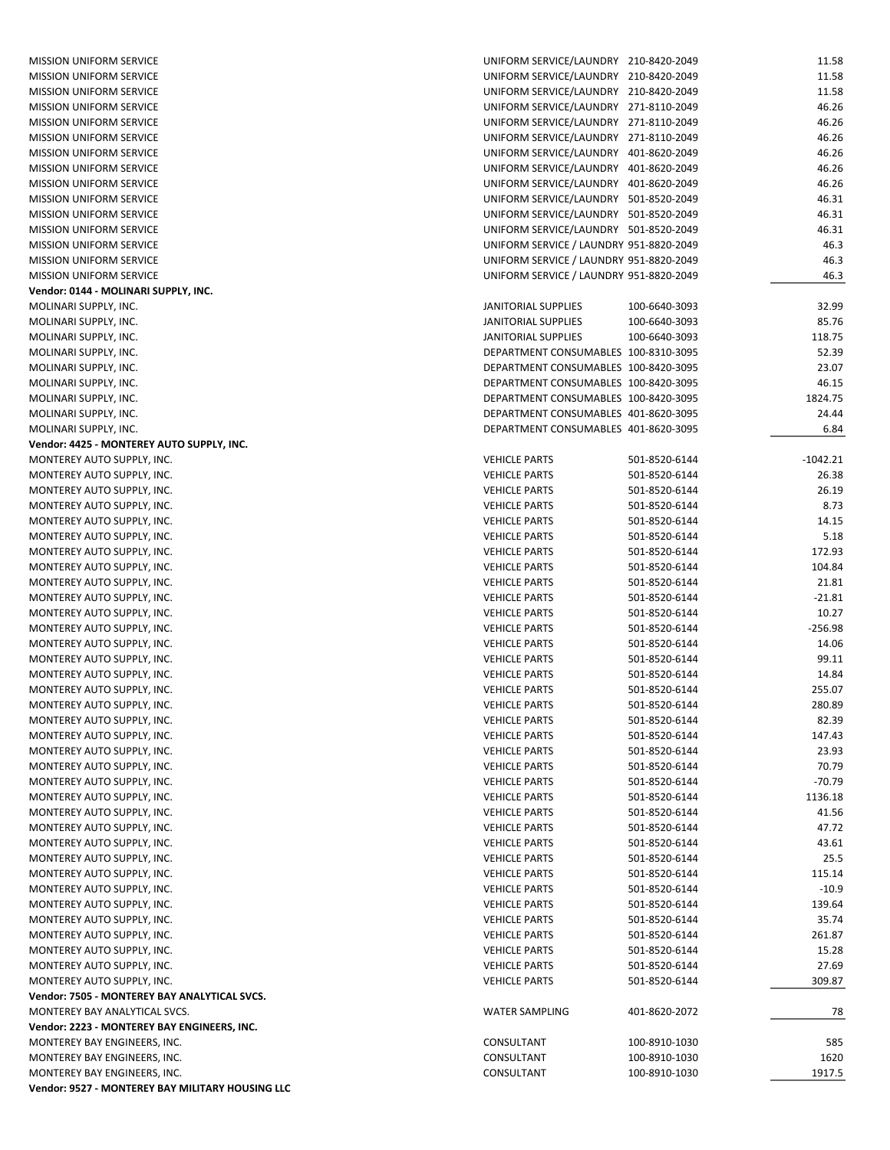| <b>MISSION UNIFORM SERVICE</b>                   | UNIFORM SERVICE/LAUNDRY 210-8420-2049   |               | 11.58      |
|--------------------------------------------------|-----------------------------------------|---------------|------------|
| MISSION UNIFORM SERVICE                          | UNIFORM SERVICE/LAUNDRY 210-8420-2049   |               | 11.58      |
| <b>MISSION UNIFORM SERVICE</b>                   |                                         |               |            |
|                                                  | UNIFORM SERVICE/LAUNDRY 210-8420-2049   |               | 11.58      |
| <b>MISSION UNIFORM SERVICE</b>                   | UNIFORM SERVICE/LAUNDRY 271-8110-2049   |               | 46.26      |
| <b>MISSION UNIFORM SERVICE</b>                   | UNIFORM SERVICE/LAUNDRY 271-8110-2049   |               | 46.26      |
| <b>MISSION UNIFORM SERVICE</b>                   | UNIFORM SERVICE/LAUNDRY 271-8110-2049   |               | 46.26      |
| <b>MISSION UNIFORM SERVICE</b>                   | UNIFORM SERVICE/LAUNDRY 401-8620-2049   |               | 46.26      |
| <b>MISSION UNIFORM SERVICE</b>                   | UNIFORM SERVICE/LAUNDRY 401-8620-2049   |               | 46.26      |
| <b>MISSION UNIFORM SERVICE</b>                   | UNIFORM SERVICE/LAUNDRY 401-8620-2049   |               | 46.26      |
| <b>MISSION UNIFORM SERVICE</b>                   | UNIFORM SERVICE/LAUNDRY 501-8520-2049   |               | 46.31      |
| <b>MISSION UNIFORM SERVICE</b>                   | UNIFORM SERVICE/LAUNDRY 501-8520-2049   |               | 46.31      |
| <b>MISSION UNIFORM SERVICE</b>                   | UNIFORM SERVICE/LAUNDRY 501-8520-2049   |               | 46.31      |
| <b>MISSION UNIFORM SERVICE</b>                   | UNIFORM SERVICE / LAUNDRY 951-8820-2049 |               | 46.3       |
| <b>MISSION UNIFORM SERVICE</b>                   | UNIFORM SERVICE / LAUNDRY 951-8820-2049 |               | 46.3       |
| <b>MISSION UNIFORM SERVICE</b>                   | UNIFORM SERVICE / LAUNDRY 951-8820-2049 |               | 46.3       |
| Vendor: 0144 - MOLINARI SUPPLY, INC.             |                                         |               |            |
| MOLINARI SUPPLY, INC.                            | JANITORIAL SUPPLIES                     | 100-6640-3093 | 32.99      |
| MOLINARI SUPPLY, INC.                            | JANITORIAL SUPPLIES                     | 100-6640-3093 | 85.76      |
| MOLINARI SUPPLY, INC.                            | JANITORIAL SUPPLIES                     | 100-6640-3093 | 118.75     |
| MOLINARI SUPPLY, INC.                            | DEPARTMENT CONSUMABLES 100-8310-3095    |               | 52.39      |
| MOLINARI SUPPLY, INC.                            | DEPARTMENT CONSUMABLES 100-8420-3095    |               | 23.07      |
| MOLINARI SUPPLY, INC.                            | DEPARTMENT CONSUMABLES 100-8420-3095    |               | 46.15      |
| MOLINARI SUPPLY, INC.                            | DEPARTMENT CONSUMABLES 100-8420-3095    |               | 1824.75    |
| MOLINARI SUPPLY, INC.                            | DEPARTMENT CONSUMABLES 401-8620-3095    |               | 24.44      |
| MOLINARI SUPPLY, INC.                            | DEPARTMENT CONSUMABLES 401-8620-3095    |               | 6.84       |
| Vendor: 4425 - MONTEREY AUTO SUPPLY, INC.        |                                         |               |            |
| MONTEREY AUTO SUPPLY, INC.                       |                                         |               | $-1042.21$ |
|                                                  | <b>VEHICLE PARTS</b>                    | 501-8520-6144 |            |
| MONTEREY AUTO SUPPLY, INC.                       | <b>VEHICLE PARTS</b>                    | 501-8520-6144 | 26.38      |
| MONTEREY AUTO SUPPLY, INC.                       | <b>VEHICLE PARTS</b>                    | 501-8520-6144 | 26.19      |
| MONTEREY AUTO SUPPLY, INC.                       | <b>VEHICLE PARTS</b>                    | 501-8520-6144 | 8.73       |
| MONTEREY AUTO SUPPLY, INC.                       | <b>VEHICLE PARTS</b>                    | 501-8520-6144 | 14.15      |
| MONTEREY AUTO SUPPLY, INC.                       | <b>VEHICLE PARTS</b>                    | 501-8520-6144 | 5.18       |
| MONTEREY AUTO SUPPLY, INC.                       | <b>VEHICLE PARTS</b>                    | 501-8520-6144 | 172.93     |
| MONTEREY AUTO SUPPLY, INC.                       | <b>VEHICLE PARTS</b>                    | 501-8520-6144 | 104.84     |
| MONTEREY AUTO SUPPLY, INC.                       | <b>VEHICLE PARTS</b>                    | 501-8520-6144 | 21.81      |
| MONTEREY AUTO SUPPLY, INC.                       | <b>VEHICLE PARTS</b>                    | 501-8520-6144 | $-21.81$   |
| MONTEREY AUTO SUPPLY, INC.                       | <b>VEHICLE PARTS</b>                    | 501-8520-6144 | 10.27      |
| MONTEREY AUTO SUPPLY, INC.                       | <b>VEHICLE PARTS</b>                    | 501-8520-6144 | $-256.98$  |
| MONTEREY AUTO SUPPLY, INC.                       | <b>VEHICLE PARTS</b>                    | 501-8520-6144 | 14.06      |
| MONTEREY AUTO SUPPLY, INC.                       | <b>VEHICLE PARTS</b>                    | 501-8520-6144 | 99.11      |
| MONTEREY AUTO SUPPLY, INC.                       | <b>VEHICLE PARTS</b>                    | 501-8520-6144 | 14.84      |
| MONTEREY AUTO SUPPLY, INC.                       | <b>VEHICLE PARTS</b>                    | 501-8520-6144 | 255.07     |
| MONTEREY AUTO SUPPLY, INC.                       | <b>VEHICLE PARTS</b>                    | 501-8520-6144 | 280.89     |
| MONTEREY AUTO SUPPLY, INC.                       | <b>VEHICLE PARTS</b>                    | 501-8520-6144 | 82.39      |
| MONTEREY AUTO SUPPLY, INC.                       | <b>VEHICLE PARTS</b>                    | 501-8520-6144 | 147.43     |
| MONTEREY AUTO SUPPLY, INC.                       | <b>VEHICLE PARTS</b>                    | 501-8520-6144 | 23.93      |
| MONTEREY AUTO SUPPLY, INC.                       | <b>VEHICLE PARTS</b>                    | 501-8520-6144 | 70.79      |
| MONTEREY AUTO SUPPLY, INC.                       | <b>VEHICLE PARTS</b>                    | 501-8520-6144 | $-70.79$   |
| MONTEREY AUTO SUPPLY, INC.                       | <b>VEHICLE PARTS</b>                    | 501-8520-6144 | 1136.18    |
| MONTEREY AUTO SUPPLY, INC.                       | <b>VEHICLE PARTS</b>                    | 501-8520-6144 | 41.56      |
| MONTEREY AUTO SUPPLY, INC.                       | <b>VEHICLE PARTS</b>                    | 501-8520-6144 | 47.72      |
| MONTEREY AUTO SUPPLY, INC.                       | <b>VEHICLE PARTS</b>                    | 501-8520-6144 | 43.61      |
| MONTEREY AUTO SUPPLY, INC.                       | <b>VEHICLE PARTS</b>                    | 501-8520-6144 | 25.5       |
| MONTEREY AUTO SUPPLY, INC.                       | <b>VEHICLE PARTS</b>                    | 501-8520-6144 | 115.14     |
|                                                  |                                         |               |            |
| MONTEREY AUTO SUPPLY, INC.                       | <b>VEHICLE PARTS</b>                    | 501-8520-6144 | $-10.9$    |
| MONTEREY AUTO SUPPLY, INC.                       | <b>VEHICLE PARTS</b>                    | 501-8520-6144 | 139.64     |
| MONTEREY AUTO SUPPLY, INC.                       | <b>VEHICLE PARTS</b>                    | 501-8520-6144 | 35.74      |
| MONTEREY AUTO SUPPLY, INC.                       | <b>VEHICLE PARTS</b>                    | 501-8520-6144 | 261.87     |
| MONTEREY AUTO SUPPLY, INC.                       | <b>VEHICLE PARTS</b>                    | 501-8520-6144 | 15.28      |
| MONTEREY AUTO SUPPLY, INC.                       | <b>VEHICLE PARTS</b>                    | 501-8520-6144 | 27.69      |
| MONTEREY AUTO SUPPLY, INC.                       | <b>VEHICLE PARTS</b>                    | 501-8520-6144 | 309.87     |
| Vendor: 7505 - MONTEREY BAY ANALYTICAL SVCS.     |                                         |               |            |
| MONTEREY BAY ANALYTICAL SVCS.                    | <b>WATER SAMPLING</b>                   | 401-8620-2072 | 78         |
| Vendor: 2223 - MONTEREY BAY ENGINEERS, INC.      |                                         |               |            |
| MONTEREY BAY ENGINEERS, INC.                     | CONSULTANT                              | 100-8910-1030 | 585        |
| MONTEREY BAY ENGINEERS, INC.                     | CONSULTANT                              | 100-8910-1030 | 1620       |
| MONTEREY BAY ENGINEERS, INC.                     | CONSULTANT                              | 100-8910-1030 | 1917.5     |
| Vendor: 9527 - MONTEREY BAY MILITARY HOUSING LLC |                                         |               |            |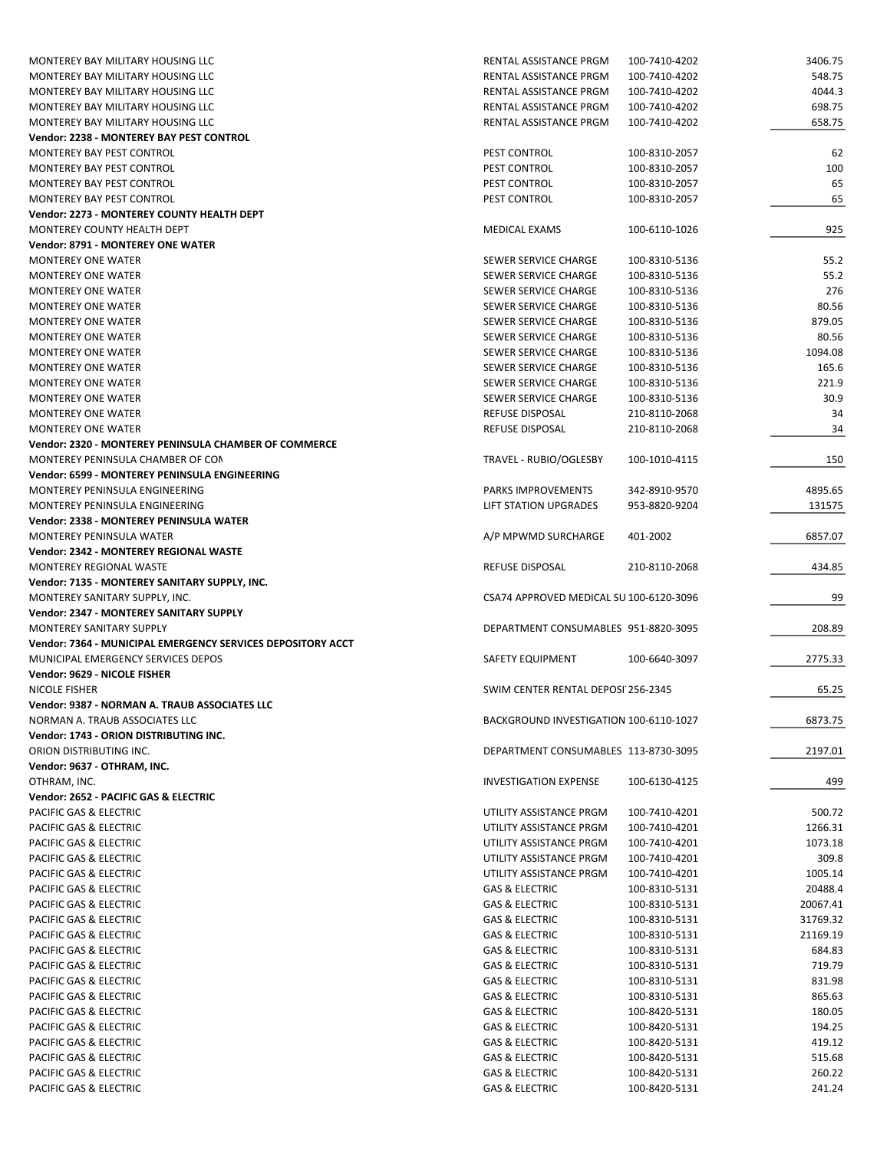| MONTEREY BAY MILITARY HOUSING LLC                           | RENTAL ASSISTANCE PRGM                  | 100-7410-4202 | 3406.75  |
|-------------------------------------------------------------|-----------------------------------------|---------------|----------|
| MONTEREY BAY MILITARY HOUSING LLC                           | RENTAL ASSISTANCE PRGM                  | 100-7410-4202 | 548.75   |
| MONTEREY BAY MILITARY HOUSING LLC                           | RENTAL ASSISTANCE PRGM                  | 100-7410-4202 | 4044.3   |
| MONTEREY BAY MILITARY HOUSING LLC                           | RENTAL ASSISTANCE PRGM                  | 100-7410-4202 | 698.75   |
| MONTEREY BAY MILITARY HOUSING LLC                           | RENTAL ASSISTANCE PRGM                  | 100-7410-4202 | 658.75   |
|                                                             |                                         |               |          |
| Vendor: 2238 - MONTEREY BAY PEST CONTROL                    |                                         |               |          |
| MONTEREY BAY PEST CONTROL                                   | PEST CONTROL                            | 100-8310-2057 | 62       |
| MONTEREY BAY PEST CONTROL                                   | PEST CONTROL                            | 100-8310-2057 | 100      |
| MONTEREY BAY PEST CONTROL                                   | PEST CONTROL                            | 100-8310-2057 | 65       |
| MONTEREY BAY PEST CONTROL                                   | PEST CONTROL                            | 100-8310-2057 | 65       |
| Vendor: 2273 - MONTEREY COUNTY HEALTH DEPT                  |                                         |               |          |
| MONTEREY COUNTY HEALTH DEPT                                 | MEDICAL EXAMS                           | 100-6110-1026 | 925      |
| <b>Vendor: 8791 - MONTEREY ONE WATER</b>                    |                                         |               |          |
|                                                             |                                         |               |          |
| <b>MONTEREY ONE WATER</b>                                   | SEWER SERVICE CHARGE                    | 100-8310-5136 | 55.2     |
| <b>MONTEREY ONE WATER</b>                                   | SEWER SERVICE CHARGE                    | 100-8310-5136 | 55.2     |
| <b>MONTEREY ONE WATER</b>                                   | SEWER SERVICE CHARGE                    | 100-8310-5136 | 276      |
| <b>MONTEREY ONE WATER</b>                                   | SEWER SERVICE CHARGE                    | 100-8310-5136 | 80.56    |
| <b>MONTEREY ONE WATER</b>                                   | SEWER SERVICE CHARGE                    | 100-8310-5136 | 879.05   |
| <b>MONTEREY ONE WATER</b>                                   | SEWER SERVICE CHARGE                    | 100-8310-5136 | 80.56    |
| <b>MONTEREY ONE WATER</b>                                   | SEWER SERVICE CHARGE                    | 100-8310-5136 | 1094.08  |
| <b>MONTEREY ONE WATER</b>                                   | SEWER SERVICE CHARGE                    | 100-8310-5136 | 165.6    |
|                                                             | SEWER SERVICE CHARGE                    | 100-8310-5136 | 221.9    |
| <b>MONTEREY ONE WATER</b>                                   |                                         |               |          |
| <b>MONTEREY ONE WATER</b>                                   | SEWER SERVICE CHARGE                    | 100-8310-5136 | 30.9     |
| <b>MONTEREY ONE WATER</b>                                   | <b>REFUSE DISPOSAL</b>                  | 210-8110-2068 | 34       |
| <b>MONTEREY ONE WATER</b>                                   | <b>REFUSE DISPOSAL</b>                  | 210-8110-2068 | 34       |
| Vendor: 2320 - MONTEREY PENINSULA CHAMBER OF COMMERCE       |                                         |               |          |
| MONTEREY PENINSULA CHAMBER OF CON                           | TRAVEL - RUBIO/OGLESBY                  | 100-1010-4115 | 150      |
| Vendor: 6599 - MONTEREY PENINSULA ENGINEERING               |                                         |               |          |
| MONTEREY PENINSULA ENGINEERING                              | PARKS IMPROVEMENTS                      | 342-8910-9570 | 4895.65  |
| MONTEREY PENINSULA ENGINEERING                              | LIFT STATION UPGRADES                   | 953-8820-9204 | 131575   |
|                                                             |                                         |               |          |
| Vendor: 2338 - MONTEREY PENINSULA WATER                     |                                         |               |          |
|                                                             |                                         |               |          |
| MONTEREY PENINSULA WATER                                    | A/P MPWMD SURCHARGE                     | 401-2002      | 6857.07  |
| Vendor: 2342 - MONTEREY REGIONAL WASTE                      |                                         |               |          |
| MONTEREY REGIONAL WASTE                                     | <b>REFUSE DISPOSAL</b>                  | 210-8110-2068 | 434.85   |
| Vendor: 7135 - MONTEREY SANITARY SUPPLY, INC.               |                                         |               |          |
|                                                             | CSA74 APPROVED MEDICAL SU 100-6120-3096 |               | 99       |
| MONTEREY SANITARY SUPPLY, INC.                              |                                         |               |          |
| Vendor: 2347 - MONTEREY SANITARY SUPPLY                     |                                         |               |          |
| <b>MONTEREY SANITARY SUPPLY</b>                             | DEPARTMENT CONSUMABLES 951-8820-3095    |               | 208.89   |
| Vendor: 7364 - MUNICIPAL EMERGENCY SERVICES DEPOSITORY ACCT |                                         |               |          |
| MUNICIPAL EMERGENCY SERVICES DEPOS                          | SAFETY EQUIPMENT                        | 100-6640-3097 | 2775.33  |
| Vendor: 9629 - NICOLE FISHER                                |                                         |               |          |
| <b>NICOLE FISHER</b>                                        | SWIM CENTER RENTAL DEPOSI 256-2345      |               | 65.25    |
| Vendor: 9387 - NORMAN A. TRAUB ASSOCIATES LLC               |                                         |               |          |
|                                                             | BACKGROUND INVESTIGATION 100-6110-1027  |               |          |
| NORMAN A. TRAUB ASSOCIATES LLC                              |                                         |               | 6873.75  |
| Vendor: 1743 - ORION DISTRIBUTING INC.                      |                                         |               |          |
| ORION DISTRIBUTING INC.                                     | DEPARTMENT CONSUMABLES 113-8730-3095    |               | 2197.01  |
| Vendor: 9637 - OTHRAM, INC.                                 |                                         |               |          |
| OTHRAM, INC.                                                | <b>INVESTIGATION EXPENSE</b>            | 100-6130-4125 | 499      |
| Vendor: 2652 - PACIFIC GAS & ELECTRIC                       |                                         |               |          |
| PACIFIC GAS & ELECTRIC                                      | UTILITY ASSISTANCE PRGM                 | 100-7410-4201 | 500.72   |
| PACIFIC GAS & ELECTRIC                                      | UTILITY ASSISTANCE PRGM                 | 100-7410-4201 | 1266.31  |
| PACIFIC GAS & ELECTRIC                                      | UTILITY ASSISTANCE PRGM                 | 100-7410-4201 | 1073.18  |
|                                                             |                                         |               |          |
| PACIFIC GAS & ELECTRIC                                      | UTILITY ASSISTANCE PRGM                 | 100-7410-4201 | 309.8    |
| PACIFIC GAS & ELECTRIC                                      | UTILITY ASSISTANCE PRGM                 | 100-7410-4201 | 1005.14  |
| PACIFIC GAS & ELECTRIC                                      | GAS & ELECTRIC                          | 100-8310-5131 | 20488.4  |
| PACIFIC GAS & ELECTRIC                                      | GAS & ELECTRIC                          | 100-8310-5131 | 20067.41 |
| PACIFIC GAS & ELECTRIC                                      | GAS & ELECTRIC                          | 100-8310-5131 | 31769.32 |
| PACIFIC GAS & ELECTRIC                                      | <b>GAS &amp; ELECTRIC</b>               | 100-8310-5131 | 21169.19 |
| PACIFIC GAS & ELECTRIC                                      | <b>GAS &amp; ELECTRIC</b>               | 100-8310-5131 | 684.83   |
| PACIFIC GAS & ELECTRIC                                      | <b>GAS &amp; ELECTRIC</b>               | 100-8310-5131 | 719.79   |
|                                                             |                                         |               |          |
| PACIFIC GAS & ELECTRIC                                      | <b>GAS &amp; ELECTRIC</b>               | 100-8310-5131 | 831.98   |
| PACIFIC GAS & ELECTRIC                                      | <b>GAS &amp; ELECTRIC</b>               | 100-8310-5131 | 865.63   |
| PACIFIC GAS & ELECTRIC                                      | <b>GAS &amp; ELECTRIC</b>               | 100-8420-5131 | 180.05   |
| PACIFIC GAS & ELECTRIC                                      | <b>GAS &amp; ELECTRIC</b>               | 100-8420-5131 | 194.25   |
| PACIFIC GAS & ELECTRIC                                      | <b>GAS &amp; ELECTRIC</b>               | 100-8420-5131 | 419.12   |
| PACIFIC GAS & ELECTRIC                                      | <b>GAS &amp; ELECTRIC</b>               | 100-8420-5131 | 515.68   |
| PACIFIC GAS & ELECTRIC                                      | <b>GAS &amp; ELECTRIC</b>               | 100-8420-5131 | 260.22   |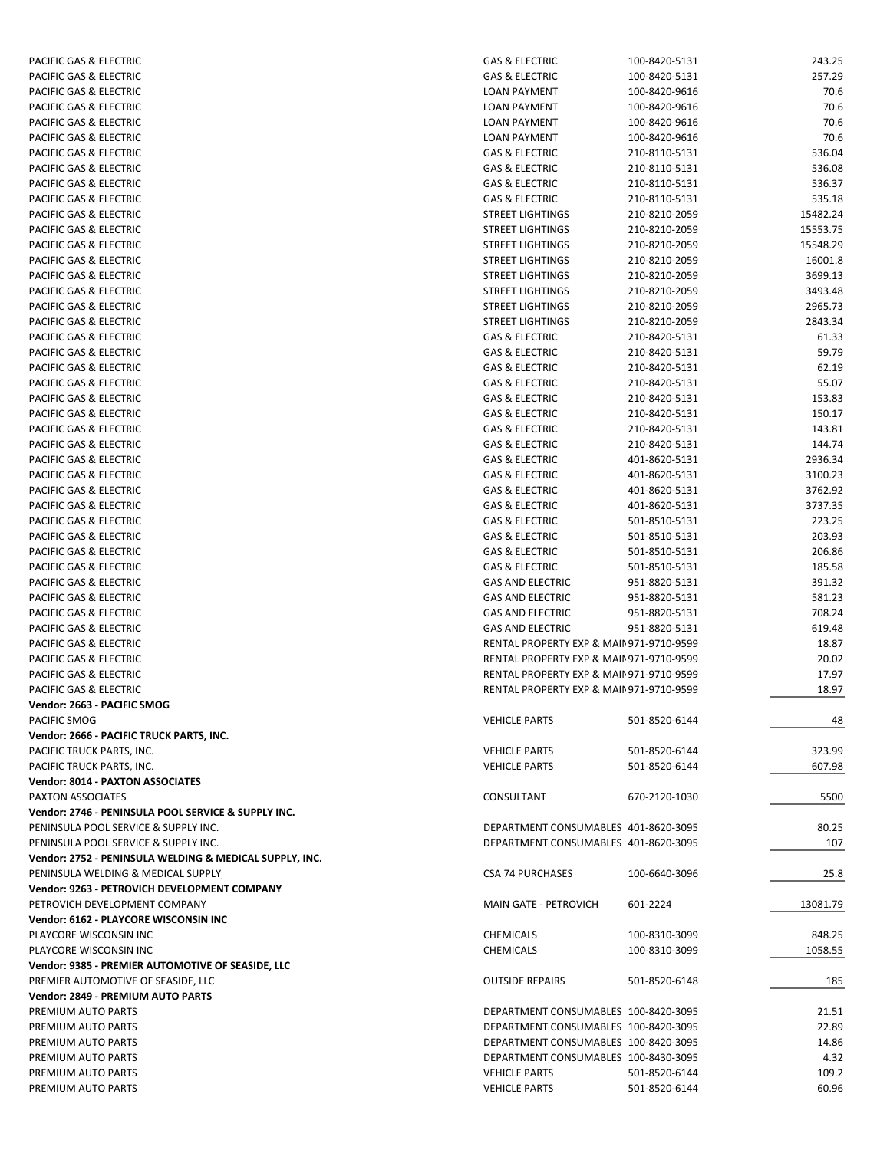| PACIFIC GAS & ELECTRIC                                  | <b>GAS &amp; ELECTRIC</b>               | 100-8420-5131 | 243.25   |
|---------------------------------------------------------|-----------------------------------------|---------------|----------|
| PACIFIC GAS & ELECTRIC                                  | <b>GAS &amp; ELECTRIC</b>               | 100-8420-5131 | 257.29   |
| PACIFIC GAS & ELECTRIC                                  | LOAN PAYMENT                            | 100-8420-9616 | 70.6     |
| PACIFIC GAS & ELECTRIC                                  | <b>LOAN PAYMENT</b>                     | 100-8420-9616 | 70.6     |
| PACIFIC GAS & ELECTRIC                                  | <b>LOAN PAYMENT</b>                     | 100-8420-9616 | 70.6     |
| PACIFIC GAS & ELECTRIC                                  | LOAN PAYMENT                            | 100-8420-9616 | 70.6     |
| <b>PACIFIC GAS &amp; ELECTRIC</b>                       | <b>GAS &amp; ELECTRIC</b>               | 210-8110-5131 | 536.04   |
| PACIFIC GAS & ELECTRIC                                  | <b>GAS &amp; ELECTRIC</b>               | 210-8110-5131 | 536.08   |
|                                                         |                                         |               |          |
| PACIFIC GAS & ELECTRIC                                  | <b>GAS &amp; ELECTRIC</b>               | 210-8110-5131 | 536.37   |
| PACIFIC GAS & ELECTRIC                                  | <b>GAS &amp; ELECTRIC</b>               | 210-8110-5131 | 535.18   |
| PACIFIC GAS & ELECTRIC                                  | <b>STREET LIGHTINGS</b>                 | 210-8210-2059 | 15482.24 |
| PACIFIC GAS & ELECTRIC                                  | <b>STREET LIGHTINGS</b>                 | 210-8210-2059 | 15553.75 |
| PACIFIC GAS & ELECTRIC                                  | <b>STREET LIGHTINGS</b>                 | 210-8210-2059 | 15548.29 |
| PACIFIC GAS & ELECTRIC                                  | <b>STREET LIGHTINGS</b>                 | 210-8210-2059 | 16001.8  |
| PACIFIC GAS & ELECTRIC                                  | <b>STREET LIGHTINGS</b>                 | 210-8210-2059 | 3699.13  |
| PACIFIC GAS & ELECTRIC                                  | <b>STREET LIGHTINGS</b>                 | 210-8210-2059 | 3493.48  |
| PACIFIC GAS & ELECTRIC                                  | <b>STREET LIGHTINGS</b>                 | 210-8210-2059 | 2965.73  |
| PACIFIC GAS & ELECTRIC                                  | <b>STREET LIGHTINGS</b>                 | 210-8210-2059 | 2843.34  |
| PACIFIC GAS & ELECTRIC                                  | GAS & ELECTRIC                          | 210-8420-5131 | 61.33    |
| PACIFIC GAS & ELECTRIC                                  | <b>GAS &amp; ELECTRIC</b>               | 210-8420-5131 | 59.79    |
| PACIFIC GAS & ELECTRIC                                  | <b>GAS &amp; ELECTRIC</b>               | 210-8420-5131 | 62.19    |
| PACIFIC GAS & ELECTRIC                                  | <b>GAS &amp; ELECTRIC</b>               | 210-8420-5131 | 55.07    |
| PACIFIC GAS & ELECTRIC                                  | <b>GAS &amp; ELECTRIC</b>               | 210-8420-5131 | 153.83   |
|                                                         |                                         | 210-8420-5131 |          |
| PACIFIC GAS & ELECTRIC                                  | <b>GAS &amp; ELECTRIC</b>               |               | 150.17   |
| PACIFIC GAS & ELECTRIC                                  | <b>GAS &amp; ELECTRIC</b>               | 210-8420-5131 | 143.81   |
| PACIFIC GAS & ELECTRIC                                  | <b>GAS &amp; ELECTRIC</b>               | 210-8420-5131 | 144.74   |
| PACIFIC GAS & ELECTRIC                                  | <b>GAS &amp; ELECTRIC</b>               | 401-8620-5131 | 2936.34  |
| PACIFIC GAS & ELECTRIC                                  | <b>GAS &amp; ELECTRIC</b>               | 401-8620-5131 | 3100.23  |
| PACIFIC GAS & ELECTRIC                                  | <b>GAS &amp; ELECTRIC</b>               | 401-8620-5131 | 3762.92  |
| PACIFIC GAS & ELECTRIC                                  | <b>GAS &amp; ELECTRIC</b>               | 401-8620-5131 | 3737.35  |
| PACIFIC GAS & ELECTRIC                                  | <b>GAS &amp; ELECTRIC</b>               | 501-8510-5131 | 223.25   |
| PACIFIC GAS & ELECTRIC                                  | <b>GAS &amp; ELECTRIC</b>               | 501-8510-5131 | 203.93   |
| PACIFIC GAS & ELECTRIC                                  | <b>GAS &amp; ELECTRIC</b>               | 501-8510-5131 | 206.86   |
| PACIFIC GAS & ELECTRIC                                  | <b>GAS &amp; ELECTRIC</b>               | 501-8510-5131 | 185.58   |
| PACIFIC GAS & ELECTRIC                                  | <b>GAS AND ELECTRIC</b>                 | 951-8820-5131 | 391.32   |
| PACIFIC GAS & ELECTRIC                                  | <b>GAS AND ELECTRIC</b>                 | 951-8820-5131 | 581.23   |
| PACIFIC GAS & ELECTRIC                                  | <b>GAS AND ELECTRIC</b>                 | 951-8820-5131 | 708.24   |
|                                                         |                                         | 951-8820-5131 | 619.48   |
| PACIFIC GAS & ELECTRIC                                  | <b>GAS AND ELECTRIC</b>                 |               |          |
| PACIFIC GAS & ELECTRIC                                  | RENTAL PROPERTY EXP & MAIN971-9710-9599 |               | 18.87    |
| PACIFIC GAS & ELECTRIC                                  | RENTAL PROPERTY EXP & MAIN971-9710-9599 |               | 20.02    |
| PACIFIC GAS & ELECTRIC                                  | RENTAL PROPERTY EXP & MAIN971-9710-9599 |               | 17.97    |
| PACIFIC GAS & ELECTRIC                                  | RENTAL PROPERTY EXP & MAIN971-9710-9599 |               | 18.97    |
| Vendor: 2663 - PACIFIC SMOG                             |                                         |               |          |
| PACIFIC SMOG                                            | <b>VEHICLE PARTS</b>                    | 501-8520-6144 | 48       |
| Vendor: 2666 - PACIFIC TRUCK PARTS, INC.                |                                         |               |          |
| PACIFIC TRUCK PARTS, INC.                               | <b>VEHICLE PARTS</b>                    | 501-8520-6144 | 323.99   |
| PACIFIC TRUCK PARTS, INC.                               | <b>VEHICLE PARTS</b>                    | 501-8520-6144 | 607.98   |
| <b>Vendor: 8014 - PAXTON ASSOCIATES</b>                 |                                         |               |          |
| <b>PAXTON ASSOCIATES</b>                                | CONSULTANT                              | 670-2120-1030 | 5500     |
| Vendor: 2746 - PENINSULA POOL SERVICE & SUPPLY INC.     |                                         |               |          |
| PENINSULA POOL SERVICE & SUPPLY INC.                    | DEPARTMENT CONSUMABLES 401-8620-3095    |               | 80.25    |
|                                                         |                                         |               |          |
| PENINSULA POOL SERVICE & SUPPLY INC.                    | DEPARTMENT CONSUMABLES 401-8620-3095    |               | 107      |
| Vendor: 2752 - PENINSULA WELDING & MEDICAL SUPPLY, INC. |                                         |               |          |
| PENINSULA WELDING & MEDICAL SUPPLY                      | <b>CSA 74 PURCHASES</b>                 | 100-6640-3096 | 25.8     |
| Vendor: 9263 - PETROVICH DEVELOPMENT COMPANY            |                                         |               |          |
| PETROVICH DEVELOPMENT COMPANY                           | <b>MAIN GATE - PETROVICH</b>            | 601-2224      | 13081.79 |
| Vendor: 6162 - PLAYCORE WISCONSIN INC                   |                                         |               |          |
| PLAYCORE WISCONSIN INC                                  | CHEMICALS                               | 100-8310-3099 | 848.25   |
| PLAYCORE WISCONSIN INC                                  | <b>CHEMICALS</b>                        | 100-8310-3099 | 1058.55  |
| Vendor: 9385 - PREMIER AUTOMOTIVE OF SEASIDE, LLC       |                                         |               |          |
| PREMIER AUTOMOTIVE OF SEASIDE, LLC                      | <b>OUTSIDE REPAIRS</b>                  | 501-8520-6148 | 185      |
| Vendor: 2849 - PREMIUM AUTO PARTS                       |                                         |               |          |
| PREMIUM AUTO PARTS                                      | DEPARTMENT CONSUMABLES 100-8420-3095    |               | 21.51    |
|                                                         |                                         |               |          |
| PREMIUM AUTO PARTS                                      | DEPARTMENT CONSUMABLES 100-8420-3095    |               | 22.89    |
| PREMIUM AUTO PARTS                                      | DEPARTMENT CONSUMABLES 100-8420-3095    |               | 14.86    |
| PREMIUM AUTO PARTS                                      | DEPARTMENT CONSUMABLES 100-8430-3095    |               | 4.32     |
| PREMIUM AUTO PARTS                                      | <b>VEHICLE PARTS</b>                    | 501-8520-6144 | 109.2    |
| PREMIUM AUTO PARTS                                      | <b>VEHICLE PARTS</b>                    | 501-8520-6144 | 60.96    |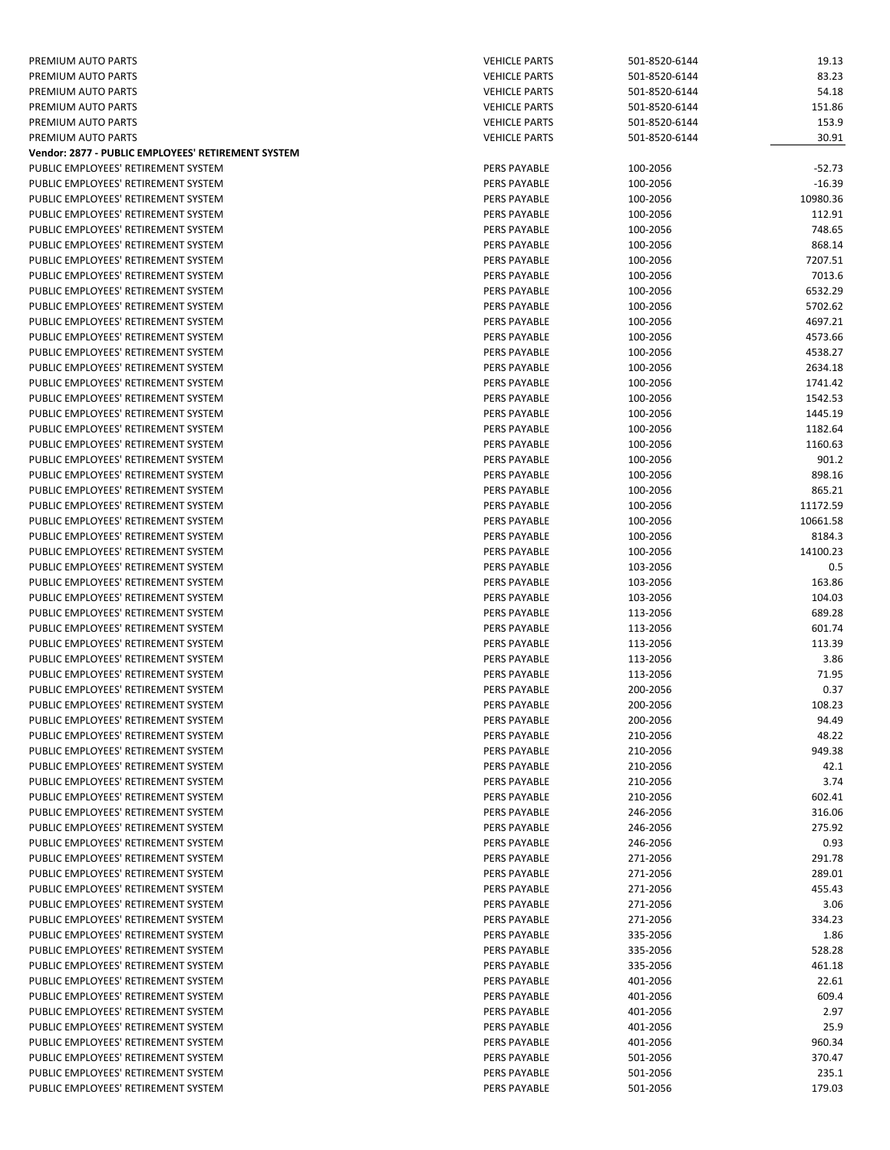| PREMIUM AUTO PARTS                                 | <b>VEHICLE PARTS</b> | 501-8520-6144 | 19.13    |
|----------------------------------------------------|----------------------|---------------|----------|
| PREMIUM AUTO PARTS                                 | <b>VEHICLE PARTS</b> | 501-8520-6144 | 83.23    |
| PREMIUM AUTO PARTS                                 | <b>VEHICLE PARTS</b> | 501-8520-6144 | 54.18    |
|                                                    |                      |               |          |
| PREMIUM AUTO PARTS                                 | <b>VEHICLE PARTS</b> | 501-8520-6144 | 151.86   |
| PREMIUM AUTO PARTS                                 | <b>VEHICLE PARTS</b> | 501-8520-6144 | 153.9    |
| PREMIUM AUTO PARTS                                 | <b>VEHICLE PARTS</b> | 501-8520-6144 | 30.91    |
| Vendor: 2877 - PUBLIC EMPLOYEES' RETIREMENT SYSTEM |                      |               |          |
| PUBLIC EMPLOYEES' RETIREMENT SYSTEM                | PERS PAYABLE         | 100-2056      | $-52.73$ |
| PUBLIC EMPLOYEES' RETIREMENT SYSTEM                | <b>PERS PAYABLE</b>  | 100-2056      | $-16.39$ |
| PUBLIC EMPLOYEES' RETIREMENT SYSTEM                | PERS PAYABLE         | 100-2056      | 10980.36 |
| PUBLIC EMPLOYEES' RETIREMENT SYSTEM                | PERS PAYABLE         | 100-2056      | 112.91   |
| PUBLIC EMPLOYEES' RETIREMENT SYSTEM                | PERS PAYABLE         | 100-2056      | 748.65   |
|                                                    |                      |               |          |
| PUBLIC EMPLOYEES' RETIREMENT SYSTEM                | PERS PAYABLE         | 100-2056      | 868.14   |
| PUBLIC EMPLOYEES' RETIREMENT SYSTEM                | <b>PERS PAYABLE</b>  | 100-2056      | 7207.51  |
| PUBLIC EMPLOYEES' RETIREMENT SYSTEM                | <b>PERS PAYABLE</b>  | 100-2056      | 7013.6   |
| PUBLIC EMPLOYEES' RETIREMENT SYSTEM                | <b>PERS PAYABLE</b>  | 100-2056      | 6532.29  |
| PUBLIC EMPLOYEES' RETIREMENT SYSTEM                | PERS PAYABLE         | 100-2056      | 5702.62  |
| PUBLIC EMPLOYEES' RETIREMENT SYSTEM                | PERS PAYABLE         | 100-2056      | 4697.21  |
| PUBLIC EMPLOYEES' RETIREMENT SYSTEM                | PERS PAYABLE         | 100-2056      | 4573.66  |
| PUBLIC EMPLOYEES' RETIREMENT SYSTEM                | <b>PERS PAYABLE</b>  | 100-2056      | 4538.27  |
|                                                    |                      |               |          |
| PUBLIC EMPLOYEES' RETIREMENT SYSTEM                | PERS PAYABLE         | 100-2056      | 2634.18  |
| PUBLIC EMPLOYEES' RETIREMENT SYSTEM                | PERS PAYABLE         | 100-2056      | 1741.42  |
| PUBLIC EMPLOYEES' RETIREMENT SYSTEM                | <b>PERS PAYABLE</b>  | 100-2056      | 1542.53  |
| PUBLIC EMPLOYEES' RETIREMENT SYSTEM                | <b>PERS PAYABLE</b>  | 100-2056      | 1445.19  |
| PUBLIC EMPLOYEES' RETIREMENT SYSTEM                | PERS PAYABLE         | 100-2056      | 1182.64  |
| PUBLIC EMPLOYEES' RETIREMENT SYSTEM                | PERS PAYABLE         | 100-2056      | 1160.63  |
| PUBLIC EMPLOYEES' RETIREMENT SYSTEM                | <b>PERS PAYABLE</b>  | 100-2056      | 901.2    |
| PUBLIC EMPLOYEES' RETIREMENT SYSTEM                |                      | 100-2056      |          |
|                                                    | PERS PAYABLE         |               | 898.16   |
| PUBLIC EMPLOYEES' RETIREMENT SYSTEM                | PERS PAYABLE         | 100-2056      | 865.21   |
| PUBLIC EMPLOYEES' RETIREMENT SYSTEM                | PERS PAYABLE         | 100-2056      | 11172.59 |
| PUBLIC EMPLOYEES' RETIREMENT SYSTEM                | PERS PAYABLE         | 100-2056      | 10661.58 |
| PUBLIC EMPLOYEES' RETIREMENT SYSTEM                | PERS PAYABLE         | 100-2056      | 8184.3   |
| PUBLIC EMPLOYEES' RETIREMENT SYSTEM                | <b>PERS PAYABLE</b>  | 100-2056      | 14100.23 |
| PUBLIC EMPLOYEES' RETIREMENT SYSTEM                | PERS PAYABLE         | 103-2056      | 0.5      |
| PUBLIC EMPLOYEES' RETIREMENT SYSTEM                | PERS PAYABLE         | 103-2056      | 163.86   |
| PUBLIC EMPLOYEES' RETIREMENT SYSTEM                | PERS PAYABLE         | 103-2056      | 104.03   |
|                                                    |                      |               |          |
| PUBLIC EMPLOYEES' RETIREMENT SYSTEM                | PERS PAYABLE         | 113-2056      | 689.28   |
| PUBLIC EMPLOYEES' RETIREMENT SYSTEM                | PERS PAYABLE         | 113-2056      | 601.74   |
| PUBLIC EMPLOYEES' RETIREMENT SYSTEM                | PERS PAYABLE         | 113-2056      | 113.39   |
| PUBLIC EMPLOYEES' RETIREMENT SYSTEM                | <b>PERS PAYABLE</b>  | 113-2056      | 3.86     |
| PUBLIC EMPLOYEES' RETIREMENT SYSTEM                | <b>PERS PAYABLE</b>  | 113-2056      | 71.95    |
| PUBLIC EMPLOYEES' RETIREMENT SYSTEM                | <b>PERS PAYABLE</b>  | 200-2056      | 0.37     |
| PUBLIC EMPLOYEES' RETIREMENT SYSTEM                | PERS PAYABLE         | 200-2056      | 108.23   |
| PUBLIC EMPLOYEES' RETIREMENT SYSTEM                | PERS PAYABLE         | 200-2056      | 94.49    |
|                                                    |                      |               |          |
| PUBLIC EMPLOYEES' RETIREMENT SYSTEM                | PERS PAYABLE         | 210-2056      | 48.22    |
| PUBLIC EMPLOYEES' RETIREMENT SYSTEM                | PERS PAYABLE         | 210-2056      | 949.38   |
| PUBLIC EMPLOYEES' RETIREMENT SYSTEM                | <b>PERS PAYABLE</b>  | 210-2056      | 42.1     |
| PUBLIC EMPLOYEES' RETIREMENT SYSTEM                | PERS PAYABLE         | 210-2056      | 3.74     |
| PUBLIC EMPLOYEES' RETIREMENT SYSTEM                | PERS PAYABLE         | 210-2056      | 602.41   |
| PUBLIC EMPLOYEES' RETIREMENT SYSTEM                | PERS PAYABLE         | 246-2056      | 316.06   |
| PUBLIC EMPLOYEES' RETIREMENT SYSTEM                | PERS PAYABLE         | 246-2056      | 275.92   |
| PUBLIC EMPLOYEES' RETIREMENT SYSTEM                | <b>PERS PAYABLE</b>  | 246-2056      | 0.93     |
|                                                    |                      |               |          |
| PUBLIC EMPLOYEES' RETIREMENT SYSTEM                | PERS PAYABLE         | 271-2056      | 291.78   |
| PUBLIC EMPLOYEES' RETIREMENT SYSTEM                | PERS PAYABLE         | 271-2056      | 289.01   |
| PUBLIC EMPLOYEES' RETIREMENT SYSTEM                | PERS PAYABLE         | 271-2056      | 455.43   |
| PUBLIC EMPLOYEES' RETIREMENT SYSTEM                | PERS PAYABLE         | 271-2056      | 3.06     |
| PUBLIC EMPLOYEES' RETIREMENT SYSTEM                | PERS PAYABLE         | 271-2056      | 334.23   |
| PUBLIC EMPLOYEES' RETIREMENT SYSTEM                | PERS PAYABLE         | 335-2056      | 1.86     |
| PUBLIC EMPLOYEES' RETIREMENT SYSTEM                | PERS PAYABLE         | 335-2056      | 528.28   |
| PUBLIC EMPLOYEES' RETIREMENT SYSTEM                | PERS PAYABLE         | 335-2056      | 461.18   |
|                                                    |                      |               |          |
| PUBLIC EMPLOYEES' RETIREMENT SYSTEM                | PERS PAYABLE         | 401-2056      | 22.61    |
| PUBLIC EMPLOYEES' RETIREMENT SYSTEM                | PERS PAYABLE         | 401-2056      | 609.4    |
| PUBLIC EMPLOYEES' RETIREMENT SYSTEM                | PERS PAYABLE         | 401-2056      | 2.97     |
| PUBLIC EMPLOYEES' RETIREMENT SYSTEM                | PERS PAYABLE         | 401-2056      | 25.9     |
| PUBLIC EMPLOYEES' RETIREMENT SYSTEM                | PERS PAYABLE         | 401-2056      | 960.34   |
| PUBLIC EMPLOYEES' RETIREMENT SYSTEM                | PERS PAYABLE         | 501-2056      | 370.47   |
| PUBLIC EMPLOYEES' RETIREMENT SYSTEM                | PERS PAYABLE         | 501-2056      | 235.1    |
| PUBLIC EMPLOYEES' RETIREMENT SYSTEM                | PERS PAYABLE         | 501-2056      | 179.03   |
|                                                    |                      |               |          |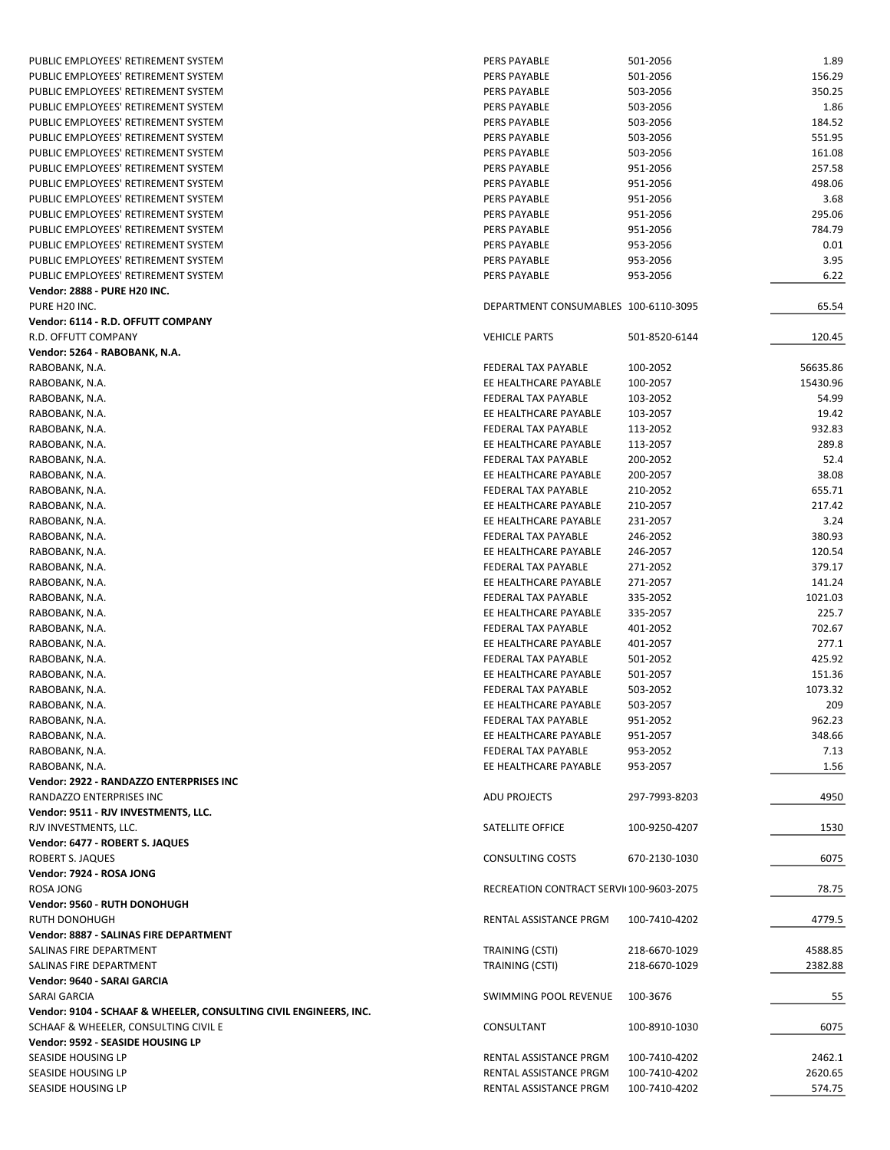| PUBLIC EMPLOYEES' RETIREMENT SYSTEM                               | PERS PAYABLE                            | 501-2056      | 1.89     |
|-------------------------------------------------------------------|-----------------------------------------|---------------|----------|
| PUBLIC EMPLOYEES' RETIREMENT SYSTEM                               | <b>PERS PAYABLE</b>                     | 501-2056      | 156.29   |
| PUBLIC EMPLOYEES' RETIREMENT SYSTEM                               | <b>PERS PAYABLE</b>                     | 503-2056      | 350.25   |
| PUBLIC EMPLOYEES' RETIREMENT SYSTEM                               | PERS PAYABLE                            | 503-2056      | 1.86     |
| PUBLIC EMPLOYEES' RETIREMENT SYSTEM                               | PERS PAYABLE                            | 503-2056      | 184.52   |
| PUBLIC EMPLOYEES' RETIREMENT SYSTEM                               | PERS PAYABLE                            | 503-2056      | 551.95   |
| PUBLIC EMPLOYEES' RETIREMENT SYSTEM                               | <b>PERS PAYABLE</b>                     | 503-2056      | 161.08   |
| PUBLIC EMPLOYEES' RETIREMENT SYSTEM                               | <b>PERS PAYABLE</b>                     | 951-2056      | 257.58   |
| PUBLIC EMPLOYEES' RETIREMENT SYSTEM                               | <b>PERS PAYABLE</b>                     | 951-2056      | 498.06   |
| PUBLIC EMPLOYEES' RETIREMENT SYSTEM                               | <b>PERS PAYABLE</b>                     | 951-2056      | 3.68     |
| PUBLIC EMPLOYEES' RETIREMENT SYSTEM                               | <b>PERS PAYABLE</b>                     | 951-2056      | 295.06   |
| PUBLIC EMPLOYEES' RETIREMENT SYSTEM                               | <b>PERS PAYABLE</b>                     | 951-2056      | 784.79   |
| PUBLIC EMPLOYEES' RETIREMENT SYSTEM                               | <b>PERS PAYABLE</b>                     | 953-2056      | 0.01     |
| PUBLIC EMPLOYEES' RETIREMENT SYSTEM                               | <b>PERS PAYABLE</b>                     | 953-2056      | 3.95     |
|                                                                   |                                         |               |          |
| PUBLIC EMPLOYEES' RETIREMENT SYSTEM                               | PERS PAYABLE                            | 953-2056      | 6.22     |
| <b>Vendor: 2888 - PURE H20 INC.</b>                               |                                         |               |          |
| PURE H20 INC.                                                     | DEPARTMENT CONSUMABLES 100-6110-3095    |               | 65.54    |
| Vendor: 6114 - R.D. OFFUTT COMPANY                                |                                         |               |          |
| R.D. OFFUTT COMPANY                                               | <b>VEHICLE PARTS</b>                    | 501-8520-6144 | 120.45   |
| Vendor: 5264 - RABOBANK, N.A.                                     |                                         |               |          |
| RABOBANK, N.A.                                                    | FEDERAL TAX PAYABLE                     | 100-2052      | 56635.86 |
| RABOBANK, N.A.                                                    | EE HEALTHCARE PAYABLE                   | 100-2057      | 15430.96 |
| RABOBANK, N.A.                                                    | FEDERAL TAX PAYABLE                     | 103-2052      | 54.99    |
| RABOBANK, N.A.                                                    | EE HEALTHCARE PAYABLE                   | 103-2057      | 19.42    |
| RABOBANK, N.A.                                                    | FEDERAL TAX PAYABLE                     | 113-2052      | 932.83   |
| RABOBANK, N.A.                                                    | EE HEALTHCARE PAYABLE                   | 113-2057      | 289.8    |
| RABOBANK, N.A.                                                    | <b>FEDERAL TAX PAYABLE</b>              | 200-2052      | 52.4     |
| RABOBANK, N.A.                                                    | EE HEALTHCARE PAYABLE                   | 200-2057      | 38.08    |
| RABOBANK, N.A.                                                    | FEDERAL TAX PAYABLE                     | 210-2052      | 655.71   |
| RABOBANK, N.A.                                                    | EE HEALTHCARE PAYABLE                   | 210-2057      | 217.42   |
| RABOBANK, N.A.                                                    | EE HEALTHCARE PAYABLE                   | 231-2057      | 3.24     |
| RABOBANK, N.A.                                                    | FEDERAL TAX PAYABLE                     | 246-2052      | 380.93   |
| RABOBANK, N.A.                                                    | EE HEALTHCARE PAYABLE                   | 246-2057      | 120.54   |
| RABOBANK, N.A.                                                    | <b>FEDERAL TAX PAYABLE</b>              | 271-2052      | 379.17   |
| RABOBANK, N.A.                                                    | EE HEALTHCARE PAYABLE                   | 271-2057      | 141.24   |
| RABOBANK, N.A.                                                    | FEDERAL TAX PAYABLE                     | 335-2052      | 1021.03  |
| RABOBANK, N.A.                                                    | EE HEALTHCARE PAYABLE                   | 335-2057      | 225.7    |
| RABOBANK, N.A.                                                    | FEDERAL TAX PAYABLE                     | 401-2052      | 702.67   |
|                                                                   | EE HEALTHCARE PAYABLE                   | 401-2057      | 277.1    |
| RABOBANK, N.A.                                                    |                                         |               |          |
| RABOBANK, N.A.                                                    | FEDERAL TAX PAYABLE                     | 501-2052      | 425.92   |
| RABOBANK, N.A.                                                    | EE HEALTHCARE PAYABLE                   | 501-2057      | 151.36   |
| RABOBANK, N.A.                                                    | FEDERAL TAX PAYABLE                     | 503-2052      | 1073.32  |
| RABOBANK, N.A.                                                    | EE HEALTHCARE PAYABLE                   | 503-2057      | 209      |
| RABOBANK, N.A.                                                    | FEDERAL TAX PAYABLE                     | 951-2052      | 962.23   |
| RABOBANK, N.A.                                                    | EE HEALTHCARE PAYABLE                   | 951-2057      | 348.66   |
| RABOBANK, N.A.                                                    | FEDERAL TAX PAYABLE                     | 953-2052      | 7.13     |
| RABOBANK, N.A.                                                    | EE HEALTHCARE PAYABLE                   | 953-2057      | 1.56     |
| Vendor: 2922 - RANDAZZO ENTERPRISES INC                           |                                         |               |          |
| RANDAZZO ENTERPRISES INC                                          | <b>ADU PROJECTS</b>                     | 297-7993-8203 | 4950     |
| Vendor: 9511 - RJV INVESTMENTS, LLC.                              |                                         |               |          |
| RJV INVESTMENTS, LLC.                                             | SATELLITE OFFICE                        | 100-9250-4207 | 1530     |
| Vendor: 6477 - ROBERT S. JAQUES                                   |                                         |               |          |
| <b>ROBERT S. JAQUES</b>                                           | <b>CONSULTING COSTS</b>                 | 670-2130-1030 | 6075     |
| Vendor: 7924 - ROSA JONG                                          |                                         |               |          |
| ROSA JONG                                                         | RECREATION CONTRACT SERVI(100-9603-2075 |               | 78.75    |
| Vendor: 9560 - RUTH DONOHUGH                                      |                                         |               |          |
| RUTH DONOHUGH                                                     | RENTAL ASSISTANCE PRGM                  | 100-7410-4202 | 4779.5   |
| Vendor: 8887 - SALINAS FIRE DEPARTMENT                            |                                         |               |          |
| SALINAS FIRE DEPARTMENT                                           | TRAINING (CSTI)                         | 218-6670-1029 | 4588.85  |
| SALINAS FIRE DEPARTMENT                                           | TRAINING (CSTI)                         | 218-6670-1029 | 2382.88  |
| Vendor: 9640 - SARAI GARCIA                                       |                                         |               |          |
| SARAI GARCIA                                                      | SWIMMING POOL REVENUE                   | 100-3676      |          |
|                                                                   |                                         |               | 55       |
| Vendor: 9104 - SCHAAF & WHEELER, CONSULTING CIVIL ENGINEERS, INC. |                                         |               |          |
| SCHAAF & WHEELER, CONSULTING CIVIL E                              | CONSULTANT                              | 100-8910-1030 | 6075     |
| Vendor: 9592 - SEASIDE HOUSING LP                                 |                                         |               |          |
| SEASIDE HOUSING LP                                                | RENTAL ASSISTANCE PRGM                  | 100-7410-4202 | 2462.1   |
| SEASIDE HOUSING LP                                                | RENTAL ASSISTANCE PRGM                  | 100-7410-4202 | 2620.65  |
| SEASIDE HOUSING LP                                                | RENTAL ASSISTANCE PRGM                  | 100-7410-4202 | 574.75   |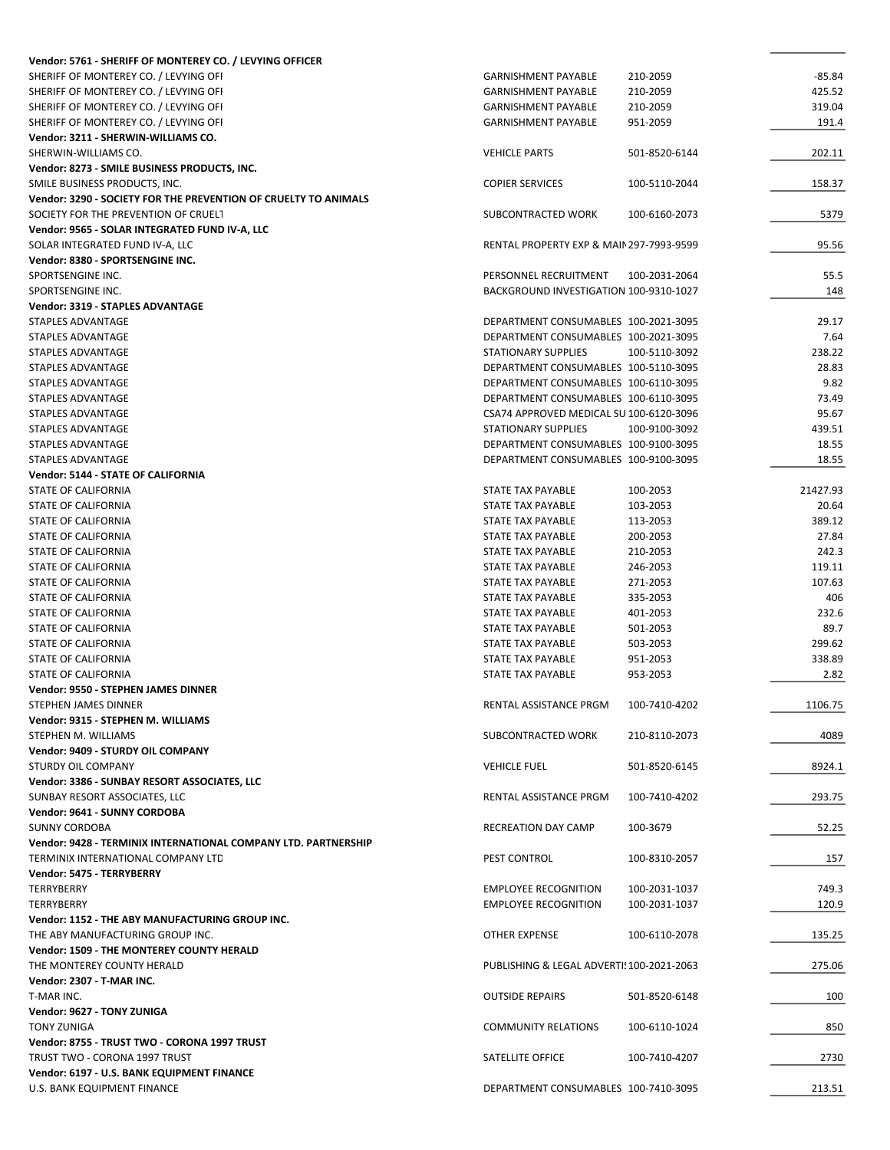| Vendor: 5761 - SHERIFF OF MONTEREY CO. / LEVYING OFFICER        |                                           |               |          |
|-----------------------------------------------------------------|-------------------------------------------|---------------|----------|
| SHERIFF OF MONTEREY CO. / LEVYING OFI                           | <b>GARNISHMENT PAYABLE</b>                | 210-2059      | $-85.84$ |
| SHERIFF OF MONTEREY CO. / LEVYING OFI                           | <b>GARNISHMENT PAYABLE</b>                | 210-2059      | 425.52   |
| SHERIFF OF MONTEREY CO. / LEVYING OFI                           | <b>GARNISHMENT PAYABLE</b>                | 210-2059      | 319.04   |
| SHERIFF OF MONTEREY CO. / LEVYING OFI                           | <b>GARNISHMENT PAYABLE</b>                | 951-2059      | 191.4    |
| Vendor: 3211 - SHERWIN-WILLIAMS CO.                             |                                           |               |          |
| SHERWIN-WILLIAMS CO.                                            | <b>VEHICLE PARTS</b>                      | 501-8520-6144 | 202.11   |
| Vendor: 8273 - SMILE BUSINESS PRODUCTS, INC.                    |                                           |               |          |
| SMILE BUSINESS PRODUCTS, INC.                                   | <b>COPIER SERVICES</b>                    | 100-5110-2044 | 158.37   |
| Vendor: 3290 - SOCIETY FOR THE PREVENTION OF CRUELTY TO ANIMALS |                                           |               |          |
| SOCIETY FOR THE PREVENTION OF CRUELT                            | SUBCONTRACTED WORK                        | 100-6160-2073 | 5379     |
| Vendor: 9565 - SOLAR INTEGRATED FUND IV-A, LLC                  |                                           |               |          |
| SOLAR INTEGRATED FUND IV-A, LLC                                 | RENTAL PROPERTY EXP & MAIN 297-7993-9599  |               | 95.56    |
| Vendor: 8380 - SPORTSENGINE INC.                                |                                           |               |          |
| SPORTSENGINE INC.                                               | PERSONNEL RECRUITMENT                     | 100-2031-2064 | 55.5     |
| SPORTSENGINE INC.                                               | BACKGROUND INVESTIGATION 100-9310-1027    |               | 148      |
| Vendor: 3319 - STAPLES ADVANTAGE                                |                                           |               |          |
| STAPLES ADVANTAGE                                               | DEPARTMENT CONSUMABLES 100-2021-3095      |               | 29.17    |
| STAPLES ADVANTAGE                                               | DEPARTMENT CONSUMABLES 100-2021-3095      |               | 7.64     |
| STAPLES ADVANTAGE                                               | STATIONARY SUPPLIES                       | 100-5110-3092 | 238.22   |
|                                                                 |                                           |               | 28.83    |
| <b>STAPLES ADVANTAGE</b>                                        | DEPARTMENT CONSUMABLES 100-5110-3095      |               |          |
| STAPLES ADVANTAGE                                               | DEPARTMENT CONSUMABLES 100-6110-3095      |               | 9.82     |
| STAPLES ADVANTAGE                                               | DEPARTMENT CONSUMABLES 100-6110-3095      |               | 73.49    |
| STAPLES ADVANTAGE                                               | CSA74 APPROVED MEDICAL SU 100-6120-3096   |               | 95.67    |
| STAPLES ADVANTAGE                                               | <b>STATIONARY SUPPLIES</b>                | 100-9100-3092 | 439.51   |
| STAPLES ADVANTAGE                                               | DEPARTMENT CONSUMABLES 100-9100-3095      |               | 18.55    |
| STAPLES ADVANTAGE                                               | DEPARTMENT CONSUMABLES 100-9100-3095      |               | 18.55    |
| Vendor: 5144 - STATE OF CALIFORNIA                              |                                           |               |          |
| STATE OF CALIFORNIA                                             | STATE TAX PAYABLE                         | 100-2053      | 21427.93 |
| STATE OF CALIFORNIA                                             | STATE TAX PAYABLE                         | 103-2053      | 20.64    |
| STATE OF CALIFORNIA                                             | STATE TAX PAYABLE                         | 113-2053      | 389.12   |
| STATE OF CALIFORNIA                                             | STATE TAX PAYABLE                         | 200-2053      | 27.84    |
| STATE OF CALIFORNIA                                             | STATE TAX PAYABLE                         | 210-2053      | 242.3    |
| STATE OF CALIFORNIA                                             | STATE TAX PAYABLE                         | 246-2053      | 119.11   |
| STATE OF CALIFORNIA                                             | STATE TAX PAYABLE                         | 271-2053      | 107.63   |
| STATE OF CALIFORNIA                                             | STATE TAX PAYABLE                         | 335-2053      | 406      |
| STATE OF CALIFORNIA                                             | STATE TAX PAYABLE                         | 401-2053      | 232.6    |
| STATE OF CALIFORNIA                                             | STATE TAX PAYABLE                         | 501-2053      | 89.7     |
| STATE OF CALIFORNIA                                             | STATE TAX PAYABLE                         | 503-2053      | 299.62   |
| STATE OF CALIFORNIA                                             | STATE TAX PAYABLE                         | 951-2053      | 338.89   |
| <b>STATE OF CALIFORNIA</b>                                      | STATE TAX PAYABLE                         | 953-2053      | 2.82     |
| Vendor: 9550 - STEPHEN JAMES DINNER                             |                                           |               |          |
| STEPHEN JAMES DINNER                                            | RENTAL ASSISTANCE PRGM                    | 100-7410-4202 | 1106.75  |
| Vendor: 9315 - STEPHEN M. WILLIAMS                              |                                           |               |          |
| STEPHEN M. WILLIAMS                                             | SUBCONTRACTED WORK                        | 210-8110-2073 | 4089     |
| Vendor: 9409 - STURDY OIL COMPANY                               |                                           |               |          |
| <b>STURDY OIL COMPANY</b>                                       | <b>VEHICLE FUEL</b>                       |               | 8924.1   |
|                                                                 |                                           | 501-8520-6145 |          |
| Vendor: 3386 - SUNBAY RESORT ASSOCIATES, LLC                    |                                           |               |          |
| SUNBAY RESORT ASSOCIATES, LLC                                   | RENTAL ASSISTANCE PRGM                    | 100-7410-4202 | 293.75   |
| Vendor: 9641 - SUNNY CORDOBA                                    |                                           |               |          |
| <b>SUNNY CORDOBA</b>                                            | RECREATION DAY CAMP                       | 100-3679      | 52.25    |
| Vendor: 9428 - TERMINIX INTERNATIONAL COMPANY LTD. PARTNERSHIP  |                                           |               |          |
| TERMINIX INTERNATIONAL COMPANY LTD                              | PEST CONTROL                              | 100-8310-2057 | 157      |
| Vendor: 5475 - TERRYBERRY                                       |                                           |               |          |
| TERRYBERRY                                                      | <b>EMPLOYEE RECOGNITION</b>               | 100-2031-1037 | 749.3    |
| TERRYBERRY                                                      | <b>EMPLOYEE RECOGNITION</b>               | 100-2031-1037 | 120.9    |
| Vendor: 1152 - THE ABY MANUFACTURING GROUP INC.                 |                                           |               |          |
| THE ABY MANUFACTURING GROUP INC.                                | OTHER EXPENSE                             | 100-6110-2078 | 135.25   |
| Vendor: 1509 - THE MONTEREY COUNTY HERALD                       |                                           |               |          |
| THE MONTEREY COUNTY HERALD                                      | PUBLISHING & LEGAL ADVERTI! 100-2021-2063 |               | 275.06   |
| Vendor: 2307 - T-MAR INC.                                       |                                           |               |          |
| T-MAR INC.                                                      | <b>OUTSIDE REPAIRS</b>                    | 501-8520-6148 | 100      |
| Vendor: 9627 - TONY ZUNIGA                                      |                                           |               |          |
| <b>TONY ZUNIGA</b>                                              | <b>COMMUNITY RELATIONS</b>                | 100-6110-1024 | 850      |
| Vendor: 8755 - TRUST TWO - CORONA 1997 TRUST                    |                                           |               |          |
| TRUST TWO - CORONA 1997 TRUST                                   | SATELLITE OFFICE                          | 100-7410-4207 | 2730     |
| Vendor: 6197 - U.S. BANK EQUIPMENT FINANCE                      |                                           |               |          |
| U.S. BANK EQUIPMENT FINANCE                                     | DEPARTMENT CONSUMABLES 100-7410-3095      |               | 213.51   |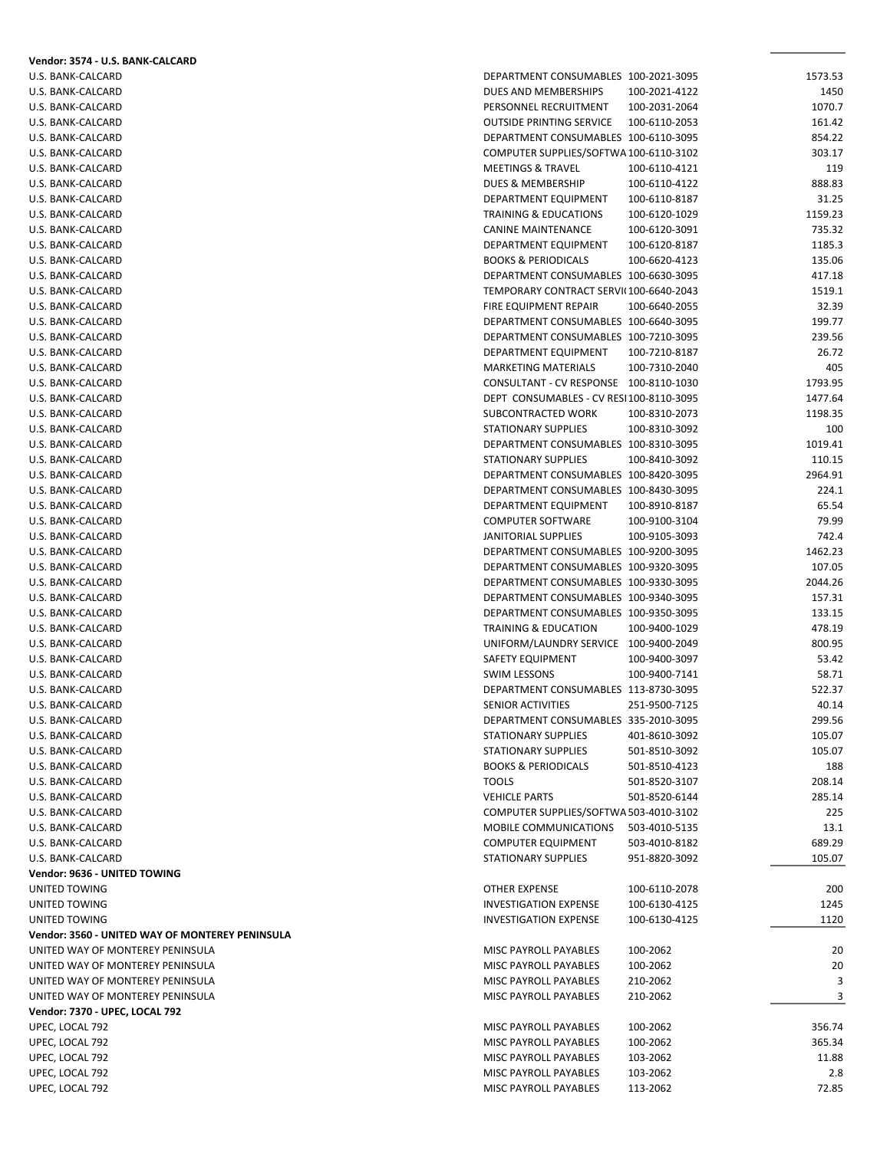| Vendor: 3574 - U.S. BANK-CALCARD                |                                                                                |                                |                  |
|-------------------------------------------------|--------------------------------------------------------------------------------|--------------------------------|------------------|
| U.S. BANK-CALCARD                               | DEPARTMENT CONSUMABLES 100-2021-3095                                           |                                | 1573.53          |
| U.S. BANK-CALCARD                               | DUES AND MEMBERSHIPS                                                           | 100-2021-4122                  | 1450             |
| U.S. BANK-CALCARD                               | PERSONNEL RECRUITMENT                                                          | 100-2031-2064                  | 1070.7           |
| U.S. BANK-CALCARD                               | <b>OUTSIDE PRINTING SERVICE</b>                                                | 100-6110-2053                  | 161.42           |
| U.S. BANK-CALCARD<br>U.S. BANK-CALCARD          | DEPARTMENT CONSUMABLES 100-6110-3095<br>COMPUTER SUPPLIES/SOFTWA 100-6110-3102 |                                | 854.22<br>303.17 |
| U.S. BANK-CALCARD                               | <b>MEETINGS &amp; TRAVEL</b>                                                   | 100-6110-4121                  | 119              |
| U.S. BANK-CALCARD                               | DUES & MEMBERSHIP                                                              | 100-6110-4122                  | 888.83           |
| U.S. BANK-CALCARD                               | DEPARTMENT EQUIPMENT                                                           | 100-6110-8187                  | 31.25            |
| U.S. BANK-CALCARD                               | TRAINING & EDUCATIONS                                                          | 100-6120-1029                  | 1159.23          |
| U.S. BANK-CALCARD                               | CANINE MAINTENANCE                                                             | 100-6120-3091                  | 735.32           |
| U.S. BANK-CALCARD                               | DEPARTMENT EQUIPMENT                                                           | 100-6120-8187                  | 1185.3           |
| U.S. BANK-CALCARD                               | <b>BOOKS &amp; PERIODICALS</b>                                                 | 100-6620-4123                  | 135.06           |
| U.S. BANK-CALCARD                               | DEPARTMENT CONSUMABLES 100-6630-3095                                           |                                | 417.18           |
| U.S. BANK-CALCARD                               | TEMPORARY CONTRACT SERVI(100-6640-2043                                         |                                | 1519.1           |
| U.S. BANK-CALCARD                               | FIRE EQUIPMENT REPAIR                                                          | 100-6640-2055                  | 32.39            |
| U.S. BANK-CALCARD                               | DEPARTMENT CONSUMABLES 100-6640-3095                                           |                                | 199.77           |
| U.S. BANK-CALCARD                               | DEPARTMENT CONSUMABLES 100-7210-3095                                           |                                | 239.56           |
| U.S. BANK-CALCARD                               | DEPARTMENT EQUIPMENT                                                           | 100-7210-8187                  | 26.72            |
| U.S. BANK-CALCARD<br>U.S. BANK-CALCARD          | <b>MARKETING MATERIALS</b><br>CONSULTANT - CV RESPONSE 100-8110-1030           | 100-7310-2040                  | 405<br>1793.95   |
| U.S. BANK-CALCARD                               | DEPT CONSUMABLES - CV RESI100-8110-3095                                        |                                | 1477.64          |
| U.S. BANK-CALCARD                               | SUBCONTRACTED WORK                                                             | 100-8310-2073                  | 1198.35          |
| U.S. BANK-CALCARD                               | <b>STATIONARY SUPPLIES</b>                                                     | 100-8310-3092                  | 100              |
| U.S. BANK-CALCARD                               | DEPARTMENT CONSUMABLES 100-8310-3095                                           |                                | 1019.41          |
| U.S. BANK-CALCARD                               | <b>STATIONARY SUPPLIES</b>                                                     | 100-8410-3092                  | 110.15           |
| U.S. BANK-CALCARD                               | DEPARTMENT CONSUMABLES 100-8420-3095                                           |                                | 2964.91          |
| U.S. BANK-CALCARD                               | DEPARTMENT CONSUMABLES 100-8430-3095                                           |                                | 224.1            |
| U.S. BANK-CALCARD                               | DEPARTMENT EQUIPMENT                                                           | 100-8910-8187                  | 65.54            |
| U.S. BANK-CALCARD                               | <b>COMPUTER SOFTWARE</b>                                                       | 100-9100-3104                  | 79.99            |
| U.S. BANK-CALCARD                               | JANITORIAL SUPPLIES                                                            | 100-9105-3093                  | 742.4            |
| U.S. BANK-CALCARD                               | DEPARTMENT CONSUMABLES 100-9200-3095                                           |                                | 1462.23          |
| U.S. BANK-CALCARD                               | DEPARTMENT CONSUMABLES 100-9320-3095                                           |                                | 107.05           |
| U.S. BANK-CALCARD                               | DEPARTMENT CONSUMABLES 100-9330-3095                                           |                                | 2044.26          |
| U.S. BANK-CALCARD<br>U.S. BANK-CALCARD          | DEPARTMENT CONSUMABLES 100-9340-3095<br>DEPARTMENT CONSUMABLES 100-9350-3095   |                                | 157.31<br>133.15 |
| U.S. BANK-CALCARD                               | <b>TRAINING &amp; EDUCATION</b>                                                | 100-9400-1029                  | 478.19           |
| U.S. BANK-CALCARD                               | UNIFORM/LAUNDRY SERVICE 100-9400-2049                                          |                                | 800.95           |
| U.S. BANK-CALCARD                               | SAFETY EQUIPMENT                                                               | 100-9400-3097                  | 53.42            |
| U.S. BANK-CALCARD                               | <b>SWIM LESSONS</b>                                                            | 100-9400-7141                  | 58.71            |
| U.S. BANK-CALCARD                               | DEPARTMENT CONSUMABLES 113-8730-3095                                           |                                | 522.37           |
| U.S. BANK-CALCARD                               | SENIOR ACTIVITIES                                                              | 251-9500-7125                  | 40.14            |
| U.S. BANK-CALCARD                               | DEPARTMENT CONSUMABLES 335-2010-3095                                           |                                | 299.56           |
| U.S. BANK-CALCARD                               | STATIONARY SUPPLIES                                                            | 401-8610-3092                  | 105.07           |
| U.S. BANK-CALCARD                               | <b>STATIONARY SUPPLIES</b>                                                     | 501-8510-3092                  | 105.07           |
| U.S. BANK-CALCARD                               | <b>BOOKS &amp; PERIODICALS</b>                                                 | 501-8510-4123                  | 188              |
| U.S. BANK-CALCARD                               | <b>TOOLS</b>                                                                   | 501-8520-3107                  | 208.14           |
| U.S. BANK-CALCARD                               | <b>VEHICLE PARTS</b>                                                           | 501-8520-6144                  | 285.14           |
| U.S. BANK-CALCARD                               | COMPUTER SUPPLIES/SOFTWA 503-4010-3102                                         |                                | 225              |
| U.S. BANK-CALCARD                               | MOBILE COMMUNICATIONS                                                          | 503-4010-5135                  | 13.1             |
| U.S. BANK-CALCARD<br>U.S. BANK-CALCARD          | <b>COMPUTER EQUIPMENT</b><br>STATIONARY SUPPLIES                               | 503-4010-8182<br>951-8820-3092 | 689.29<br>105.07 |
| Vendor: 9636 - UNITED TOWING                    |                                                                                |                                |                  |
| UNITED TOWING                                   | <b>OTHER EXPENSE</b>                                                           | 100-6110-2078                  | 200              |
| UNITED TOWING                                   | <b>INVESTIGATION EXPENSE</b>                                                   | 100-6130-4125                  | 1245             |
| UNITED TOWING                                   | <b>INVESTIGATION EXPENSE</b>                                                   | 100-6130-4125                  | 1120             |
| Vendor: 3560 - UNITED WAY OF MONTEREY PENINSULA |                                                                                |                                |                  |
| UNITED WAY OF MONTEREY PENINSULA                | MISC PAYROLL PAYABLES                                                          | 100-2062                       | 20               |
| UNITED WAY OF MONTEREY PENINSULA                | MISC PAYROLL PAYABLES                                                          | 100-2062                       | 20               |
| UNITED WAY OF MONTEREY PENINSULA                | MISC PAYROLL PAYABLES                                                          | 210-2062                       | 3                |
| UNITED WAY OF MONTEREY PENINSULA                | MISC PAYROLL PAYABLES                                                          | 210-2062                       | 3                |
| Vendor: 7370 - UPEC, LOCAL 792                  |                                                                                |                                |                  |
| UPEC, LOCAL 792                                 | MISC PAYROLL PAYABLES                                                          | 100-2062                       | 356.74           |
| UPEC, LOCAL 792                                 | MISC PAYROLL PAYABLES                                                          | 100-2062                       | 365.34           |
| UPEC, LOCAL 792                                 | MISC PAYROLL PAYABLES                                                          | 103-2062                       | 11.88            |
| UPEC, LOCAL 792                                 | MISC PAYROLL PAYABLES                                                          | 103-2062                       | 2.8              |
| UPEC, LOCAL 792                                 | MISC PAYROLL PAYABLES                                                          | 113-2062                       | 72.85            |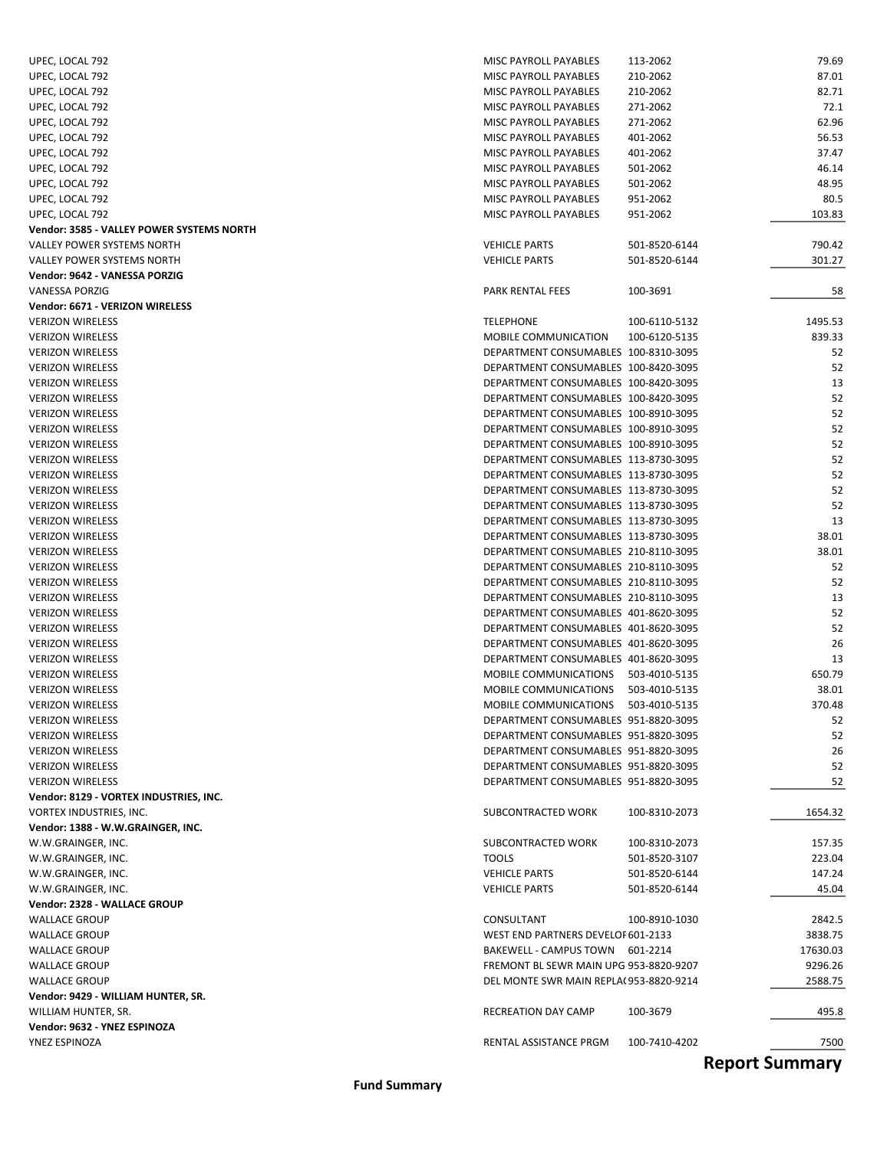| UPEC, LOCAL 792                           | MISC PAYROLL PAYABLES                  | 113-2062      | 79.69    |
|-------------------------------------------|----------------------------------------|---------------|----------|
| UPEC, LOCAL 792                           | MISC PAYROLL PAYABLES                  | 210-2062      | 87.01    |
| UPEC, LOCAL 792                           | MISC PAYROLL PAYABLES                  | 210-2062      | 82.71    |
| UPEC, LOCAL 792                           | MISC PAYROLL PAYABLES                  | 271-2062      | 72.1     |
| UPEC, LOCAL 792                           | MISC PAYROLL PAYABLES                  | 271-2062      | 62.96    |
|                                           | MISC PAYROLL PAYABLES                  | 401-2062      | 56.53    |
| UPEC, LOCAL 792                           |                                        |               |          |
| UPEC, LOCAL 792                           | MISC PAYROLL PAYABLES                  | 401-2062      | 37.47    |
| UPEC, LOCAL 792                           | MISC PAYROLL PAYABLES                  | 501-2062      | 46.14    |
| UPEC, LOCAL 792                           | MISC PAYROLL PAYABLES                  | 501-2062      | 48.95    |
| UPEC, LOCAL 792                           | MISC PAYROLL PAYABLES                  | 951-2062      | 80.5     |
| UPEC, LOCAL 792                           | MISC PAYROLL PAYABLES                  | 951-2062      | 103.83   |
| Vendor: 3585 - VALLEY POWER SYSTEMS NORTH |                                        |               |          |
| VALLEY POWER SYSTEMS NORTH                | <b>VEHICLE PARTS</b>                   | 501-8520-6144 | 790.42   |
| VALLEY POWER SYSTEMS NORTH                | <b>VEHICLE PARTS</b>                   | 501-8520-6144 | 301.27   |
| Vendor: 9642 - VANESSA PORZIG             |                                        |               |          |
| <b>VANESSA PORZIG</b>                     | PARK RENTAL FEES                       | 100-3691      | 58       |
| Vendor: 6671 - VERIZON WIRELESS           |                                        |               |          |
| <b>VERIZON WIRELESS</b>                   | <b>TELEPHONE</b>                       | 100-6110-5132 | 1495.53  |
| <b>VERIZON WIRELESS</b>                   | <b>MOBILE COMMUNICATION</b>            | 100-6120-5135 | 839.33   |
|                                           | DEPARTMENT CONSUMABLES 100-8310-3095   |               |          |
| <b>VERIZON WIRELESS</b>                   |                                        |               | 52       |
| <b>VERIZON WIRELESS</b>                   | DEPARTMENT CONSUMABLES 100-8420-3095   |               | 52       |
| <b>VERIZON WIRELESS</b>                   | DEPARTMENT CONSUMABLES 100-8420-3095   |               | 13       |
| <b>VERIZON WIRELESS</b>                   | DEPARTMENT CONSUMABLES 100-8420-3095   |               | 52       |
| <b>VERIZON WIRELESS</b>                   | DEPARTMENT CONSUMABLES 100-8910-3095   |               | 52       |
| <b>VERIZON WIRELESS</b>                   | DEPARTMENT CONSUMABLES 100-8910-3095   |               | 52       |
| <b>VERIZON WIRELESS</b>                   | DEPARTMENT CONSUMABLES 100-8910-3095   |               | 52       |
| <b>VERIZON WIRELESS</b>                   | DEPARTMENT CONSUMABLES 113-8730-3095   |               | 52       |
| <b>VERIZON WIRELESS</b>                   | DEPARTMENT CONSUMABLES 113-8730-3095   |               | 52       |
| <b>VERIZON WIRELESS</b>                   | DEPARTMENT CONSUMABLES 113-8730-3095   |               | 52       |
| <b>VERIZON WIRELESS</b>                   | DEPARTMENT CONSUMABLES 113-8730-3095   |               | 52       |
| <b>VERIZON WIRELESS</b>                   | DEPARTMENT CONSUMABLES 113-8730-3095   |               | 13       |
| <b>VERIZON WIRELESS</b>                   | DEPARTMENT CONSUMABLES 113-8730-3095   |               | 38.01    |
|                                           |                                        |               |          |
| <b>VERIZON WIRELESS</b>                   | DEPARTMENT CONSUMABLES 210-8110-3095   |               | 38.01    |
| <b>VERIZON WIRELESS</b>                   | DEPARTMENT CONSUMABLES 210-8110-3095   |               | 52       |
| <b>VERIZON WIRELESS</b>                   | DEPARTMENT CONSUMABLES 210-8110-3095   |               | 52       |
| <b>VERIZON WIRELESS</b>                   | DEPARTMENT CONSUMABLES 210-8110-3095   |               | 13       |
| <b>VERIZON WIRELESS</b>                   | DEPARTMENT CONSUMABLES 401-8620-3095   |               | 52       |
| <b>VERIZON WIRELESS</b>                   | DEPARTMENT CONSUMABLES 401-8620-3095   |               | 52       |
| <b>VERIZON WIRELESS</b>                   | DEPARTMENT CONSUMABLES 401-8620-3095   |               | 26       |
| <b>VERIZON WIRELESS</b>                   | DEPARTMENT CONSUMABLES 401-8620-3095   |               | 13       |
| <b>VERIZON WIRELESS</b>                   | MOBILE COMMUNICATIONS 503-4010-5135    |               | 650.79   |
| <b>VERIZON WIRELESS</b>                   | <b>MOBILE COMMUNICATIONS</b>           | 503-4010-5135 | 38.01    |
| <b>VERIZON WIRELESS</b>                   | MOBILE COMMUNICATIONS                  | 503-4010-5135 | 370.48   |
| <b>VERIZON WIRELESS</b>                   | DEPARTMENT CONSUMABLES 951-8820-3095   |               | 52       |
| <b>VERIZON WIRELESS</b>                   | DEPARTMENT CONSUMABLES 951-8820-3095   |               | 52       |
|                                           | DEPARTMENT CONSUMABLES 951-8820-3095   |               | 26       |
| <b>VERIZON WIRELESS</b>                   |                                        |               |          |
| <b>VERIZON WIRELESS</b>                   | DEPARTMENT CONSUMABLES 951-8820-3095   |               | 52       |
| <b>VERIZON WIRELESS</b>                   | DEPARTMENT CONSUMABLES 951-8820-3095   |               | 52       |
| Vendor: 8129 - VORTEX INDUSTRIES, INC.    |                                        |               |          |
| VORTEX INDUSTRIES, INC.                   | SUBCONTRACTED WORK                     | 100-8310-2073 | 1654.32  |
| Vendor: 1388 - W.W.GRAINGER, INC.         |                                        |               |          |
| W.W.GRAINGER, INC.                        | SUBCONTRACTED WORK                     | 100-8310-2073 | 157.35   |
| W.W.GRAINGER, INC.                        | <b>TOOLS</b>                           | 501-8520-3107 | 223.04   |
| W.W.GRAINGER, INC.                        | <b>VEHICLE PARTS</b>                   | 501-8520-6144 | 147.24   |
| W.W.GRAINGER, INC.                        | <b>VEHICLE PARTS</b>                   | 501-8520-6144 | 45.04    |
| Vendor: 2328 - WALLACE GROUP              |                                        |               |          |
| <b>WALLACE GROUP</b>                      | CONSULTANT                             | 100-8910-1030 | 2842.5   |
| <b>WALLACE GROUP</b>                      | WEST END PARTNERS DEVELOF 601-2133     |               | 3838.75  |
|                                           |                                        |               |          |
| <b>WALLACE GROUP</b>                      | BAKEWELL - CAMPUS TOWN 601-2214        |               | 17630.03 |
| <b>WALLACE GROUP</b>                      | FREMONT BL SEWR MAIN UPG 953-8820-9207 |               | 9296.26  |
| <b>WALLACE GROUP</b>                      | DEL MONTE SWR MAIN REPLA(953-8820-9214 |               | 2588.75  |
| Vendor: 9429 - WILLIAM HUNTER, SR.        |                                        |               |          |
| WILLIAM HUNTER, SR.                       | RECREATION DAY CAMP                    | 100-3679      | 495.8    |
| Vendor: 9632 - YNEZ ESPINOZA              |                                        |               |          |
| YNEZ ESPINOZA                             | RENTAL ASSISTANCE PRGM                 | 100-7410-4202 | 7500     |

**Report Summary**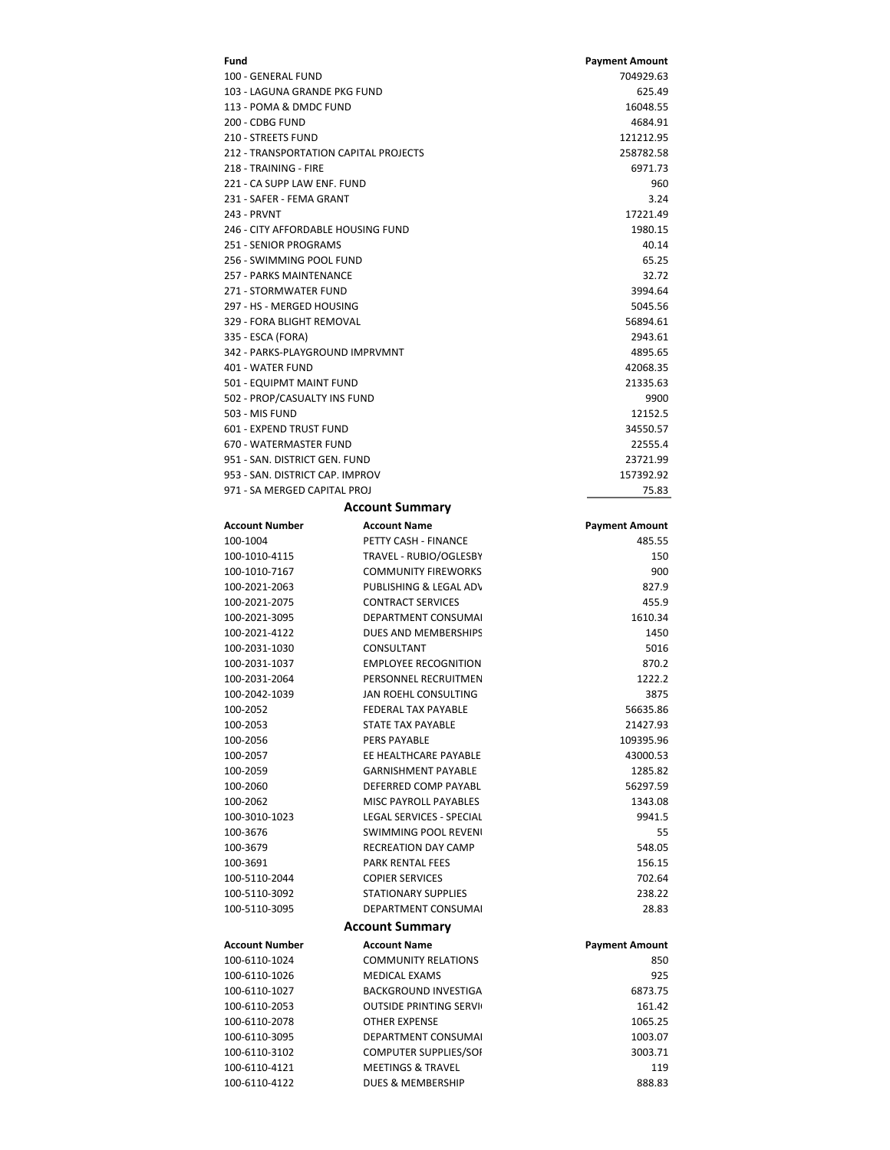| Fund                                                           |                                                       | <b>Payment Amount</b> |
|----------------------------------------------------------------|-------------------------------------------------------|-----------------------|
| 100 - GENERAL FUND                                             |                                                       | 704929.63             |
| 103 - LAGUNA GRANDE PKG FUND                                   |                                                       | 625.49                |
| 113 - POMA & DMDC FUND                                         |                                                       | 16048.55              |
| 200 - CDBG FUND                                                |                                                       | 4684.91               |
| 210 - STREETS FUND                                             |                                                       | 121212.95             |
| 212 - TRANSPORTATION CAPITAL PROJECTS<br>218 - TRAINING - FIRE |                                                       | 258782.58<br>6971.73  |
| 221 - CA SUPP LAW ENF. FUND                                    |                                                       | 960                   |
| 231 - SAFER - FEMA GRANT                                       |                                                       | 3.24                  |
| 243 - PRVNT                                                    |                                                       | 17221.49              |
| 246 - CITY AFFORDABLE HOUSING FUND                             |                                                       | 1980.15               |
| 251 - SENIOR PROGRAMS                                          |                                                       | 40.14                 |
| 256 - SWIMMING POOL FUND                                       |                                                       | 65.25                 |
| <b>257 - PARKS MAINTENANCE</b>                                 |                                                       | 32.72                 |
| 271 - STORMWATER FUND                                          |                                                       | 3994.64               |
| 297 - HS - MERGED HOUSING                                      |                                                       | 5045.56               |
| 329 - FORA BLIGHT REMOVAL                                      |                                                       | 56894.61              |
| 335 - ESCA (FORA)<br>342 - PARKS-PLAYGROUND IMPRVMNT           |                                                       | 2943.61<br>4895.65    |
| 401 - WATER FUND                                               |                                                       | 42068.35              |
| 501 - EQUIPMT MAINT FUND                                       |                                                       | 21335.63              |
| 502 - PROP/CASUALTY INS FUND                                   |                                                       | 9900                  |
| 503 - MIS FUND                                                 |                                                       | 12152.5               |
| 601 - EXPEND TRUST FUND                                        |                                                       | 34550.57              |
| 670 - WATERMASTER FUND                                         |                                                       | 22555.4               |
| 951 - SAN, DISTRICT GEN, FUND                                  |                                                       | 23721.99              |
| 953 - SAN, DISTRICT CAP, IMPROV                                |                                                       | 157392.92             |
| 971 - SA MERGED CAPITAL PROJ                                   |                                                       | 75.83                 |
|                                                                | <b>Account Summary</b>                                |                       |
| <b>Account Number</b>                                          | <b>Account Name</b>                                   | <b>Payment Amount</b> |
| 100-1004                                                       | PETTY CASH - FINANCE                                  | 485.55                |
| 100-1010-4115                                                  | TRAVEL - RUBIO/OGLESBY                                | 150                   |
| 100-1010-7167                                                  | <b>COMMUNITY FIREWORKS</b>                            | 900                   |
| 100-2021-2063                                                  | PUBLISHING & LEGAL ADV                                | 827.9                 |
| 100-2021-2075<br>100-2021-3095                                 | <b>CONTRACT SERVICES</b><br>DEPARTMENT CONSUMAL       | 455.9<br>1610.34      |
| 100-2021-4122                                                  | DUES AND MEMBERSHIPS                                  | 1450                  |
| 100-2031-1030                                                  | CONSULTANT                                            | 5016                  |
| 100-2031-1037                                                  | <b>EMPLOYEE RECOGNITION</b>                           | 870.2                 |
| 100-2031-2064                                                  | PERSONNEL RECRUITMEN                                  | 1222.2                |
| 100-2042-1039                                                  | JAN ROEHL CONSULTING                                  | 3875                  |
| 100-2052                                                       | FEDERAL TAX PAYABLE                                   | 56635.86              |
| 100-2053                                                       | STATE TAX PAYABLE                                     | 21427.93              |
| 100-2056                                                       | PERS PAYABLE                                          | 109395.96             |
| 100-2057                                                       | EE HEALTHCARE PAYABLE                                 | 43000.53              |
| 100-2059                                                       | <b>GARNISHMENT PAYABLE</b>                            | 1285.82               |
| 100-2060                                                       | DEFERRED COMP PAYABL                                  | 56297.59              |
| 100-2062<br>100-3010-1023                                      | MISC PAYROLL PAYABLES<br>LEGAL SERVICES - SPECIAL     | 1343.08<br>9941.5     |
| 100-3676                                                       | SWIMMING POOL REVENI                                  | 55                    |
| 100-3679                                                       | <b>RECREATION DAY CAMP</b>                            | 548.05                |
| 100-3691                                                       | PARK RENTAL FEES                                      | 156.15                |
| 100-5110-2044                                                  | <b>COPIER SERVICES</b>                                | 702.64                |
| 100-5110-3092                                                  | <b>STATIONARY SUPPLIES</b>                            | 238.22                |
| 100-5110-3095                                                  | DEPARTMENT CONSUMAL                                   | 28.83                 |
|                                                                | <b>Account Summary</b>                                |                       |
| <b>Account Number</b>                                          | <b>Account Name</b>                                   | <b>Payment Amount</b> |
| 100-6110-1024                                                  | <b>COMMUNITY RELATIONS</b>                            | 850                   |
| 100-6110-1026                                                  | <b>MEDICAL EXAMS</b>                                  | 925                   |
| 100-6110-1027                                                  | <b>BACKGROUND INVESTIGA</b>                           | 6873.75               |
| 100-6110-2053                                                  | <b>OUTSIDE PRINTING SERVI</b>                         | 161.42                |
| 100-6110-2078                                                  | OTHER EXPENSE                                         | 1065.25               |
| 100-6110-3095                                                  | DEPARTMENT CONSUMAL                                   | 1003.07               |
| 100-6110-3102<br>100-6110-4121                                 | COMPUTER SUPPLIES/SOI<br><b>MEETINGS &amp; TRAVEL</b> | 3003.71<br>119        |
| 100-6110-4122                                                  | DUES & MEMBERSHIP                                     | 888.83                |
|                                                                |                                                       |                       |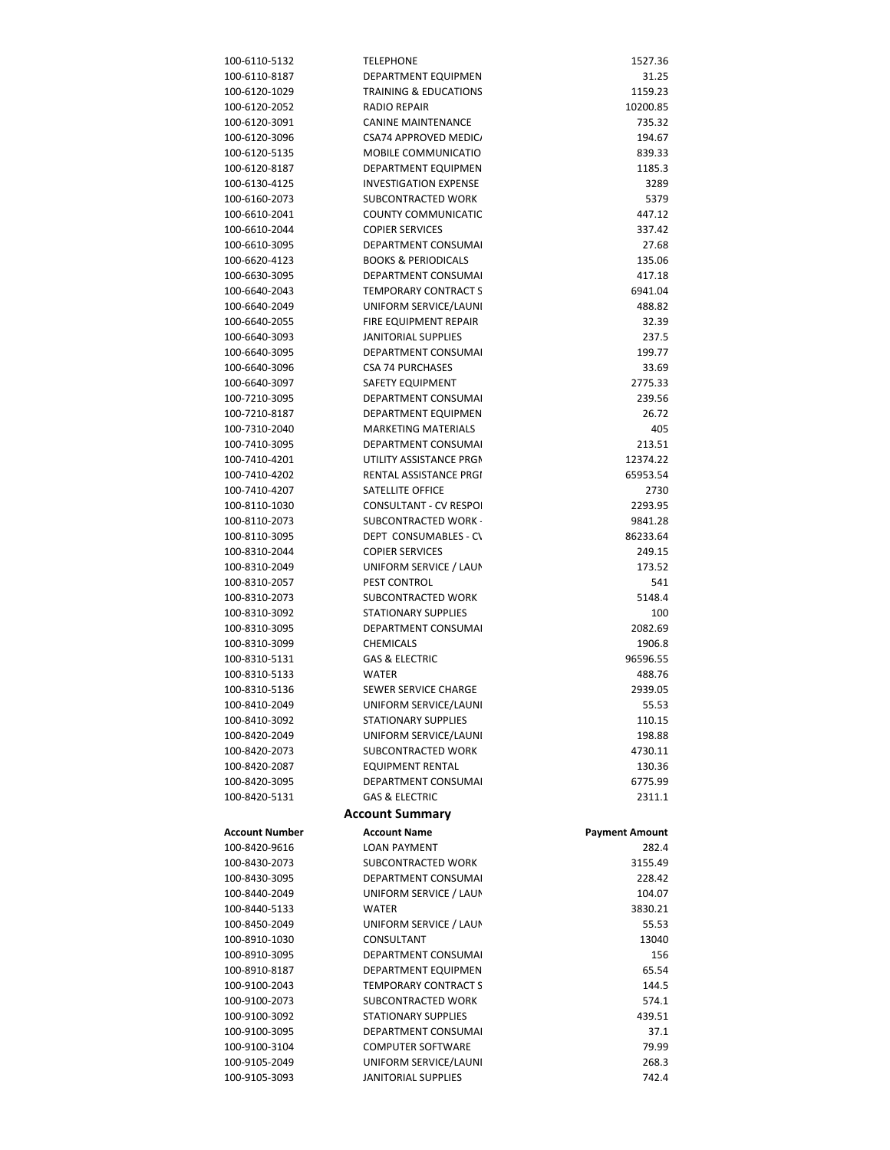| 100-6110-5132         | <b>TELEPHONE</b>               | 1527.36               |
|-----------------------|--------------------------------|-----------------------|
| 100-6110-8187         | DEPARTMENT EQUIPMEN            | 31.25                 |
| 100-6120-1029         | TRAINING & EDUCATIONS          | 1159.23               |
| 100-6120-2052         | RADIO REPAIR                   | 10200.85              |
| 100-6120-3091         | <b>CANINE MAINTENANCE</b>      | 735.32                |
| 100-6120-3096         | CSA74 APPROVED MEDIC           | 194.67                |
| 100-6120-5135         | <b>MOBILE COMMUNICATIO</b>     | 839.33                |
| 100-6120-8187         | DEPARTMENT EQUIPMEN            | 1185.3                |
| 100-6130-4125         | <b>INVESTIGATION EXPENSE</b>   | 3289                  |
| 100-6160-2073         | SUBCONTRACTED WORK             | 5379                  |
| 100-6610-2041         | <b>COUNTY COMMUNICATIC</b>     | 447.12                |
| 100-6610-2044         | <b>COPIER SERVICES</b>         | 337.42                |
| 100-6610-3095         | DEPARTMENT CONSUMAL            | 27.68                 |
| 100-6620-4123         |                                | 135.06                |
|                       | <b>BOOKS &amp; PERIODICALS</b> |                       |
| 100-6630-3095         | <b>DEPARTMENT CONSUMAL</b>     | 417.18                |
| 100-6640-2043         | <b>TEMPORARY CONTRACT S</b>    | 6941.04               |
| 100-6640-2049         | UNIFORM SERVICE/LAUNI          | 488.82                |
| 100-6640-2055         | FIRE EQUIPMENT REPAIR          | 32.39                 |
| 100-6640-3093         | JANITORIAL SUPPLIES            | 237.5                 |
| 100-6640-3095         | DEPARTMENT CONSUMAL            | 199.77                |
| 100-6640-3096         | <b>CSA 74 PURCHASES</b>        | 33.69                 |
| 100-6640-3097         | SAFETY EQUIPMENT               | 2775.33               |
| 100-7210-3095         | DEPARTMENT CONSUMAL            | 239.56                |
| 100-7210-8187         | DEPARTMENT EQUIPMEN            | 26.72                 |
| 100-7310-2040         | <b>MARKETING MATERIALS</b>     | 405                   |
| 100-7410-3095         | DEPARTMENT CONSUMAL            | 213.51                |
| 100-7410-4201         | UTILITY ASSISTANCE PRGM        | 12374.22              |
| 100-7410-4202         | RENTAL ASSISTANCE PRGI         | 65953.54              |
| 100-7410-4207         | SATELLITE OFFICE               | 2730                  |
| 100-8110-1030         | CONSULTANT - CV RESPOI         | 2293.95               |
| 100-8110-2073         | SUBCONTRACTED WORK             | 9841.28               |
| 100-8110-3095         | DEPT CONSUMABLES - C\          | 86233.64              |
| 100-8310-2044         | <b>COPIER SERVICES</b>         | 249.15                |
|                       |                                |                       |
| 100-8310-2049         | UNIFORM SERVICE / LAUN         | 173.52                |
| 100-8310-2057         | PEST CONTROL                   | 541                   |
| 100-8310-2073         | SUBCONTRACTED WORK             | 5148.4                |
| 100-8310-3092         | STATIONARY SUPPLIES            | 100                   |
| 100-8310-3095         | DEPARTMENT CONSUMAL            | 2082.69               |
| 100-8310-3099         | CHEMICALS                      | 1906.8                |
| 100-8310-5131         | <b>GAS &amp; ELECTRIC</b>      | 96596.55              |
| 100-8310-5133         | WATER                          | 488.76                |
| 100-8310-5136         | SEWER SERVICE CHARGE           | 2939.05               |
| 100-8410-2049         | UNIFORM SERVICE/LAUNI          | 55.53                 |
| 100-8410-3092         | <b>STATIONARY SUPPLIES</b>     | 110.15                |
| 100-8420-2049         | UNIFORM SERVICE/LAUNI          | 198.88                |
| 100-8420-2073         | SUBCONTRACTED WORK             | 4730.11               |
| 100-8420-2087         | <b>EQUIPMENT RENTAL</b>        | 130.36                |
| 100-8420-3095         | <b>DEPARTMENT CONSUMAL</b>     | 6775.99               |
| 100-8420-5131         | <b>GAS &amp; ELECTRIC</b>      | 2311.1                |
|                       | <b>Account Summary</b>         |                       |
|                       |                                |                       |
| <b>Account Number</b> | <b>Account Name</b>            | <b>Payment Amount</b> |
| 100-8420-9616         | <b>LOAN PAYMENT</b>            | 282.4                 |
| 100-8430-2073         | SUBCONTRACTED WORK             | 3155.49               |
| 100-8430-3095         | DEPARTMENT CONSUMAL            | 228.42                |
| 100-8440-2049         | UNIFORM SERVICE / LAUN         | 104.07                |
| 100-8440-5133         | <b>WATER</b>                   | 3830.21               |
| 100-8450-2049         | UNIFORM SERVICE / LAUN         | 55.53                 |
| 100-8910-1030         | CONSULTANT                     | 13040                 |
| 100-8910-3095         | DEPARTMENT CONSUMAL            | 156                   |
| 100-8910-8187         | DEPARTMENT EQUIPMEN            | 65.54                 |
| 100-9100-2043         | <b>TEMPORARY CONTRACT S</b>    | 144.5                 |
| 100-9100-2073         | SUBCONTRACTED WORK             | 574.1                 |
| 100-9100-3092         | <b>STATIONARY SUPPLIES</b>     | 439.51                |
| 100-9100-3095         | DEPARTMENT CONSUMAL            | 37.1                  |
| 100-9100-3104         | <b>COMPUTER SOFTWARE</b>       | 79.99                 |
| 100-9105-2049         | UNIFORM SERVICE/LAUNI          | 268.3                 |
| 100-9105-3093         | JANITORIAL SUPPLIES            | 742.4                 |
|                       |                                |                       |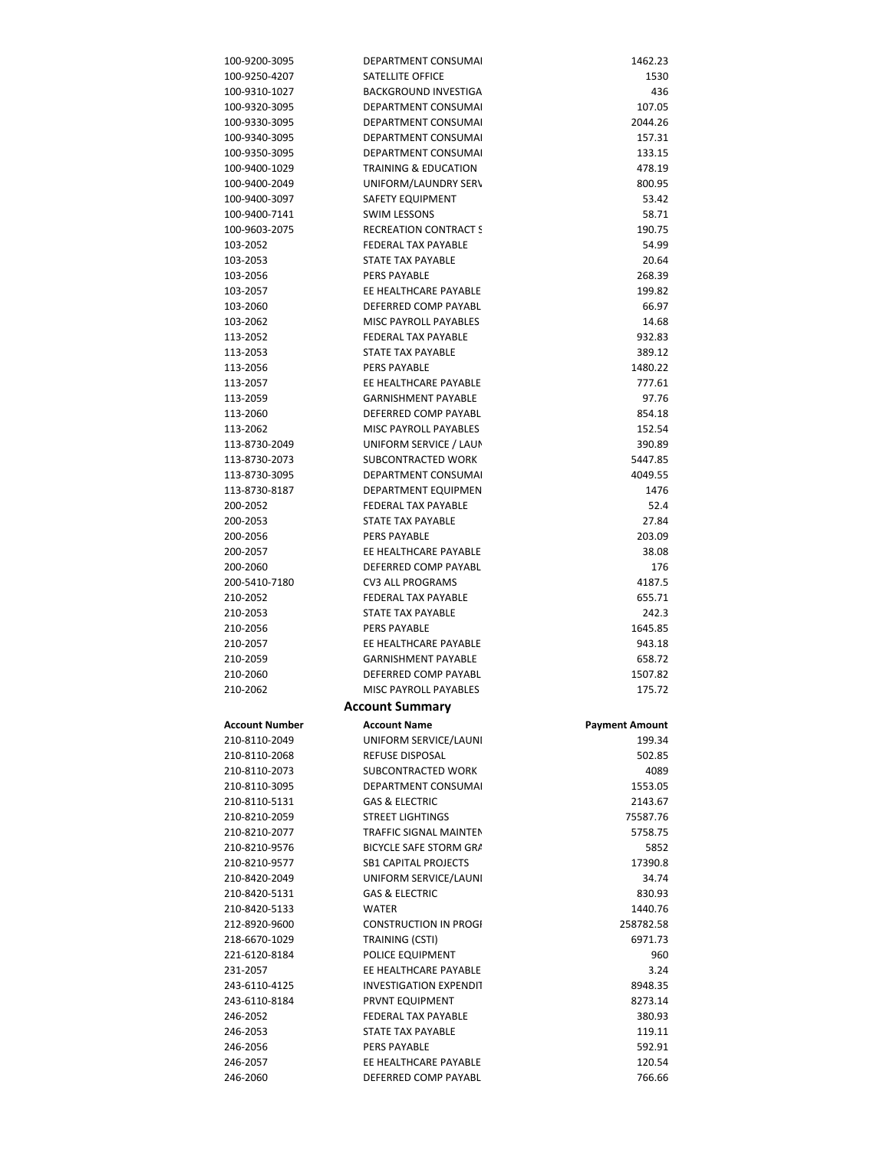| 100-9200-3095         | DEPARTMENT CONSUMAL          | 1462.23               |
|-----------------------|------------------------------|-----------------------|
| 100-9250-4207         | SATELLITE OFFICE             | 1530                  |
| 100-9310-1027         | <b>BACKGROUND INVESTIGA</b>  | 436                   |
| 100-9320-3095         | <b>DEPARTMENT CONSUMAL</b>   | 107.05                |
| 100-9330-3095         | DEPARTMENT CONSUMAL          | 2044.26               |
| 100-9340-3095         | DEPARTMENT CONSUMAL          | 157.31                |
| 100-9350-3095         | DEPARTMENT CONSUMAL          | 133.15                |
| 100-9400-1029         | TRAINING & EDUCATION         | 478.19                |
|                       |                              |                       |
| 100-9400-2049         | UNIFORM/LAUNDRY SERV         | 800.95                |
| 100-9400-3097         | SAFETY EQUIPMENT             | 53.42                 |
| 100-9400-7141         | <b>SWIM LESSONS</b>          | 58.71                 |
| 100-9603-2075         | <b>RECREATION CONTRACT S</b> | 190.75                |
| 103-2052              | FEDERAL TAX PAYABLE          | 54.99                 |
| 103-2053              | STATE TAX PAYABLE            | 20.64                 |
| 103-2056              | <b>PERS PAYABLE</b>          | 268.39                |
| 103-2057              | EE HEALTHCARE PAYABLE        | 199.82                |
| 103-2060              | DEFERRED COMP PAYABL         | 66.97                 |
| 103-2062              | <b>MISC PAYROLL PAYABLES</b> | 14.68                 |
| 113-2052              | <b>FEDERAL TAX PAYABLE</b>   | 932.83                |
| 113-2053              | STATE TAX PAYABLE            | 389.12                |
| 113-2056              | <b>PERS PAYABLE</b>          | 1480.22               |
| 113-2057              | EE HEALTHCARE PAYABLE        | 777.61                |
| 113-2059              | <b>GARNISHMENT PAYABLE</b>   | 97.76                 |
|                       |                              |                       |
| 113-2060              | DEFERRED COMP PAYABL         | 854.18                |
| 113-2062              | MISC PAYROLL PAYABLES        | 152.54                |
| 113-8730-2049         | UNIFORM SERVICE / LAUN       | 390.89                |
| 113-8730-2073         | SUBCONTRACTED WORK           | 5447.85               |
| 113-8730-3095         | <b>DEPARTMENT CONSUMAL</b>   | 4049.55               |
| 113-8730-8187         | DEPARTMENT EQUIPMEN          | 1476                  |
| 200-2052              | FEDERAL TAX PAYABLE          | 52.4                  |
| 200-2053              | STATE TAX PAYABLE            | 27.84                 |
| 200-2056              | <b>PERS PAYABLE</b>          | 203.09                |
| 200-2057              | EE HEALTHCARE PAYABLE        | 38.08                 |
|                       | DEFERRED COMP PAYABL         | 176                   |
|                       |                              |                       |
| 200-2060              |                              |                       |
| 200-5410-7180         | <b>CV3 ALL PROGRAMS</b>      | 4187.5                |
| 210-2052              | FEDERAL TAX PAYABLE          | 655.71                |
| 210-2053              | STATE TAX PAYABLE            | 242.3                 |
| 210-2056              | PERS PAYABLE                 | 1645.85               |
| 210-2057              | EE HEALTHCARE PAYABLE        | 943.18                |
| 210-2059              | <b>GARNISHMENT PAYABLE</b>   | 658.72                |
| 210-2060              | DEFERRED COMP PAYABL         | 1507.82               |
| 210-2062              | <b>MISC PAYROLL PAYABLES</b> | 175.72                |
|                       | <b>Account Summary</b>       |                       |
|                       |                              |                       |
| <b>Account Number</b> | <b>Account Name</b>          | <b>Payment Amount</b> |
| 210-8110-2049         | UNIFORM SERVICE/LAUNI        | 199.34                |
| 210-8110-2068         | REFUSE DISPOSAL              | 502.85                |
| 210-8110-2073         | SUBCONTRACTED WORK           | 4089                  |
| 210-8110-3095         | DEPARTMENT CONSUMAL          | 1553.05               |
| 210-8110-5131         | <b>GAS &amp; ELECTRIC</b>    | 2143.67               |
| 210-8210-2059         | <b>STREET LIGHTINGS</b>      | 75587.76              |
| 210-8210-2077         | TRAFFIC SIGNAL MAINTEN       | 5758.75               |
| 210-8210-9576         | BICYCLE SAFE STORM GRA       | 5852                  |
| 210-8210-9577         | <b>SB1 CAPITAL PROJECTS</b>  | 17390.8               |
| 210-8420-2049         | UNIFORM SERVICE/LAUNI        | 34.74                 |
| 210-8420-5131         | <b>GAS &amp; ELECTRIC</b>    | 830.93                |
| 210-8420-5133         | WATER                        | 1440.76               |
| 212-8920-9600         | <b>CONSTRUCTION IN PROGI</b> | 258782.58             |
|                       |                              |                       |
| 218-6670-1029         | TRAINING (CSTI)              | 6971.73               |
| 221-6120-8184         | POLICE EQUIPMENT             | 960                   |
| 231-2057              | EE HEALTHCARE PAYABLE        | 3.24                  |
| 243-6110-4125         | INVESTIGATION EXPENDIT       | 8948.35               |
| 243-6110-8184         | PRVNT EQUIPMENT              | 8273.14               |
| 246-2052              | FEDERAL TAX PAYABLE          | 380.93                |
| 246-2053              | STATE TAX PAYABLE            | 119.11                |
| 246-2056              | <b>PERS PAYABLE</b>          | 592.91                |
| 246-2057              | EE HEALTHCARE PAYABLE        | 120.54                |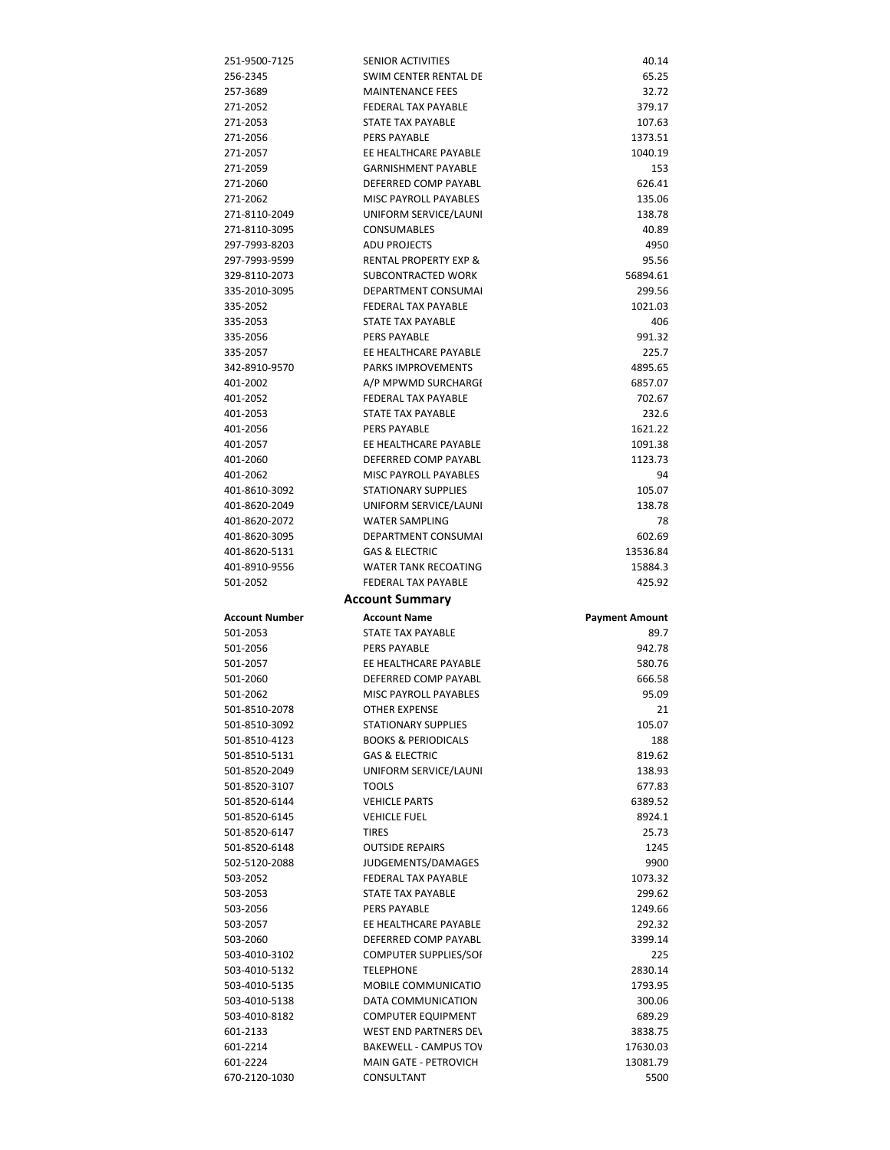| 251-9500-7125                                                                                                       | SENIOR ACTIVITIES                   | 40.14                 |
|---------------------------------------------------------------------------------------------------------------------|-------------------------------------|-----------------------|
| 256-2345                                                                                                            | SWIM CENTER RENTAL DE               | 65.25                 |
| 257-3689                                                                                                            | <b>MAINTENANCE FEES</b>             | 32.72                 |
| 271-2052                                                                                                            | <b>FEDERAL TAX PAYABLE</b>          | 379.17                |
| 271-2053                                                                                                            | STATE TAX PAYABLE                   | 107.63                |
| 271-2056                                                                                                            | PERS PAYABLE                        | 1373.51               |
| 271-2057                                                                                                            | EE HEALTHCARE PAYABLE               | 1040.19               |
| 271-2059                                                                                                            | <b>GARNISHMENT PAYABLE</b>          | 153                   |
|                                                                                                                     |                                     |                       |
| 271-2060                                                                                                            | DEFERRED COMP PAYABL                | 626.41                |
| 271-2062                                                                                                            | MISC PAYROLL PAYABLES               | 135.06                |
| 271-8110-2049                                                                                                       | UNIFORM SERVICE/LAUNI               | 138.78                |
| 271-8110-3095                                                                                                       | <b>CONSUMABLES</b>                  | 40.89                 |
| 297-7993-8203                                                                                                       | <b>ADU PROJECTS</b>                 | 4950                  |
| 297-7993-9599                                                                                                       | <b>RENTAL PROPERTY EXP &amp;</b>    | 95.56                 |
| 329-8110-2073                                                                                                       | SUBCONTRACTED WORK                  | 56894.61              |
| 335-2010-3095                                                                                                       | <b>DEPARTMENT CONSUMAL</b>          | 299.56                |
| 335-2052                                                                                                            | <b>FEDERAL TAX PAYABLE</b>          | 1021.03               |
| 335-2053                                                                                                            | STATE TAX PAYABLE                   | 406                   |
| 335-2056                                                                                                            | <b>PERS PAYABLE</b>                 | 991.32                |
| 335-2057                                                                                                            | EE HEALTHCARE PAYABLE               | 225.7                 |
| 342-8910-9570                                                                                                       | <b>PARKS IMPROVEMENTS</b>           | 4895.65               |
| 401-2002                                                                                                            | A/P MPWMD SURCHARGI                 | 6857.07               |
| 401-2052                                                                                                            | <b>FEDERAL TAX PAYABLE</b>          | 702.67                |
|                                                                                                                     |                                     |                       |
| 401-2053                                                                                                            | STATE TAX PAYABLE                   | 232.6                 |
| 401-2056                                                                                                            | <b>PERS PAYABLE</b>                 | 1621.22               |
| 401-2057                                                                                                            | EE HEALTHCARE PAYABLE               | 1091.38               |
| 401-2060                                                                                                            | DEFERRED COMP PAYABL                | 1123.73               |
| 401-2062                                                                                                            | MISC PAYROLL PAYABLES               | 94                    |
| 401-8610-3092                                                                                                       | <b>STATIONARY SUPPLIES</b>          | 105.07                |
| 401-8620-2049                                                                                                       | UNIFORM SERVICE/LAUNI               | 138.78                |
| 401-8620-2072                                                                                                       | <b>WATER SAMPLING</b>               | 78                    |
| 401-8620-3095                                                                                                       | DEPARTMENT CONSUMAL                 | 602.69                |
| 401-8620-5131                                                                                                       | <b>GAS &amp; ELECTRIC</b>           | 13536.84              |
| 401-8910-9556                                                                                                       | <b>WATER TANK RECOATING</b>         | 15884.3               |
| 501-2052                                                                                                            | FEDERAL TAX PAYABLE                 | 425.92                |
|                                                                                                                     |                                     |                       |
|                                                                                                                     |                                     |                       |
|                                                                                                                     | <b>Account Summary</b>              |                       |
|                                                                                                                     | <b>Account Name</b>                 | <b>Payment Amount</b> |
| Account Number<br>501-2053                                                                                          | STATE TAX PAYABLE                   | 89.7                  |
|                                                                                                                     | <b>PERS PAYABLE</b>                 | 942.78                |
|                                                                                                                     | EE HEALTHCARE PAYABLE               | 580.76                |
|                                                                                                                     | DEFERRED COMP PAYABL                | 666.58                |
| 501-2056<br>501-2057<br>501-2060<br>501-2062                                                                        | MISC PAYROLL PAYABLES               | 95.09                 |
|                                                                                                                     | <b>OTHER EXPENSE</b>                | 21                    |
|                                                                                                                     | <b>STATIONARY SUPPLIES</b>          | 105.07                |
|                                                                                                                     | <b>BOOKS &amp; PERIODICALS</b>      | 188                   |
|                                                                                                                     |                                     |                       |
|                                                                                                                     | <b>GAS &amp; ELECTRIC</b>           | 819.62                |
|                                                                                                                     | UNIFORM SERVICE/LAUNI               | 138.93                |
|                                                                                                                     | <b>TOOLS</b>                        | 677.83                |
| 501-8510-2078<br>501-8510-3092<br>501-8510-4123<br>501-8510-5131<br>501-8520-2049<br>501-8520-3107<br>501-8520-6144 | <b>VEHICLE PARTS</b>                | 6389.52               |
| 501-8520-6145                                                                                                       | <b>VEHICLE FUEL</b>                 | 8924.1                |
| 501-8520-6147                                                                                                       | TIRES                               | 25.73                 |
| 501-8520-6148                                                                                                       | <b>OUTSIDE REPAIRS</b>              | 1245                  |
| 502-5120-2088                                                                                                       | JUDGEMENTS/DAMAGES                  | 9900                  |
| 503-2052                                                                                                            | FEDERAL TAX PAYABLE                 | 1073.32               |
| 503-2053                                                                                                            | STATE TAX PAYABLE                   | 299.62                |
| 503-2056                                                                                                            | PERS PAYABLE                        | 1249.66               |
| 503-2057                                                                                                            | EE HEALTHCARE PAYABLE               | 292.32                |
| 503-2060                                                                                                            | DEFERRED COMP PAYABL                | 3399.14               |
| 503-4010-3102                                                                                                       | COMPUTER SUPPLIES/SOI               | 225                   |
| 503-4010-5132                                                                                                       | <b>TELEPHONE</b>                    | 2830.14               |
| 503-4010-5135                                                                                                       | MOBILE COMMUNICATIO                 |                       |
|                                                                                                                     |                                     | 1793.95               |
| 503-4010-5138                                                                                                       | DATA COMMUNICATION                  | 300.06                |
| 503-4010-8182                                                                                                       | <b>COMPUTER EQUIPMENT</b>           | 689.29                |
| 601-2133                                                                                                            | <b>WEST END PARTNERS DEV</b>        | 3838.75               |
| 601-2214                                                                                                            | <b>BAKEWELL - CAMPUS TOV</b>        | 17630.03              |
| 601-2224<br>670-2120-1030                                                                                           | MAIN GATE - PETROVICH<br>CONSULTANT | 13081.79<br>5500      |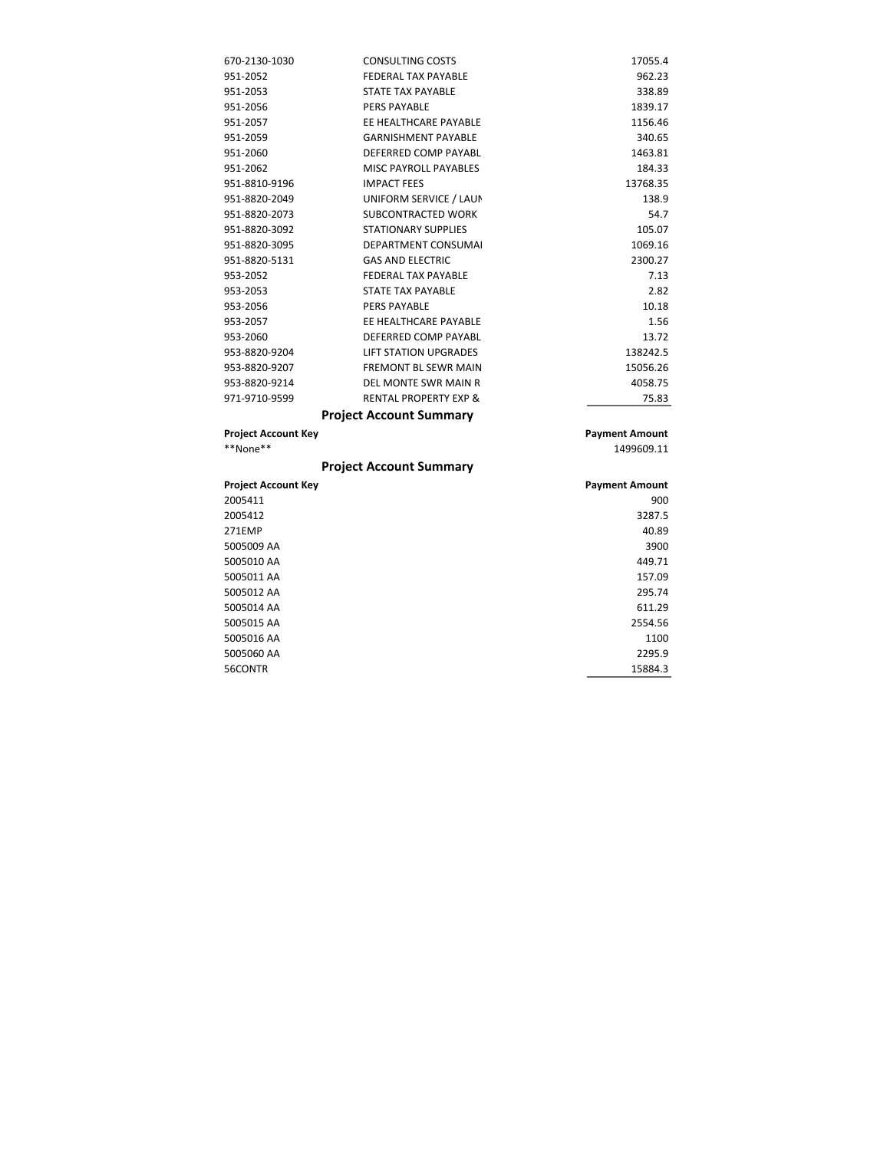| 670-2130-1030              | <b>CONSULTING COSTS</b>          | 17055.4               |
|----------------------------|----------------------------------|-----------------------|
| 951-2052                   | <b>FEDERAL TAX PAYABLE</b>       | 962.23                |
| 951-2053                   | <b>STATE TAX PAYABLE</b>         | 338.89                |
| 951-2056                   | <b>PERS PAYABLE</b>              | 1839.17               |
| 951-2057                   | EE HEALTHCARE PAYABLE            | 1156.46               |
| 951-2059                   | <b>GARNISHMENT PAYABLE</b>       | 340.65                |
| 951-2060                   | DEFERRED COMP PAYABL             | 1463.81               |
| 951-2062                   | <b>MISC PAYROLL PAYABLES</b>     | 184.33                |
| 951-8810-9196              | <b>IMPACT FEES</b>               | 13768.35              |
| 951-8820-2049              | UNIFORM SERVICE / LAUN           | 138.9                 |
| 951-8820-2073              | SUBCONTRACTED WORK               | 54.7                  |
| 951-8820-3092              | <b>STATIONARY SUPPLIES</b>       | 105.07                |
| 951-8820-3095              | <b>DEPARTMENT CONSUMAL</b>       | 1069.16               |
| 951-8820-5131              | <b>GAS AND ELECTRIC</b>          | 2300.27               |
| 953-2052                   | <b>FEDERAL TAX PAYABLE</b>       | 7.13                  |
| 953-2053                   | <b>STATE TAX PAYABLE</b>         | 2.82                  |
| 953-2056                   | <b>PERS PAYABLE</b>              | 10.18                 |
| 953-2057                   | EE HEALTHCARE PAYABLE            | 1.56                  |
| 953-2060                   | DEFERRED COMP PAYABL             | 13.72                 |
| 953-8820-9204              | <b>LIFT STATION UPGRADES</b>     | 138242.5              |
| 953-8820-9207              | <b>FREMONT BL SEWR MAIN</b>      | 15056.26              |
| 953-8820-9214              | DEL MONTE SWR MAIN R             | 4058.75               |
| 971-9710-9599              | <b>RENTAL PROPERTY EXP &amp;</b> | 75.83                 |
|                            | <b>Project Account Summary</b>   |                       |
| <b>Project Account Key</b> |                                  | <b>Payment Amount</b> |
| **None**                   |                                  | 1499609.11            |
|                            | <b>Project Account Summary</b>   |                       |
|                            |                                  |                       |

| <b>Project Account Key</b> | <b>Payment Amount</b> |
|----------------------------|-----------------------|
| 2005411                    | 900                   |
| 2005412                    | 3287.5                |
| 271EMP                     | 40.89                 |
| 5005009 AA                 | 3900                  |
| 5005010 AA                 | 449.71                |
| 5005011 AA                 | 157.09                |
| 5005012 AA                 | 295.74                |
| 5005014 AA                 | 611.29                |
| 5005015 AA                 | 2554.56               |
| 5005016 AA                 | 1100                  |
| 5005060 AA                 | 2295.9                |
| 56CONTR                    | 15884.3               |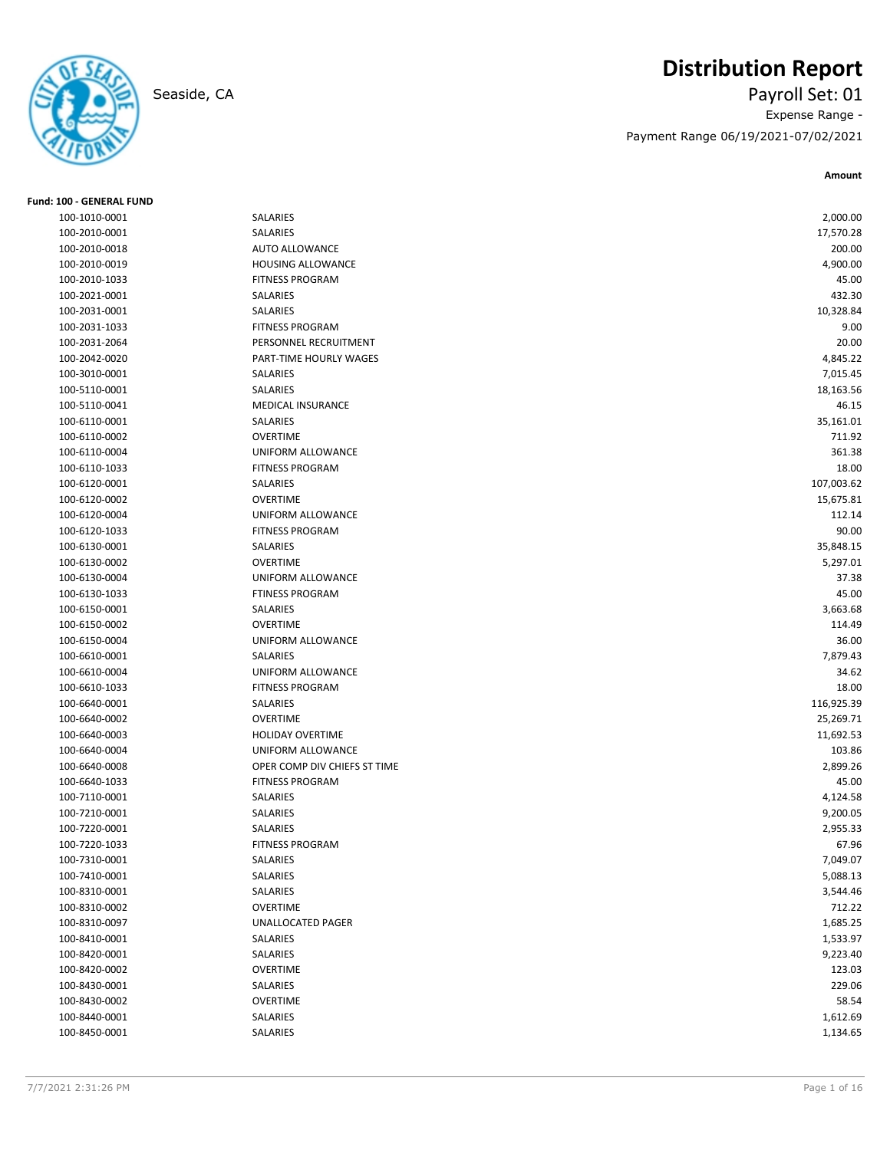

# **Distribution Report**

Seaside, CA Payroll Set: 01 Expense Range - Payment Range 06/19/2021-07/02/2021

| SALARIES<br>2,000.00<br>100-1010-0001<br>SALARIES<br>100-2010-0001<br>17,570.28<br><b>AUTO ALLOWANCE</b><br>200.00<br>100-2010-0018<br>100-2010-0019<br>HOUSING ALLOWANCE<br>4,900.00<br><b>FITNESS PROGRAM</b><br>100-2010-1033<br>45.00<br>100-2021-0001<br>SALARIES<br>432.30<br>SALARIES<br>10,328.84<br>100-2031-0001<br><b>FITNESS PROGRAM</b><br>9.00<br>100-2031-1033<br>PERSONNEL RECRUITMENT<br>20.00<br>100-2031-2064<br>100-2042-0020<br>PART-TIME HOURLY WAGES<br>4,845.22<br>100-3010-0001<br>SALARIES<br>7,015.45<br>SALARIES<br>100-5110-0001<br>18,163.56<br>100-5110-0041<br><b>MEDICAL INSURANCE</b><br>46.15<br>SALARIES<br>35,161.01<br>100-6110-0001<br><b>OVERTIME</b><br>711.92<br>100-6110-0002<br>361.38<br>100-6110-0004<br>UNIFORM ALLOWANCE<br><b>FITNESS PROGRAM</b><br>100-6110-1033<br>18.00<br>107,003.62<br>100-6120-0001<br>SALARIES<br><b>OVERTIME</b><br>100-6120-0002<br>15,675.81<br>100-6120-0004<br>UNIFORM ALLOWANCE<br>112.14<br><b>FITNESS PROGRAM</b><br>90.00<br>100-6120-1033<br>SALARIES<br>100-6130-0001<br>35,848.15<br><b>OVERTIME</b><br>100-6130-0002<br>5,297.01<br>UNIFORM ALLOWANCE<br>37.38<br>100-6130-0004<br><b>FTINESS PROGRAM</b><br>100-6130-1033<br>45.00<br>100-6150-0001<br>SALARIES<br>3,663.68<br><b>OVERTIME</b><br>114.49<br>100-6150-0002<br>36.00<br>100-6150-0004<br>UNIFORM ALLOWANCE<br>7,879.43<br>100-6610-0001<br>SALARIES<br>UNIFORM ALLOWANCE<br>34.62<br>100-6610-0004<br><b>FITNESS PROGRAM</b><br>18.00<br>100-6610-1033<br>SALARIES<br>116,925.39<br>100-6640-0001<br><b>OVERTIME</b><br>100-6640-0002<br>25,269.71<br><b>HOLIDAY OVERTIME</b><br>11,692.53<br>100-6640-0003<br>103.86<br>100-6640-0004<br>UNIFORM ALLOWANCE<br>OPER COMP DIV CHIEFS ST TIME<br>2,899.26<br>100-6640-0008<br><b>FITNESS PROGRAM</b><br>100-6640-1033<br>45.00<br>100-7110-0001<br>SALARIES<br>4,124.58<br>100-7210-0001<br>SALARIES<br>9,200.05<br>SALARIES<br>100-7220-0001<br>2,955.33<br>100-7220-1033<br><b>FITNESS PROGRAM</b><br>67.96 |
|------------------------------------------------------------------------------------------------------------------------------------------------------------------------------------------------------------------------------------------------------------------------------------------------------------------------------------------------------------------------------------------------------------------------------------------------------------------------------------------------------------------------------------------------------------------------------------------------------------------------------------------------------------------------------------------------------------------------------------------------------------------------------------------------------------------------------------------------------------------------------------------------------------------------------------------------------------------------------------------------------------------------------------------------------------------------------------------------------------------------------------------------------------------------------------------------------------------------------------------------------------------------------------------------------------------------------------------------------------------------------------------------------------------------------------------------------------------------------------------------------------------------------------------------------------------------------------------------------------------------------------------------------------------------------------------------------------------------------------------------------------------------------------------------------------------------------------------------------------------------------------------------------------------------------------------------------------------------------------------------------------------|
|                                                                                                                                                                                                                                                                                                                                                                                                                                                                                                                                                                                                                                                                                                                                                                                                                                                                                                                                                                                                                                                                                                                                                                                                                                                                                                                                                                                                                                                                                                                                                                                                                                                                                                                                                                                                                                                                                                                                                                                                                  |
|                                                                                                                                                                                                                                                                                                                                                                                                                                                                                                                                                                                                                                                                                                                                                                                                                                                                                                                                                                                                                                                                                                                                                                                                                                                                                                                                                                                                                                                                                                                                                                                                                                                                                                                                                                                                                                                                                                                                                                                                                  |
|                                                                                                                                                                                                                                                                                                                                                                                                                                                                                                                                                                                                                                                                                                                                                                                                                                                                                                                                                                                                                                                                                                                                                                                                                                                                                                                                                                                                                                                                                                                                                                                                                                                                                                                                                                                                                                                                                                                                                                                                                  |
|                                                                                                                                                                                                                                                                                                                                                                                                                                                                                                                                                                                                                                                                                                                                                                                                                                                                                                                                                                                                                                                                                                                                                                                                                                                                                                                                                                                                                                                                                                                                                                                                                                                                                                                                                                                                                                                                                                                                                                                                                  |
|                                                                                                                                                                                                                                                                                                                                                                                                                                                                                                                                                                                                                                                                                                                                                                                                                                                                                                                                                                                                                                                                                                                                                                                                                                                                                                                                                                                                                                                                                                                                                                                                                                                                                                                                                                                                                                                                                                                                                                                                                  |
|                                                                                                                                                                                                                                                                                                                                                                                                                                                                                                                                                                                                                                                                                                                                                                                                                                                                                                                                                                                                                                                                                                                                                                                                                                                                                                                                                                                                                                                                                                                                                                                                                                                                                                                                                                                                                                                                                                                                                                                                                  |
|                                                                                                                                                                                                                                                                                                                                                                                                                                                                                                                                                                                                                                                                                                                                                                                                                                                                                                                                                                                                                                                                                                                                                                                                                                                                                                                                                                                                                                                                                                                                                                                                                                                                                                                                                                                                                                                                                                                                                                                                                  |
|                                                                                                                                                                                                                                                                                                                                                                                                                                                                                                                                                                                                                                                                                                                                                                                                                                                                                                                                                                                                                                                                                                                                                                                                                                                                                                                                                                                                                                                                                                                                                                                                                                                                                                                                                                                                                                                                                                                                                                                                                  |
|                                                                                                                                                                                                                                                                                                                                                                                                                                                                                                                                                                                                                                                                                                                                                                                                                                                                                                                                                                                                                                                                                                                                                                                                                                                                                                                                                                                                                                                                                                                                                                                                                                                                                                                                                                                                                                                                                                                                                                                                                  |
|                                                                                                                                                                                                                                                                                                                                                                                                                                                                                                                                                                                                                                                                                                                                                                                                                                                                                                                                                                                                                                                                                                                                                                                                                                                                                                                                                                                                                                                                                                                                                                                                                                                                                                                                                                                                                                                                                                                                                                                                                  |
|                                                                                                                                                                                                                                                                                                                                                                                                                                                                                                                                                                                                                                                                                                                                                                                                                                                                                                                                                                                                                                                                                                                                                                                                                                                                                                                                                                                                                                                                                                                                                                                                                                                                                                                                                                                                                                                                                                                                                                                                                  |
|                                                                                                                                                                                                                                                                                                                                                                                                                                                                                                                                                                                                                                                                                                                                                                                                                                                                                                                                                                                                                                                                                                                                                                                                                                                                                                                                                                                                                                                                                                                                                                                                                                                                                                                                                                                                                                                                                                                                                                                                                  |
|                                                                                                                                                                                                                                                                                                                                                                                                                                                                                                                                                                                                                                                                                                                                                                                                                                                                                                                                                                                                                                                                                                                                                                                                                                                                                                                                                                                                                                                                                                                                                                                                                                                                                                                                                                                                                                                                                                                                                                                                                  |
|                                                                                                                                                                                                                                                                                                                                                                                                                                                                                                                                                                                                                                                                                                                                                                                                                                                                                                                                                                                                                                                                                                                                                                                                                                                                                                                                                                                                                                                                                                                                                                                                                                                                                                                                                                                                                                                                                                                                                                                                                  |
|                                                                                                                                                                                                                                                                                                                                                                                                                                                                                                                                                                                                                                                                                                                                                                                                                                                                                                                                                                                                                                                                                                                                                                                                                                                                                                                                                                                                                                                                                                                                                                                                                                                                                                                                                                                                                                                                                                                                                                                                                  |
|                                                                                                                                                                                                                                                                                                                                                                                                                                                                                                                                                                                                                                                                                                                                                                                                                                                                                                                                                                                                                                                                                                                                                                                                                                                                                                                                                                                                                                                                                                                                                                                                                                                                                                                                                                                                                                                                                                                                                                                                                  |
|                                                                                                                                                                                                                                                                                                                                                                                                                                                                                                                                                                                                                                                                                                                                                                                                                                                                                                                                                                                                                                                                                                                                                                                                                                                                                                                                                                                                                                                                                                                                                                                                                                                                                                                                                                                                                                                                                                                                                                                                                  |
|                                                                                                                                                                                                                                                                                                                                                                                                                                                                                                                                                                                                                                                                                                                                                                                                                                                                                                                                                                                                                                                                                                                                                                                                                                                                                                                                                                                                                                                                                                                                                                                                                                                                                                                                                                                                                                                                                                                                                                                                                  |
|                                                                                                                                                                                                                                                                                                                                                                                                                                                                                                                                                                                                                                                                                                                                                                                                                                                                                                                                                                                                                                                                                                                                                                                                                                                                                                                                                                                                                                                                                                                                                                                                                                                                                                                                                                                                                                                                                                                                                                                                                  |
|                                                                                                                                                                                                                                                                                                                                                                                                                                                                                                                                                                                                                                                                                                                                                                                                                                                                                                                                                                                                                                                                                                                                                                                                                                                                                                                                                                                                                                                                                                                                                                                                                                                                                                                                                                                                                                                                                                                                                                                                                  |
|                                                                                                                                                                                                                                                                                                                                                                                                                                                                                                                                                                                                                                                                                                                                                                                                                                                                                                                                                                                                                                                                                                                                                                                                                                                                                                                                                                                                                                                                                                                                                                                                                                                                                                                                                                                                                                                                                                                                                                                                                  |
|                                                                                                                                                                                                                                                                                                                                                                                                                                                                                                                                                                                                                                                                                                                                                                                                                                                                                                                                                                                                                                                                                                                                                                                                                                                                                                                                                                                                                                                                                                                                                                                                                                                                                                                                                                                                                                                                                                                                                                                                                  |
|                                                                                                                                                                                                                                                                                                                                                                                                                                                                                                                                                                                                                                                                                                                                                                                                                                                                                                                                                                                                                                                                                                                                                                                                                                                                                                                                                                                                                                                                                                                                                                                                                                                                                                                                                                                                                                                                                                                                                                                                                  |
|                                                                                                                                                                                                                                                                                                                                                                                                                                                                                                                                                                                                                                                                                                                                                                                                                                                                                                                                                                                                                                                                                                                                                                                                                                                                                                                                                                                                                                                                                                                                                                                                                                                                                                                                                                                                                                                                                                                                                                                                                  |
|                                                                                                                                                                                                                                                                                                                                                                                                                                                                                                                                                                                                                                                                                                                                                                                                                                                                                                                                                                                                                                                                                                                                                                                                                                                                                                                                                                                                                                                                                                                                                                                                                                                                                                                                                                                                                                                                                                                                                                                                                  |
|                                                                                                                                                                                                                                                                                                                                                                                                                                                                                                                                                                                                                                                                                                                                                                                                                                                                                                                                                                                                                                                                                                                                                                                                                                                                                                                                                                                                                                                                                                                                                                                                                                                                                                                                                                                                                                                                                                                                                                                                                  |
|                                                                                                                                                                                                                                                                                                                                                                                                                                                                                                                                                                                                                                                                                                                                                                                                                                                                                                                                                                                                                                                                                                                                                                                                                                                                                                                                                                                                                                                                                                                                                                                                                                                                                                                                                                                                                                                                                                                                                                                                                  |
|                                                                                                                                                                                                                                                                                                                                                                                                                                                                                                                                                                                                                                                                                                                                                                                                                                                                                                                                                                                                                                                                                                                                                                                                                                                                                                                                                                                                                                                                                                                                                                                                                                                                                                                                                                                                                                                                                                                                                                                                                  |
|                                                                                                                                                                                                                                                                                                                                                                                                                                                                                                                                                                                                                                                                                                                                                                                                                                                                                                                                                                                                                                                                                                                                                                                                                                                                                                                                                                                                                                                                                                                                                                                                                                                                                                                                                                                                                                                                                                                                                                                                                  |
|                                                                                                                                                                                                                                                                                                                                                                                                                                                                                                                                                                                                                                                                                                                                                                                                                                                                                                                                                                                                                                                                                                                                                                                                                                                                                                                                                                                                                                                                                                                                                                                                                                                                                                                                                                                                                                                                                                                                                                                                                  |
|                                                                                                                                                                                                                                                                                                                                                                                                                                                                                                                                                                                                                                                                                                                                                                                                                                                                                                                                                                                                                                                                                                                                                                                                                                                                                                                                                                                                                                                                                                                                                                                                                                                                                                                                                                                                                                                                                                                                                                                                                  |
|                                                                                                                                                                                                                                                                                                                                                                                                                                                                                                                                                                                                                                                                                                                                                                                                                                                                                                                                                                                                                                                                                                                                                                                                                                                                                                                                                                                                                                                                                                                                                                                                                                                                                                                                                                                                                                                                                                                                                                                                                  |
|                                                                                                                                                                                                                                                                                                                                                                                                                                                                                                                                                                                                                                                                                                                                                                                                                                                                                                                                                                                                                                                                                                                                                                                                                                                                                                                                                                                                                                                                                                                                                                                                                                                                                                                                                                                                                                                                                                                                                                                                                  |
|                                                                                                                                                                                                                                                                                                                                                                                                                                                                                                                                                                                                                                                                                                                                                                                                                                                                                                                                                                                                                                                                                                                                                                                                                                                                                                                                                                                                                                                                                                                                                                                                                                                                                                                                                                                                                                                                                                                                                                                                                  |
|                                                                                                                                                                                                                                                                                                                                                                                                                                                                                                                                                                                                                                                                                                                                                                                                                                                                                                                                                                                                                                                                                                                                                                                                                                                                                                                                                                                                                                                                                                                                                                                                                                                                                                                                                                                                                                                                                                                                                                                                                  |
|                                                                                                                                                                                                                                                                                                                                                                                                                                                                                                                                                                                                                                                                                                                                                                                                                                                                                                                                                                                                                                                                                                                                                                                                                                                                                                                                                                                                                                                                                                                                                                                                                                                                                                                                                                                                                                                                                                                                                                                                                  |
|                                                                                                                                                                                                                                                                                                                                                                                                                                                                                                                                                                                                                                                                                                                                                                                                                                                                                                                                                                                                                                                                                                                                                                                                                                                                                                                                                                                                                                                                                                                                                                                                                                                                                                                                                                                                                                                                                                                                                                                                                  |
|                                                                                                                                                                                                                                                                                                                                                                                                                                                                                                                                                                                                                                                                                                                                                                                                                                                                                                                                                                                                                                                                                                                                                                                                                                                                                                                                                                                                                                                                                                                                                                                                                                                                                                                                                                                                                                                                                                                                                                                                                  |
|                                                                                                                                                                                                                                                                                                                                                                                                                                                                                                                                                                                                                                                                                                                                                                                                                                                                                                                                                                                                                                                                                                                                                                                                                                                                                                                                                                                                                                                                                                                                                                                                                                                                                                                                                                                                                                                                                                                                                                                                                  |
|                                                                                                                                                                                                                                                                                                                                                                                                                                                                                                                                                                                                                                                                                                                                                                                                                                                                                                                                                                                                                                                                                                                                                                                                                                                                                                                                                                                                                                                                                                                                                                                                                                                                                                                                                                                                                                                                                                                                                                                                                  |
|                                                                                                                                                                                                                                                                                                                                                                                                                                                                                                                                                                                                                                                                                                                                                                                                                                                                                                                                                                                                                                                                                                                                                                                                                                                                                                                                                                                                                                                                                                                                                                                                                                                                                                                                                                                                                                                                                                                                                                                                                  |
|                                                                                                                                                                                                                                                                                                                                                                                                                                                                                                                                                                                                                                                                                                                                                                                                                                                                                                                                                                                                                                                                                                                                                                                                                                                                                                                                                                                                                                                                                                                                                                                                                                                                                                                                                                                                                                                                                                                                                                                                                  |
| 7,049.07<br>100-7310-0001<br>SALARIES                                                                                                                                                                                                                                                                                                                                                                                                                                                                                                                                                                                                                                                                                                                                                                                                                                                                                                                                                                                                                                                                                                                                                                                                                                                                                                                                                                                                                                                                                                                                                                                                                                                                                                                                                                                                                                                                                                                                                                            |
| 100-7410-0001<br>SALARIES<br>5,088.13                                                                                                                                                                                                                                                                                                                                                                                                                                                                                                                                                                                                                                                                                                                                                                                                                                                                                                                                                                                                                                                                                                                                                                                                                                                                                                                                                                                                                                                                                                                                                                                                                                                                                                                                                                                                                                                                                                                                                                            |
| 100-8310-0001<br>SALARIES<br>3,544.46                                                                                                                                                                                                                                                                                                                                                                                                                                                                                                                                                                                                                                                                                                                                                                                                                                                                                                                                                                                                                                                                                                                                                                                                                                                                                                                                                                                                                                                                                                                                                                                                                                                                                                                                                                                                                                                                                                                                                                            |
| 100-8310-0002<br><b>OVERTIME</b><br>712.22                                                                                                                                                                                                                                                                                                                                                                                                                                                                                                                                                                                                                                                                                                                                                                                                                                                                                                                                                                                                                                                                                                                                                                                                                                                                                                                                                                                                                                                                                                                                                                                                                                                                                                                                                                                                                                                                                                                                                                       |
| 100-8310-0097<br>UNALLOCATED PAGER<br>1,685.25<br>SALARIES                                                                                                                                                                                                                                                                                                                                                                                                                                                                                                                                                                                                                                                                                                                                                                                                                                                                                                                                                                                                                                                                                                                                                                                                                                                                                                                                                                                                                                                                                                                                                                                                                                                                                                                                                                                                                                                                                                                                                       |
| 100-8410-0001<br>1,533.97                                                                                                                                                                                                                                                                                                                                                                                                                                                                                                                                                                                                                                                                                                                                                                                                                                                                                                                                                                                                                                                                                                                                                                                                                                                                                                                                                                                                                                                                                                                                                                                                                                                                                                                                                                                                                                                                                                                                                                                        |
| 100-8420-0001<br>SALARIES<br>9,223.40                                                                                                                                                                                                                                                                                                                                                                                                                                                                                                                                                                                                                                                                                                                                                                                                                                                                                                                                                                                                                                                                                                                                                                                                                                                                                                                                                                                                                                                                                                                                                                                                                                                                                                                                                                                                                                                                                                                                                                            |
| 100-8420-0002<br><b>OVERTIME</b><br>123.03                                                                                                                                                                                                                                                                                                                                                                                                                                                                                                                                                                                                                                                                                                                                                                                                                                                                                                                                                                                                                                                                                                                                                                                                                                                                                                                                                                                                                                                                                                                                                                                                                                                                                                                                                                                                                                                                                                                                                                       |
| 100-8430-0001<br>SALARIES<br>229.06                                                                                                                                                                                                                                                                                                                                                                                                                                                                                                                                                                                                                                                                                                                                                                                                                                                                                                                                                                                                                                                                                                                                                                                                                                                                                                                                                                                                                                                                                                                                                                                                                                                                                                                                                                                                                                                                                                                                                                              |
| OVERTIME<br>100-8430-0002<br>58.54                                                                                                                                                                                                                                                                                                                                                                                                                                                                                                                                                                                                                                                                                                                                                                                                                                                                                                                                                                                                                                                                                                                                                                                                                                                                                                                                                                                                                                                                                                                                                                                                                                                                                                                                                                                                                                                                                                                                                                               |
| SALARIES<br>100-8440-0001<br>1,612.69                                                                                                                                                                                                                                                                                                                                                                                                                                                                                                                                                                                                                                                                                                                                                                                                                                                                                                                                                                                                                                                                                                                                                                                                                                                                                                                                                                                                                                                                                                                                                                                                                                                                                                                                                                                                                                                                                                                                                                            |
| SALARIES<br>1,134.65<br>100-8450-0001                                                                                                                                                                                                                                                                                                                                                                                                                                                                                                                                                                                                                                                                                                                                                                                                                                                                                                                                                                                                                                                                                                                                                                                                                                                                                                                                                                                                                                                                                                                                                                                                                                                                                                                                                                                                                                                                                                                                                                            |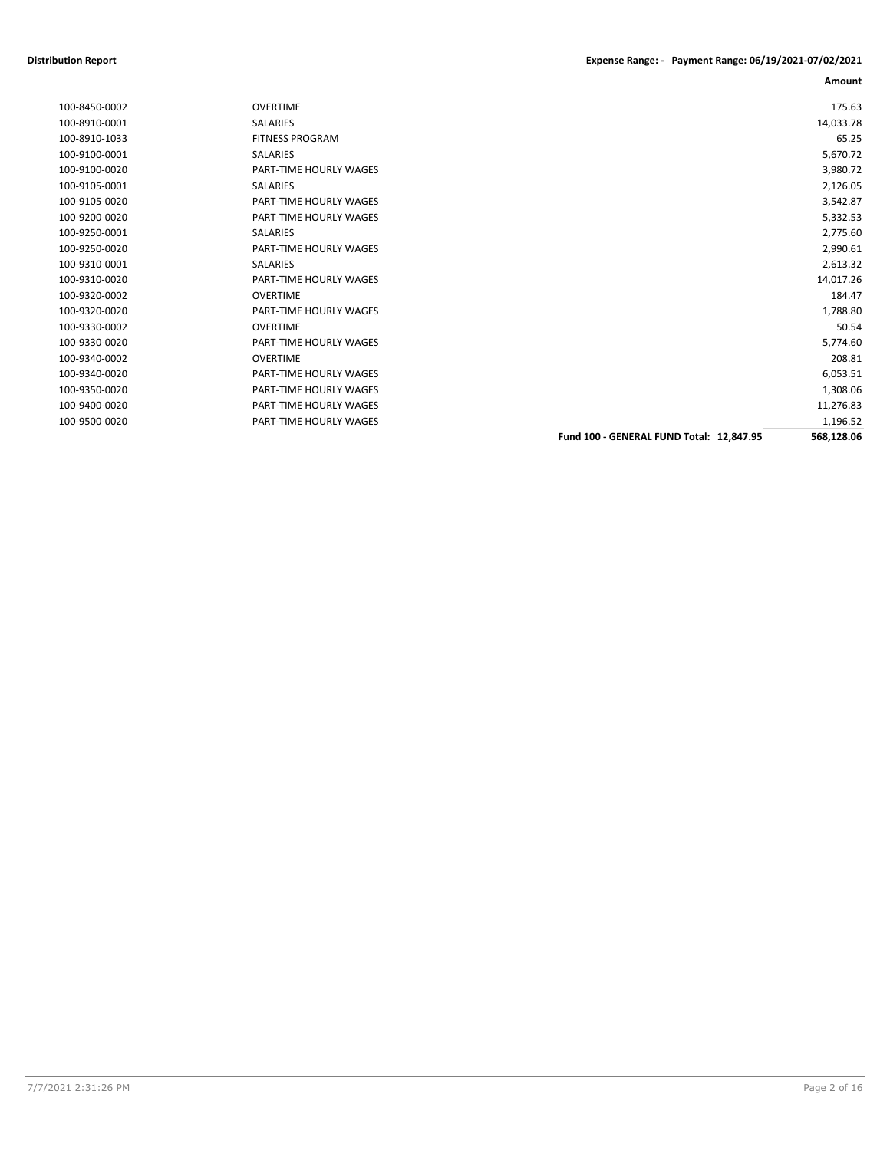| 100-8450-0002 | <b>OVERTIME</b>               |                                          | 175.63     |
|---------------|-------------------------------|------------------------------------------|------------|
| 100-8910-0001 | <b>SALARIES</b>               |                                          | 14,033.78  |
| 100-8910-1033 | <b>FITNESS PROGRAM</b>        |                                          | 65.25      |
| 100-9100-0001 | SALARIES                      |                                          | 5,670.72   |
| 100-9100-0020 | PART-TIME HOURLY WAGES        |                                          | 3,980.72   |
| 100-9105-0001 | <b>SALARIES</b>               |                                          | 2,126.05   |
| 100-9105-0020 | <b>PART-TIME HOURLY WAGES</b> |                                          | 3,542.87   |
| 100-9200-0020 | <b>PART-TIME HOURLY WAGES</b> |                                          | 5,332.53   |
| 100-9250-0001 | <b>SALARIES</b>               |                                          | 2,775.60   |
| 100-9250-0020 | <b>PART-TIME HOURLY WAGES</b> |                                          | 2,990.61   |
| 100-9310-0001 | <b>SALARIES</b>               |                                          | 2,613.32   |
| 100-9310-0020 | PART-TIME HOURLY WAGES        |                                          | 14,017.26  |
| 100-9320-0002 | <b>OVERTIME</b>               |                                          | 184.47     |
| 100-9320-0020 | PART-TIME HOURLY WAGES        |                                          | 1,788.80   |
| 100-9330-0002 | <b>OVERTIME</b>               |                                          | 50.54      |
| 100-9330-0020 | PART-TIME HOURLY WAGES        |                                          | 5,774.60   |
| 100-9340-0002 | <b>OVERTIME</b>               |                                          | 208.81     |
| 100-9340-0020 | <b>PART-TIME HOURLY WAGES</b> |                                          | 6,053.51   |
| 100-9350-0020 | <b>PART-TIME HOURLY WAGES</b> |                                          | 1,308.06   |
| 100-9400-0020 | PART-TIME HOURLY WAGES        |                                          | 11,276.83  |
| 100-9500-0020 | PART-TIME HOURLY WAGES        |                                          | 1,196.52   |
|               |                               | Fund 100 - GENERAL FUND Total: 12,847.95 | 568,128.06 |
|               |                               |                                          |            |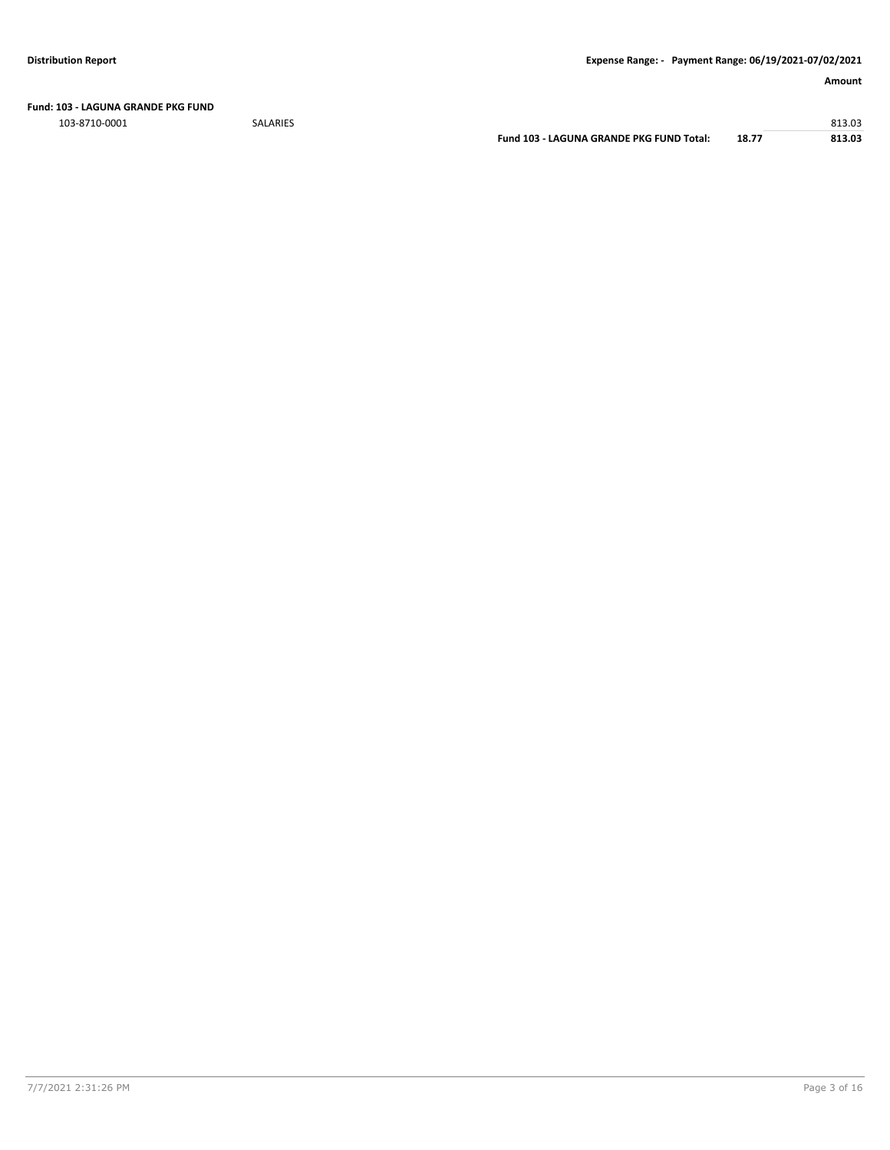**Fund: 103 - LAGUNA GRANDE PKG FUND**

103-8710-0001 SALARIES 813.03

**Fund 103 - LAGUNA GRANDE PKG FUND Total: 18.77 813.03**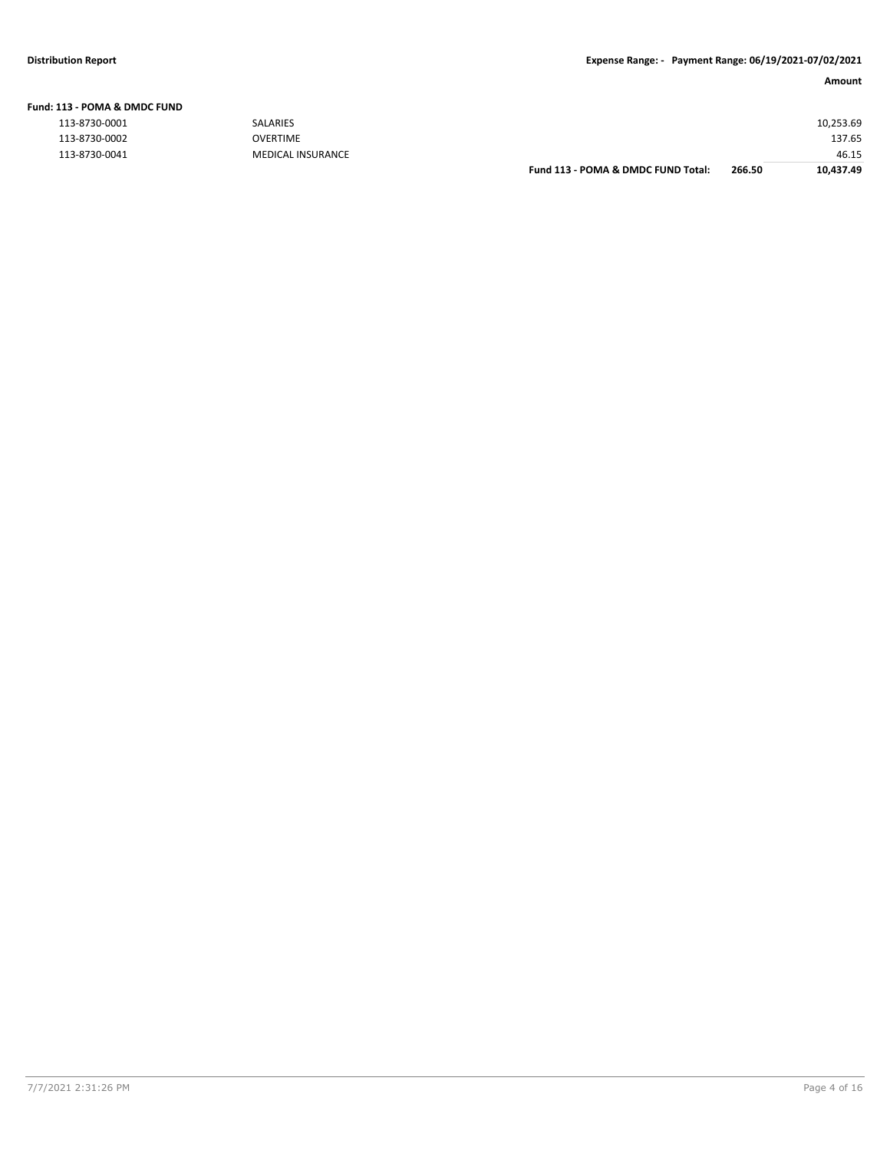| <b>Fund: 113 - POMA &amp; DMDC FUND</b> |  |
|-----------------------------------------|--|
|-----------------------------------------|--|

| 113-8730-0001<br><b>SALARIES</b>   |        | 10,253.69 |
|------------------------------------|--------|-----------|
| 113-8730-0002<br><b>OVERTIME</b>   |        | 137.65    |
| 113-8730-0041<br>MEDICAL INSURANCE |        | 46.15     |
| Fund 113 - POMA & DMDC FUND Total: | 266.50 | 10.437.49 |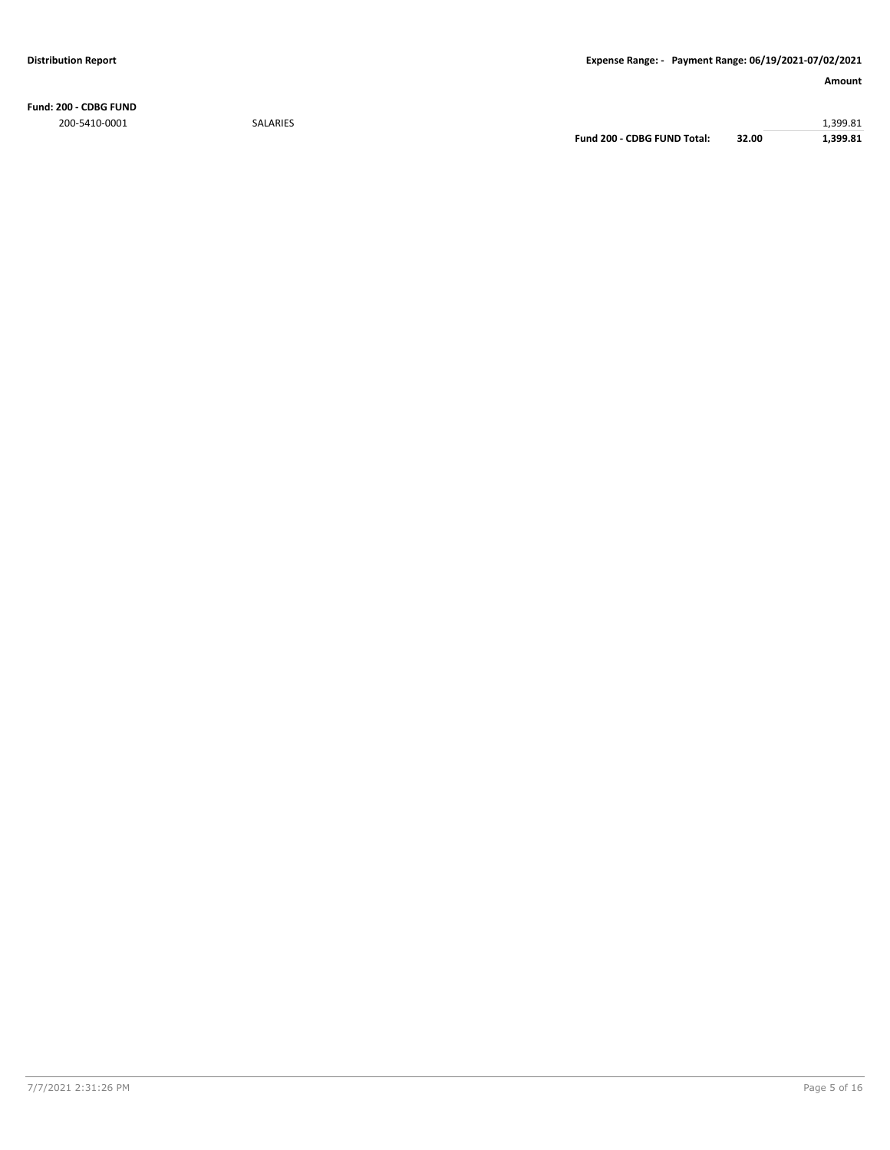**Fund: 200 - CDBG FUND** 200-5410-0001 SALARIES 1,399.81

**Fund 200 - CDBG FUND Total: 32.00 1,399.81**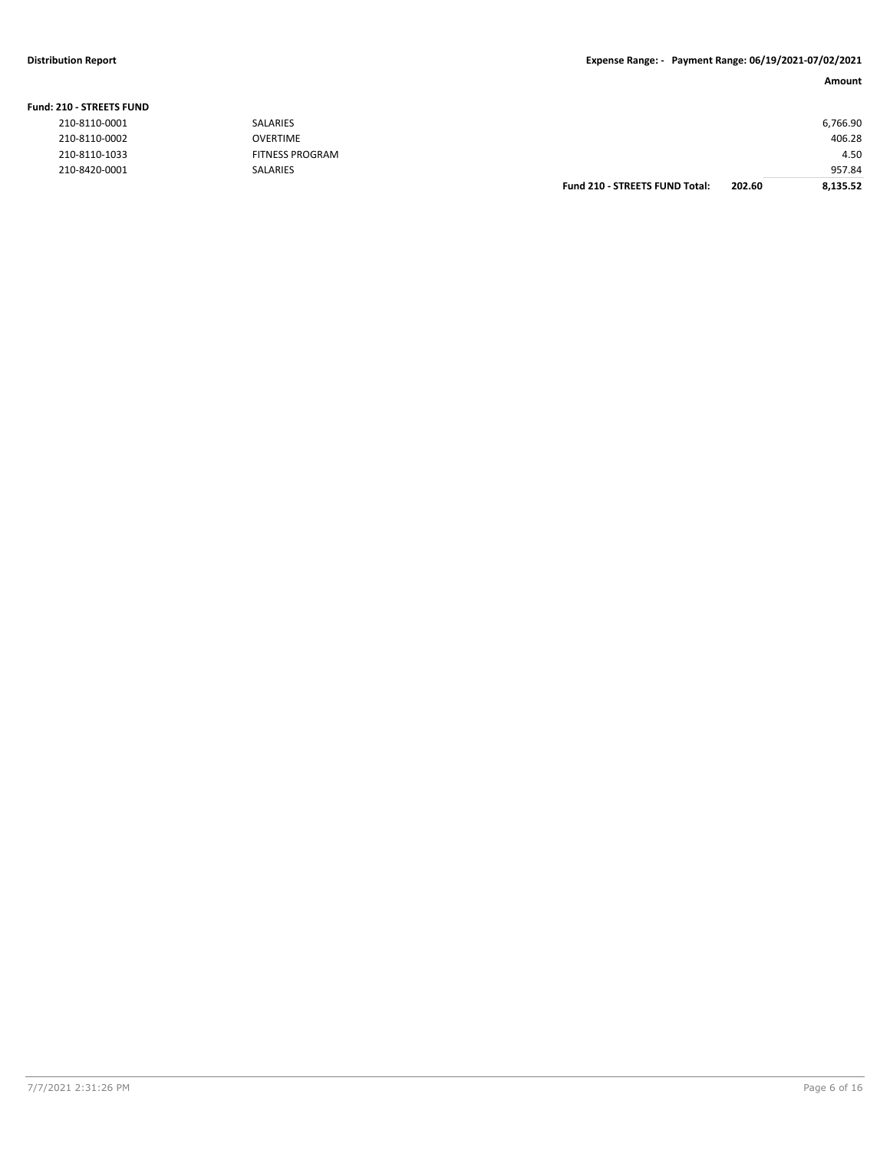#### **Distribution Report Expense Range: - Payment Range: 06/19/2021-07/02/2021**

| <b>210 - STREETS FUND</b> |                        |                                       |        |          |
|---------------------------|------------------------|---------------------------------------|--------|----------|
| 210-8110-0001             | <b>SALARIES</b>        |                                       |        | 6,766.90 |
| 210-8110-0002             | OVERTIME               |                                       |        | 406.28   |
| 210-8110-1033             | <b>FITNESS PROGRAM</b> |                                       |        | 4.50     |
| 210-8420-0001             | SALARIES               |                                       |        | 957.84   |
|                           |                        | <b>Fund 210 - STREETS FUND Total:</b> | 202.60 | 8.135.52 |

#### **Fund: 210 - STREETS FUND**

| 210-8110-0001 |
|---------------|
| 210-8110-0002 |
| 210-8110-1033 |
| 210-8420-0001 |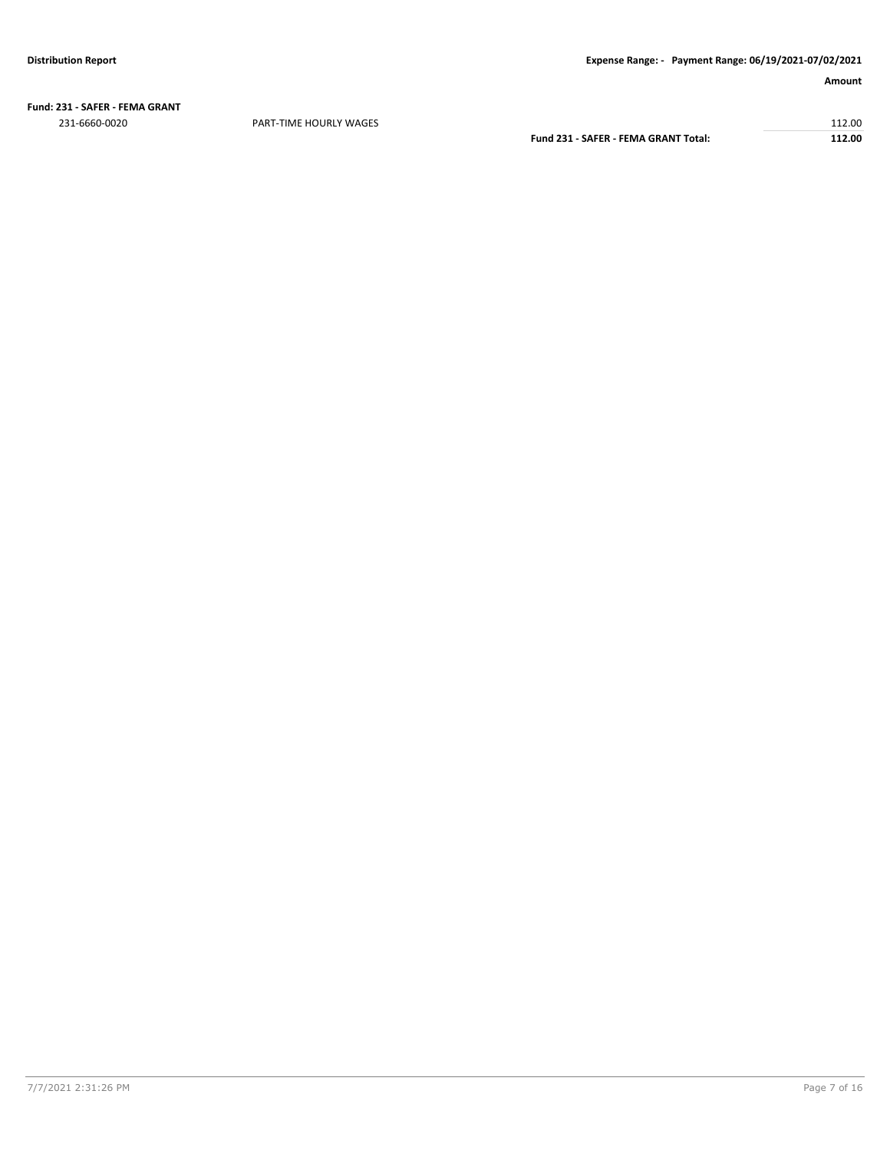**Fund: 231 - SAFER - FEMA GRANT** 231-6660-0020 PART-TIME HOURLY WAGES 112.00

**Fund 231 - SAFER - FEMA GRANT Total: 112.00**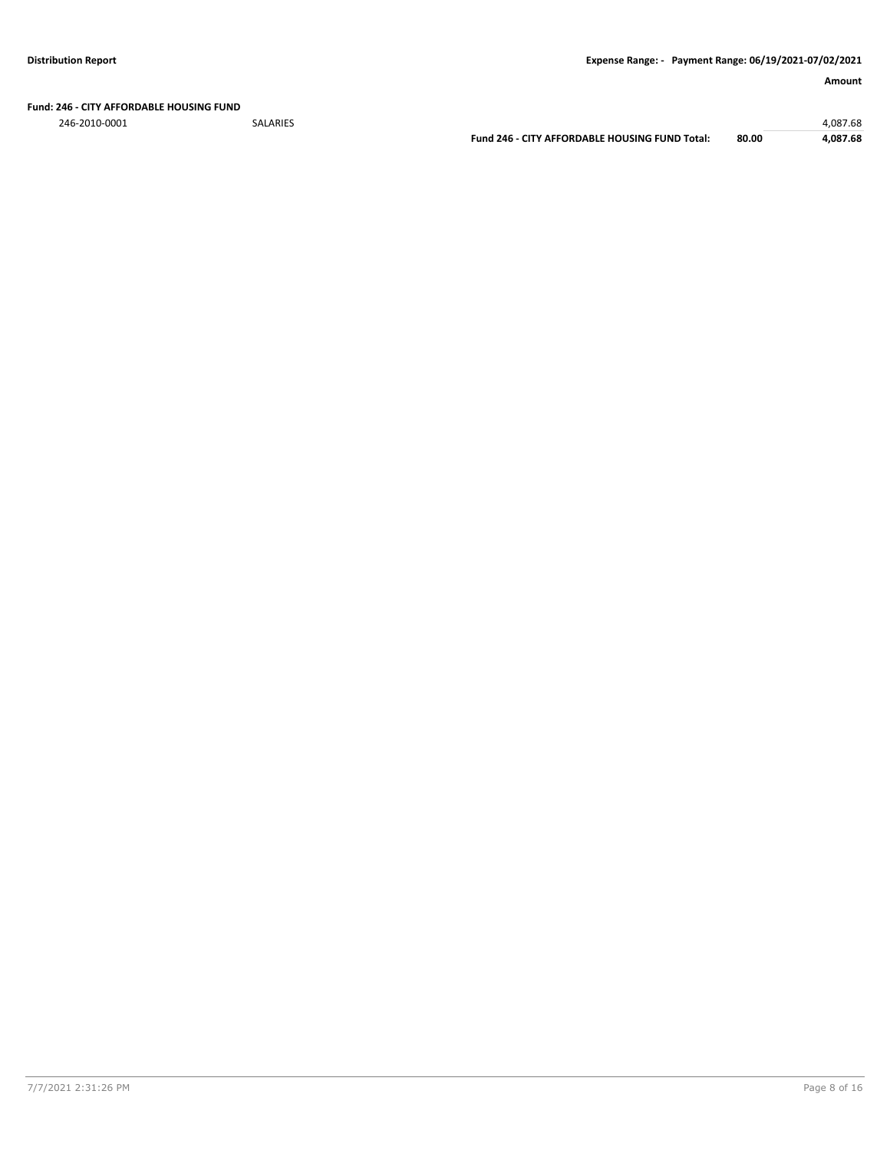#### **Fund: 246 - CITY AFFORDABLE HOUSING FUND**

246-2010-0001 SALARIES 4,087.68

**Fund 246 - CITY AFFORDABLE HOUSING FUND Total: 80.00 4,087.68**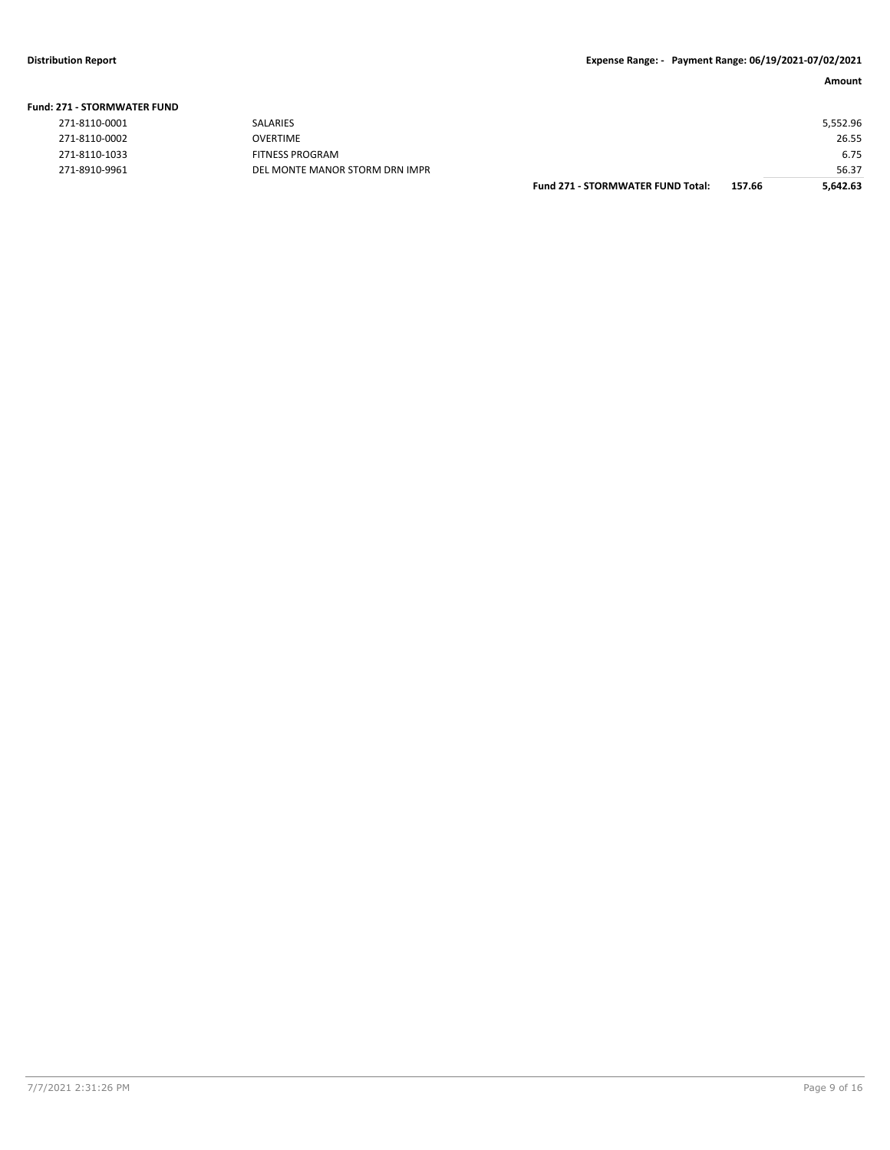| <b>Fund: 271 - STORMWATER FUND</b> |                                |                                          |        |          |
|------------------------------------|--------------------------------|------------------------------------------|--------|----------|
| 271-8110-0001                      | SALARIES                       |                                          |        | 5,552.96 |
| 271-8110-0002                      | <b>OVERTIME</b>                |                                          |        | 26.55    |
| 271-8110-1033                      | <b>FITNESS PROGRAM</b>         |                                          |        | 6.75     |
| 271-8910-9961                      | DEL MONTE MANOR STORM DRN IMPR |                                          |        | 56.37    |
|                                    |                                | <b>Fund 271 - STORMWATER FUND Total:</b> | 157.66 | 5,642.63 |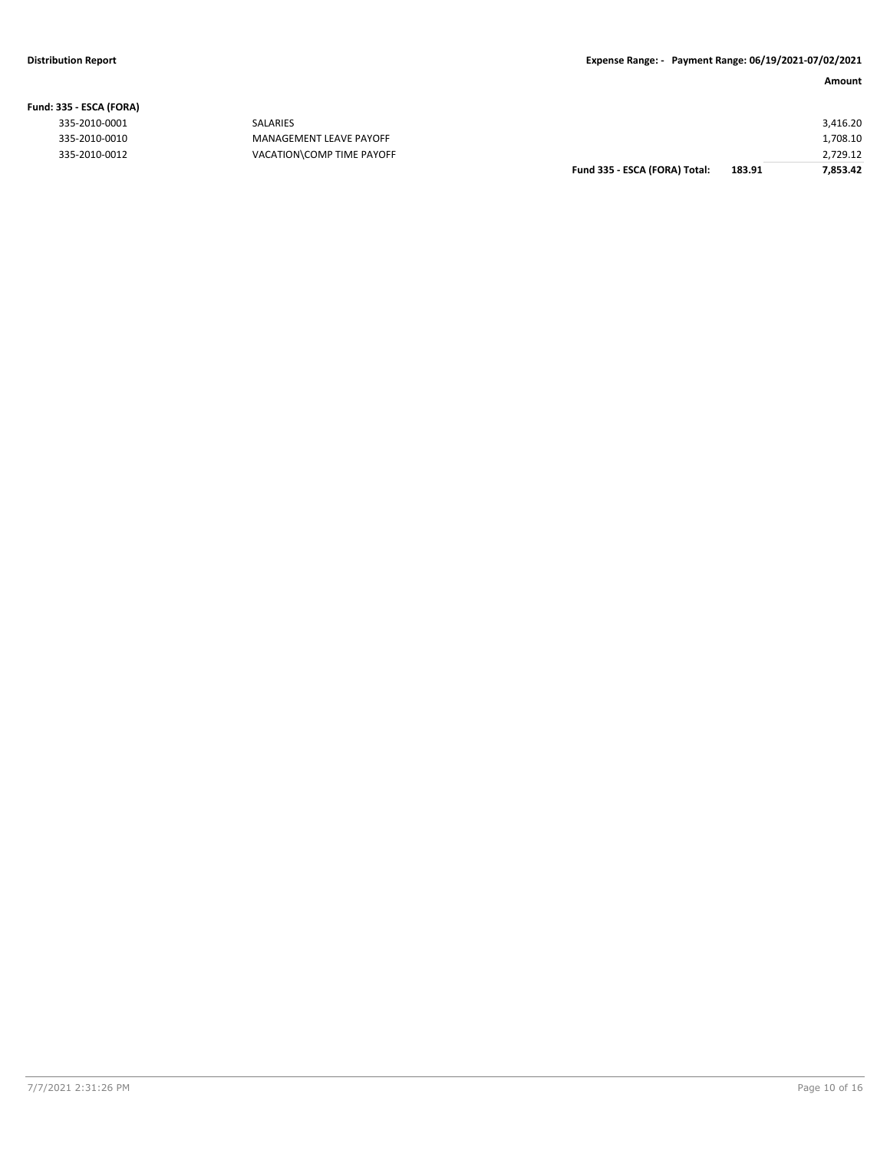|                   |                           | Fund 335 - ESCA (FORA) Total: | 183.91 | 7,853.42 |
|-------------------|---------------------------|-------------------------------|--------|----------|
| 335-2010-0012     | VACATION\COMP TIME PAYOFF |                               |        | 2,729.12 |
| 335-2010-0010     | MANAGEMENT LEAVE PAYOFF   |                               |        | 1,708.10 |
| 335-2010-0001     | SALARIES                  |                               |        | 3,416.20 |
| 335 - ESCA (FORA) |                           |                               |        |          |

**Fund: 335 - ESCA (FORA)**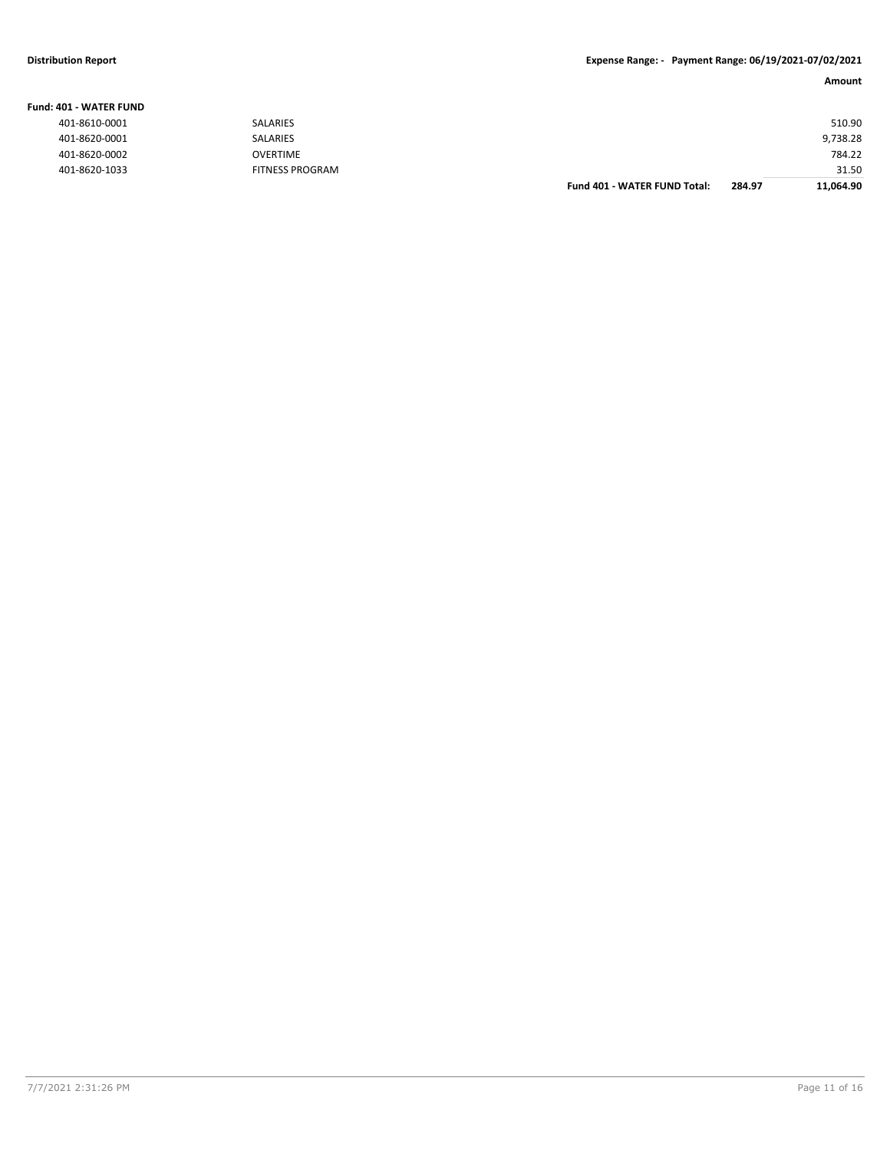#### **Distribution Report Expense Range: - Payment Range: 06/19/2021-07/02/2021**

| IO1 - WATER FUND |                        |                                     |        |           |
|------------------|------------------------|-------------------------------------|--------|-----------|
| 401-8610-0001    | SALARIES               |                                     |        | 510.90    |
| 401-8620-0001    | SALARIES               |                                     |        | 9,738.28  |
| 401-8620-0002    | OVERTIME               |                                     |        | 784.22    |
| 401-8620-1033    | <b>FITNESS PROGRAM</b> |                                     |        | 31.50     |
|                  |                        | <b>Fund 401 - WATER FUND Total:</b> | 284.97 | 11,064.90 |

**Fund: 401 - WATER FUND**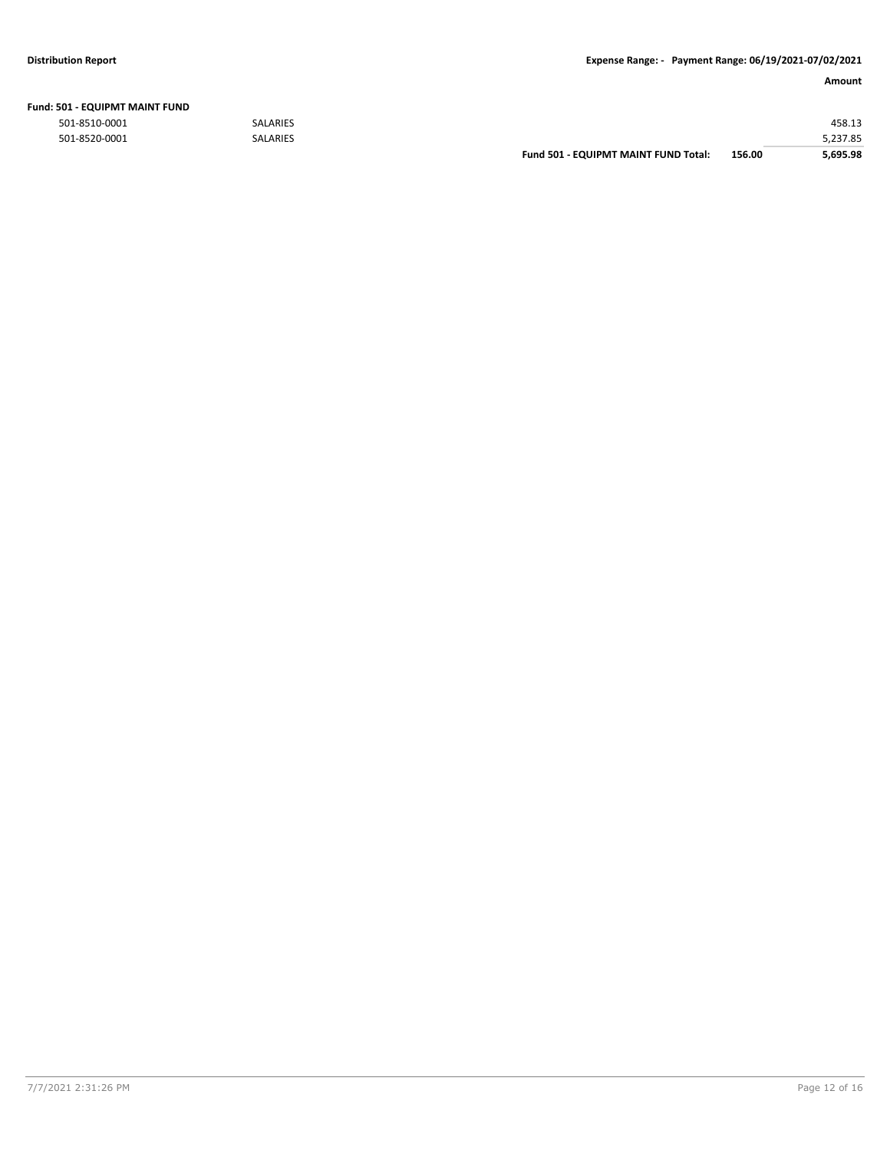| <b>Fund: 501 - EQUIPMT MAINT FUND</b> |                 |                                      |        |          |
|---------------------------------------|-----------------|--------------------------------------|--------|----------|
| 501-8510-0001                         | <b>SALARIES</b> |                                      |        | 458.13   |
| 501-8520-0001                         | <b>SALARIES</b> |                                      |        | 5,237.85 |
|                                       |                 | Fund 501 - EQUIPMT MAINT FUND Total: | 156.00 | 5.695.98 |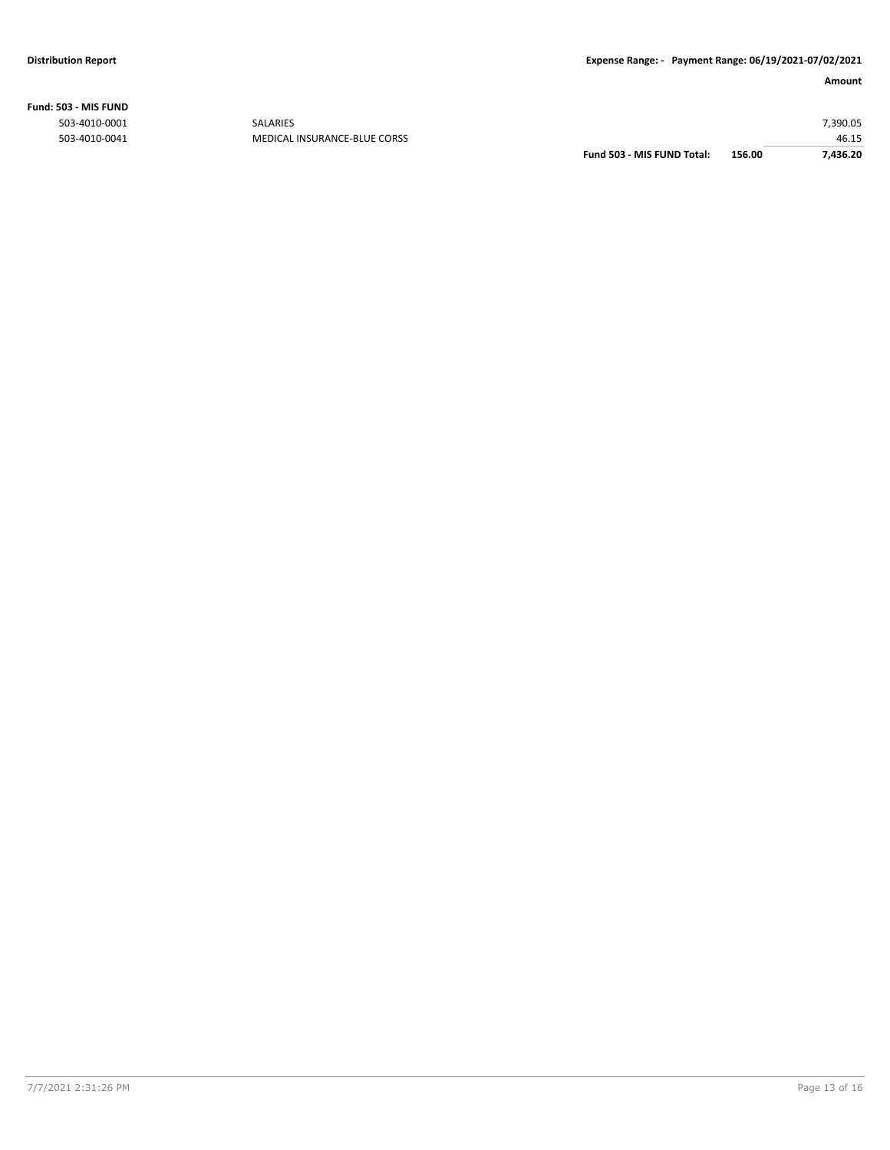**Fund: 503 - MIS FUND**

| 503-4010-0041<br>MEDICAL INSURANCE-BLUE CORSS | 46.15    |
|-----------------------------------------------|----------|
| 503-4010-0001<br><b>SALARIES</b>              | 7,390.05 |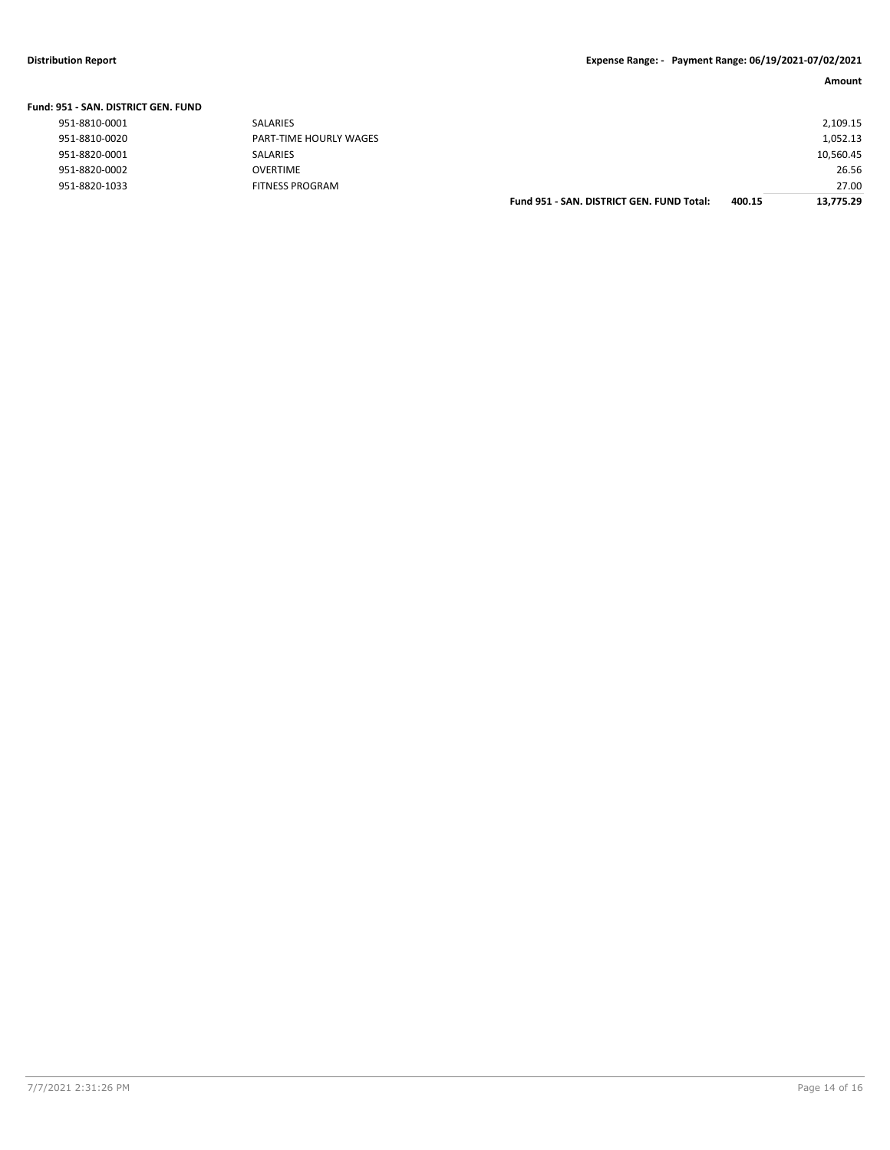| Fund: 951 - SAN, DISTRICT GEN, FUND |                        |                                           |        |           |
|-------------------------------------|------------------------|-------------------------------------------|--------|-----------|
| 951-8810-0001                       | SALARIES               |                                           |        | 2,109.15  |
| 951-8810-0020                       | PART-TIME HOURLY WAGES |                                           |        | 1,052.13  |
| 951-8820-0001                       | <b>SALARIES</b>        |                                           |        | 10,560.45 |
| 951-8820-0002                       | <b>OVERTIME</b>        |                                           |        | 26.56     |
| 951-8820-1033                       | <b>FITNESS PROGRAM</b> |                                           |        | 27.00     |
|                                     |                        | Fund 951 - SAN, DISTRICT GEN, FUND Total: | 400.15 | 13.775.29 |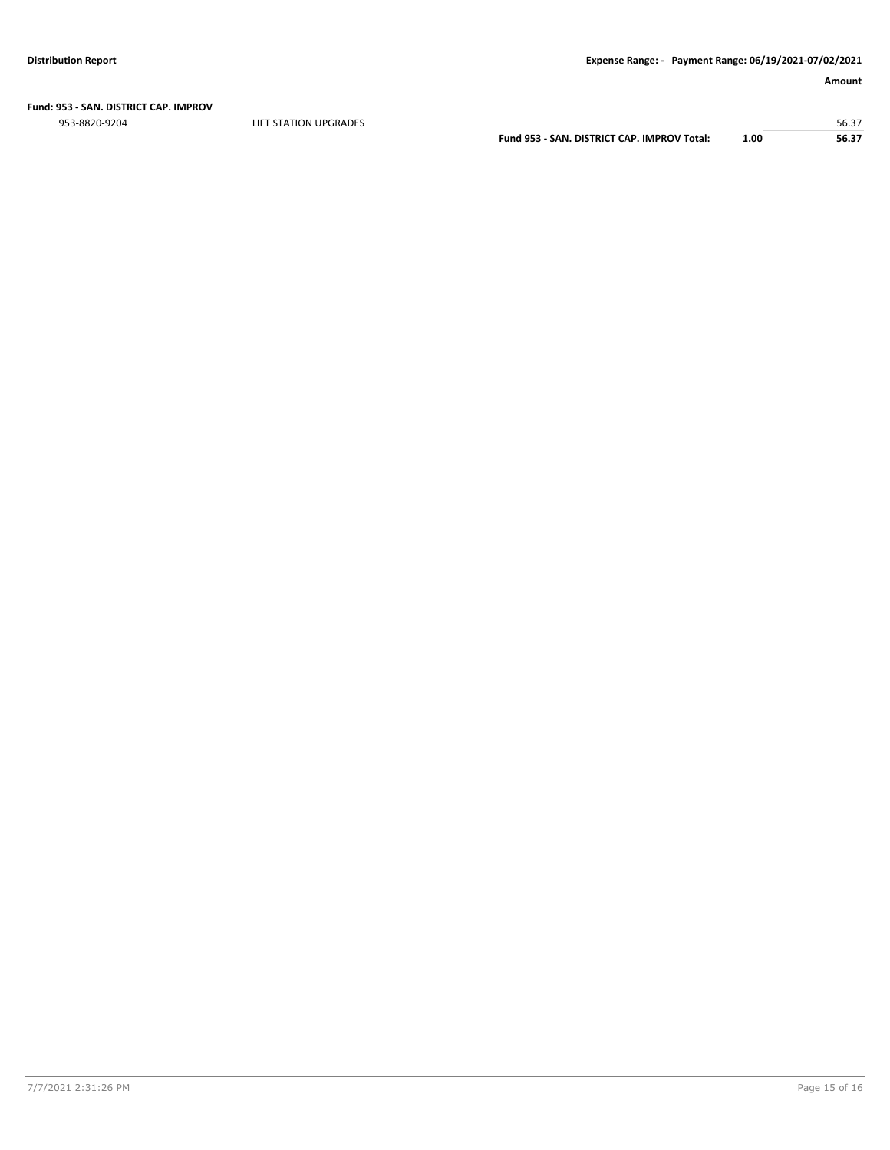**Fund: 953 - SAN. DISTRICT CAP. IMPROV**

er in the station of the station of the station of the station of the station of the station of the station of the station of the station of the station of the station of the station of the station of the station of the st

**Fund 953 - SAN. DISTRICT CAP. IMPROV Total: 1.00 56.37**